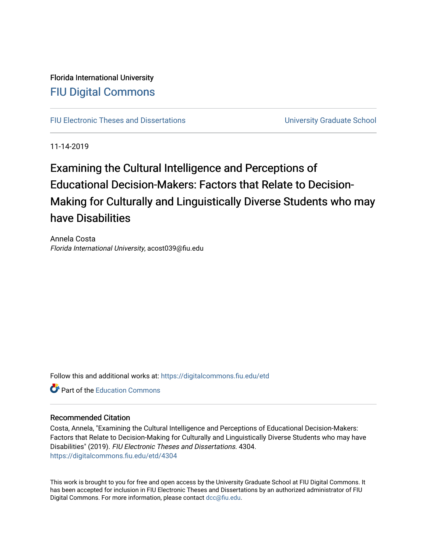Florida International University [FIU Digital Commons](https://digitalcommons.fiu.edu/)

[FIU Electronic Theses and Dissertations](https://digitalcommons.fiu.edu/etd) **EXECUTE:** University Graduate School

11-14-2019

Examining the Cultural Intelligence and Perceptions of Educational Decision-Makers: Factors that Relate to Decision-Making for Culturally and Linguistically Diverse Students who may have Disabilities

Annela Costa Florida International University, acost039@fiu.edu

Follow this and additional works at: [https://digitalcommons.fiu.edu/etd](https://digitalcommons.fiu.edu/etd?utm_source=digitalcommons.fiu.edu%2Fetd%2F4304&utm_medium=PDF&utm_campaign=PDFCoverPages)

**C** Part of the [Education Commons](http://network.bepress.com/hgg/discipline/784?utm_source=digitalcommons.fiu.edu%2Fetd%2F4304&utm_medium=PDF&utm_campaign=PDFCoverPages)

# Recommended Citation

Costa, Annela, "Examining the Cultural Intelligence and Perceptions of Educational Decision-Makers: Factors that Relate to Decision-Making for Culturally and Linguistically Diverse Students who may have Disabilities" (2019). FIU Electronic Theses and Dissertations. 4304. [https://digitalcommons.fiu.edu/etd/4304](https://digitalcommons.fiu.edu/etd/4304?utm_source=digitalcommons.fiu.edu%2Fetd%2F4304&utm_medium=PDF&utm_campaign=PDFCoverPages) 

This work is brought to you for free and open access by the University Graduate School at FIU Digital Commons. It has been accepted for inclusion in FIU Electronic Theses and Dissertations by an authorized administrator of FIU Digital Commons. For more information, please contact [dcc@fiu.edu](mailto:dcc@fiu.edu).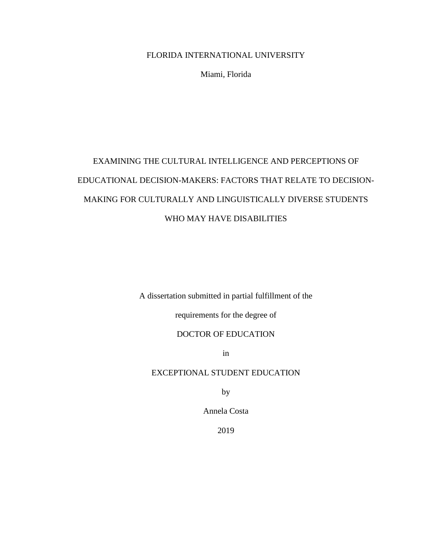# FLORIDA INTERNATIONAL UNIVERSITY

Miami, Florida

# EXAMINING THE CULTURAL INTELLIGENCE AND PERCEPTIONS OF EDUCATIONAL DECISION-MAKERS: FACTORS THAT RELATE TO DECISION-MAKING FOR CULTURALLY AND LINGUISTICALLY DIVERSE STUDENTS WHO MAY HAVE DISABILITIES

A dissertation submitted in partial fulfillment of the

requirements for the degree of

# DOCTOR OF EDUCATION

in

# EXCEPTIONAL STUDENT EDUCATION

by

Annela Costa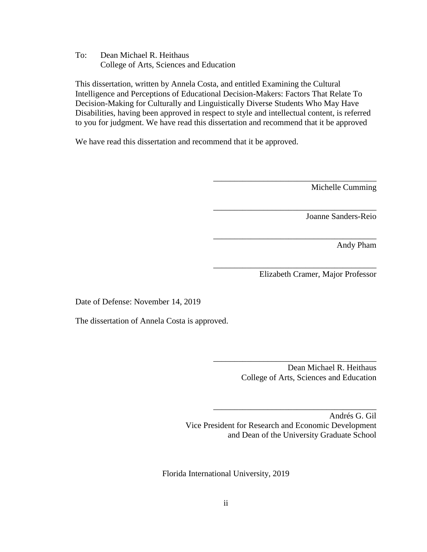To: Dean Michael R. Heithaus College of Arts, Sciences and Education

This dissertation, written by Annela Costa, and entitled Examining the Cultural Intelligence and Perceptions of Educational Decision-Makers: Factors That Relate To Decision-Making for Culturally and Linguistically Diverse Students Who May Have Disabilities, having been approved in respect to style and intellectual content, is referred to you for judgment. We have read this dissertation and recommend that it be approved

We have read this dissertation and recommend that it be approved.

Michelle Cumming

Joanne Sanders-Reio

Andy Pham

Elizabeth Cramer, Major Professor

\_\_\_\_\_\_\_\_\_\_\_\_\_\_\_\_\_\_\_\_\_\_\_\_\_\_\_\_\_\_\_\_\_\_\_\_\_\_\_

\_\_\_\_\_\_\_\_\_\_\_\_\_\_\_\_\_\_\_\_\_\_\_\_\_\_\_\_\_\_\_\_\_\_\_\_\_\_\_

\_\_\_\_\_\_\_\_\_\_\_\_\_\_\_\_\_\_\_\_\_\_\_\_\_\_\_\_\_\_\_\_\_\_\_\_\_\_\_

\_\_\_\_\_\_\_\_\_\_\_\_\_\_\_\_\_\_\_\_\_\_\_\_\_\_\_\_\_\_\_\_\_\_\_\_\_\_\_

Date of Defense: November 14, 2019

The dissertation of Annela Costa is approved.

 Dean Michael R. Heithaus College of Arts, Sciences and Education

\_\_\_\_\_\_\_\_\_\_\_\_\_\_\_\_\_\_\_\_\_\_\_\_\_\_\_\_\_\_\_\_\_\_\_\_\_\_\_

\_\_\_\_\_\_\_\_\_\_\_\_\_\_\_\_\_\_\_\_\_\_\_\_\_\_\_\_\_\_\_\_\_\_\_\_\_\_\_

Andrés G. Gil Vice President for Research and Economic Development and Dean of the University Graduate School

Florida International University, 2019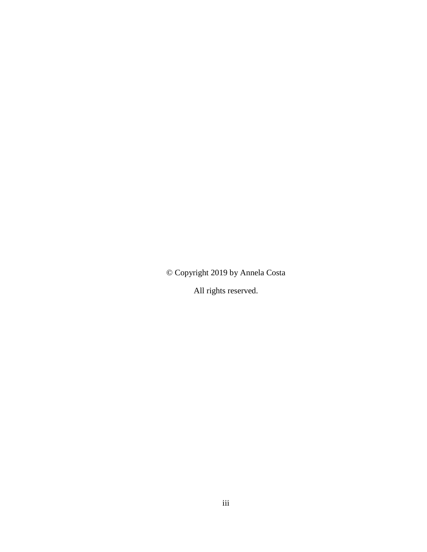© Copyright 2019 by Annela Costa

All rights reserved.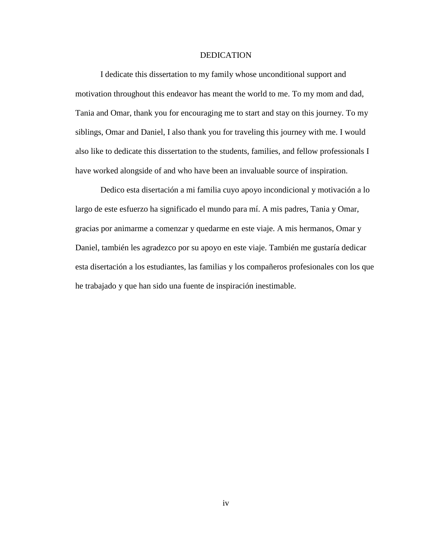## DEDICATION

I dedicate this dissertation to my family whose unconditional support and motivation throughout this endeavor has meant the world to me. To my mom and dad, Tania and Omar, thank you for encouraging me to start and stay on this journey. To my siblings, Omar and Daniel, I also thank you for traveling this journey with me. I would also like to dedicate this dissertation to the students, families, and fellow professionals I have worked alongside of and who have been an invaluable source of inspiration.

Dedico esta disertación a mi familia cuyo apoyo incondicional y motivación a lo largo de este esfuerzo ha significado el mundo para mí. A mis padres, Tania y Omar, gracias por animarme a comenzar y quedarme en este viaje. A mis hermanos, Omar y Daniel, también les agradezco por su apoyo en este viaje. También me gustaría dedicar esta disertación a los estudiantes, las familias y los compañeros profesionales con los que he trabajado y que han sido una fuente de inspiración inestimable.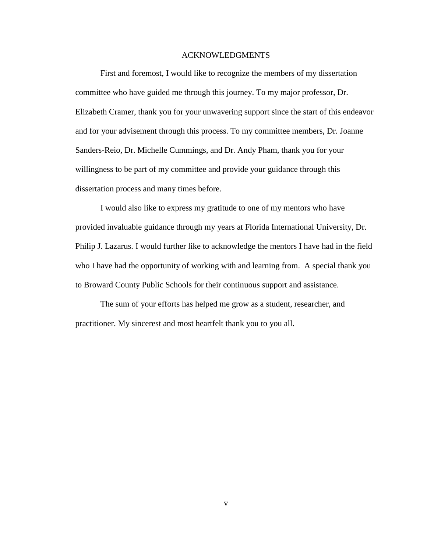# ACKNOWLEDGMENTS

First and foremost, I would like to recognize the members of my dissertation committee who have guided me through this journey. To my major professor, Dr. Elizabeth Cramer, thank you for your unwavering support since the start of this endeavor and for your advisement through this process. To my committee members, Dr. Joanne Sanders-Reio, Dr. Michelle Cummings, and Dr. Andy Pham, thank you for your willingness to be part of my committee and provide your guidance through this dissertation process and many times before.

I would also like to express my gratitude to one of my mentors who have provided invaluable guidance through my years at Florida International University, Dr. Philip J. Lazarus. I would further like to acknowledge the mentors I have had in the field who I have had the opportunity of working with and learning from. A special thank you to Broward County Public Schools for their continuous support and assistance.

The sum of your efforts has helped me grow as a student, researcher, and practitioner. My sincerest and most heartfelt thank you to you all.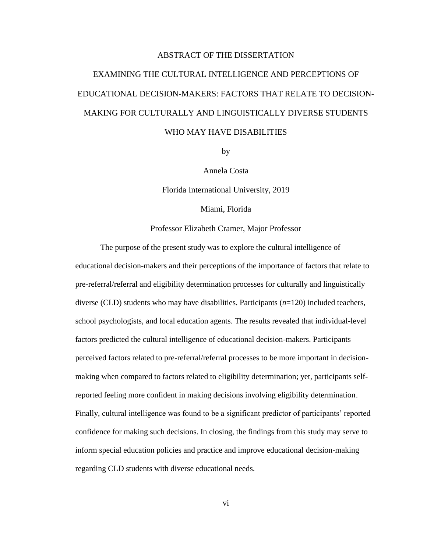# ABSTRACT OF THE DISSERTATION

# EXAMINING THE CULTURAL INTELLIGENCE AND PERCEPTIONS OF EDUCATIONAL DECISION-MAKERS: FACTORS THAT RELATE TO DECISION-MAKING FOR CULTURALLY AND LINGUISTICALLY DIVERSE STUDENTS WHO MAY HAVE DISABILITIES

by

Annela Costa

Florida International University, 2019

Miami, Florida

Professor Elizabeth Cramer, Major Professor

The purpose of the present study was to explore the cultural intelligence of educational decision-makers and their perceptions of the importance of factors that relate to pre-referral/referral and eligibility determination processes for culturally and linguistically diverse (CLD) students who may have disabilities. Participants (*n*=120) included teachers, school psychologists, and local education agents. The results revealed that individual-level factors predicted the cultural intelligence of educational decision-makers. Participants perceived factors related to pre-referral/referral processes to be more important in decisionmaking when compared to factors related to eligibility determination; yet, participants selfreported feeling more confident in making decisions involving eligibility determination. Finally, cultural intelligence was found to be a significant predictor of participants' reported confidence for making such decisions. In closing, the findings from this study may serve to inform special education policies and practice and improve educational decision-making regarding CLD students with diverse educational needs.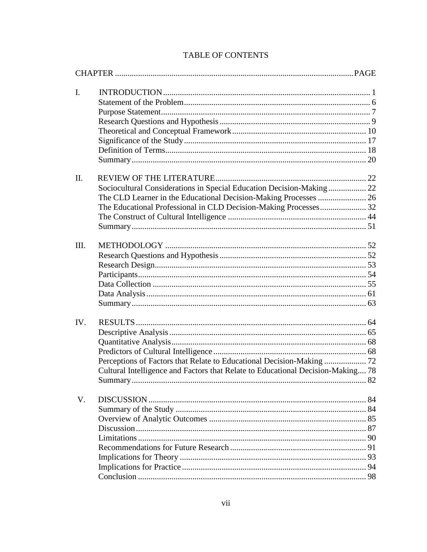| $\mathbf{I}$ .<br>$\Pi$ .<br>Sociocultural Considerations in Special Education Decision-Making 22<br>The Educational Professional in CLD Decision-Making Processes 32<br>Cultural Intelligence and Factors that Relate to Educational Decision-Making 78<br>V. |      |  |
|----------------------------------------------------------------------------------------------------------------------------------------------------------------------------------------------------------------------------------------------------------------|------|--|
|                                                                                                                                                                                                                                                                |      |  |
|                                                                                                                                                                                                                                                                |      |  |
|                                                                                                                                                                                                                                                                |      |  |
|                                                                                                                                                                                                                                                                |      |  |
|                                                                                                                                                                                                                                                                |      |  |
|                                                                                                                                                                                                                                                                |      |  |
|                                                                                                                                                                                                                                                                |      |  |
|                                                                                                                                                                                                                                                                |      |  |
|                                                                                                                                                                                                                                                                |      |  |
|                                                                                                                                                                                                                                                                |      |  |
|                                                                                                                                                                                                                                                                |      |  |
|                                                                                                                                                                                                                                                                |      |  |
|                                                                                                                                                                                                                                                                |      |  |
|                                                                                                                                                                                                                                                                |      |  |
|                                                                                                                                                                                                                                                                | III. |  |
|                                                                                                                                                                                                                                                                |      |  |
|                                                                                                                                                                                                                                                                |      |  |
|                                                                                                                                                                                                                                                                |      |  |
|                                                                                                                                                                                                                                                                |      |  |
|                                                                                                                                                                                                                                                                |      |  |
|                                                                                                                                                                                                                                                                |      |  |
|                                                                                                                                                                                                                                                                | IV.  |  |
|                                                                                                                                                                                                                                                                |      |  |
|                                                                                                                                                                                                                                                                |      |  |
|                                                                                                                                                                                                                                                                |      |  |
|                                                                                                                                                                                                                                                                |      |  |
|                                                                                                                                                                                                                                                                |      |  |
|                                                                                                                                                                                                                                                                |      |  |
|                                                                                                                                                                                                                                                                |      |  |
|                                                                                                                                                                                                                                                                |      |  |
|                                                                                                                                                                                                                                                                |      |  |
|                                                                                                                                                                                                                                                                |      |  |
|                                                                                                                                                                                                                                                                |      |  |
|                                                                                                                                                                                                                                                                |      |  |
|                                                                                                                                                                                                                                                                |      |  |
|                                                                                                                                                                                                                                                                |      |  |

# TABLE OF CONTENTS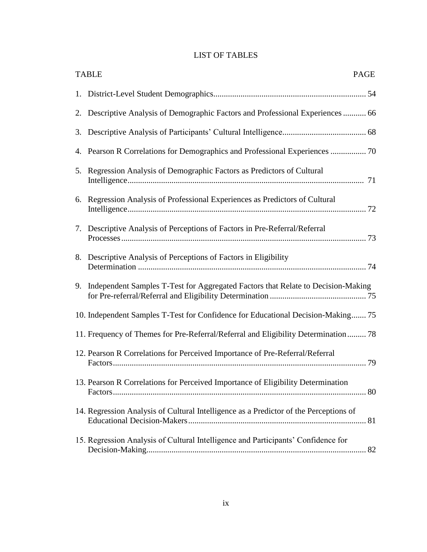# LIST OF TABLES

| <b>TABLE</b><br>PAGE                                                                  |
|---------------------------------------------------------------------------------------|
|                                                                                       |
| 2. Descriptive Analysis of Demographic Factors and Professional Experiences  66       |
|                                                                                       |
|                                                                                       |
| 5. Regression Analysis of Demographic Factors as Predictors of Cultural               |
| 6. Regression Analysis of Professional Experiences as Predictors of Cultural          |
| 7. Descriptive Analysis of Perceptions of Factors in Pre-Referral/Referral            |
| 8. Descriptive Analysis of Perceptions of Factors in Eligibility                      |
| 9. Independent Samples T-Test for Aggregated Factors that Relate to Decision-Making   |
| 10. Independent Samples T-Test for Confidence for Educational Decision-Making 75      |
| 11. Frequency of Themes for Pre-Referral/Referral and Eligibility Determination 78    |
| 12. Pearson R Correlations for Perceived Importance of Pre-Referral/Referral          |
| 13. Pearson R Correlations for Perceived Importance of Eligibility Determination      |
| 14. Regression Analysis of Cultural Intelligence as a Predictor of the Perceptions of |
| 15. Regression Analysis of Cultural Intelligence and Participants' Confidence for     |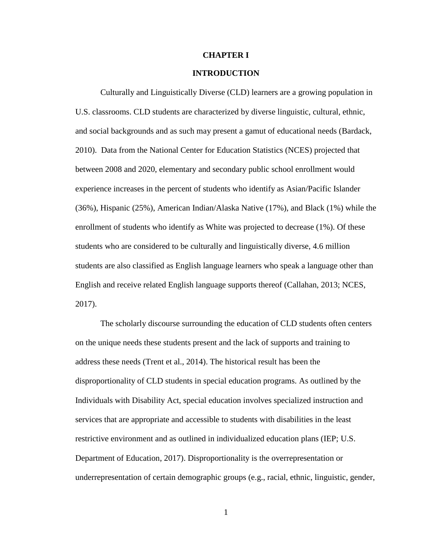## **CHAPTER I**

# **INTRODUCTION**

Culturally and Linguistically Diverse (CLD) learners are a growing population in U.S. classrooms. CLD students are characterized by diverse linguistic, cultural, ethnic, and social backgrounds and as such may present a gamut of educational needs (Bardack, 2010). Data from the National Center for Education Statistics (NCES) projected that between 2008 and 2020, elementary and secondary public school enrollment would experience increases in the percent of students who identify as Asian/Pacific Islander (36%), Hispanic (25%), American Indian/Alaska Native (17%), and Black (1%) while the enrollment of students who identify as White was projected to decrease (1%). Of these students who are considered to be culturally and linguistically diverse, 4.6 million students are also classified as English language learners who speak a language other than English and receive related English language supports thereof (Callahan, 2013; NCES, 2017).

The scholarly discourse surrounding the education of CLD students often centers on the unique needs these students present and the lack of supports and training to address these needs (Trent et al., 2014). The historical result has been the disproportionality of CLD students in special education programs. As outlined by the Individuals with Disability Act, special education involves specialized instruction and services that are appropriate and accessible to students with disabilities in the least restrictive environment and as outlined in individualized education plans (IEP; U.S. Department of Education, 2017). Disproportionality is the overrepresentation or underrepresentation of certain demographic groups (e.g., racial, ethnic, linguistic, gender,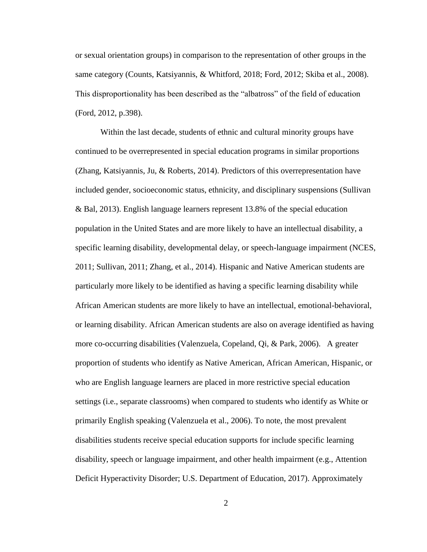or sexual orientation groups) in comparison to the representation of other groups in the same category (Counts, Katsiyannis, & Whitford, 2018; Ford, 2012; Skiba et al., 2008). This disproportionality has been described as the "albatross" of the field of education (Ford, 2012, p.398).

Within the last decade, students of ethnic and cultural minority groups have continued to be overrepresented in special education programs in similar proportions (Zhang, Katsiyannis, Ju, & Roberts, 2014). Predictors of this overrepresentation have included gender, socioeconomic status, ethnicity, and disciplinary suspensions (Sullivan & Bal, 2013). English language learners represent 13.8% of the special education population in the United States and are more likely to have an intellectual disability, a specific learning disability, developmental delay, or speech-language impairment (NCES, 2011; Sullivan, 2011; Zhang, et al., 2014). Hispanic and Native American students are particularly more likely to be identified as having a specific learning disability while African American students are more likely to have an intellectual, emotional-behavioral, or learning disability. African American students are also on average identified as having more co-occurring disabilities (Valenzuela, Copeland, Qi, & Park, 2006). A greater proportion of students who identify as Native American, African American, Hispanic, or who are English language learners are placed in more restrictive special education settings (i.e., separate classrooms) when compared to students who identify as White or primarily English speaking (Valenzuela et al., 2006). To note, the most prevalent disabilities students receive special education supports for include specific learning disability, speech or language impairment, and other health impairment (e.g., Attention Deficit Hyperactivity Disorder; U.S. Department of Education, 2017). Approximately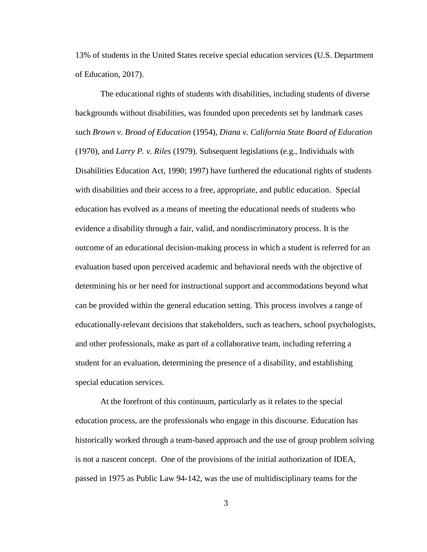13% of students in the United States receive special education services (U.S. Department of Education, 2017).

The educational rights of students with disabilities, including students of diverse backgrounds without disabilities, was founded upon precedents set by landmark cases such *Brown v. Broad of Education* (1954), *Diana v. California State Board of Education*  (1970), and *Larry P. v. Riles* (1979). Subsequent legislations (e.g., Individuals with Disabilities Education Act, 1990; 1997) have furthered the educational rights of students with disabilities and their access to a free, appropriate, and public education. Special education has evolved as a means of meeting the educational needs of students who evidence a disability through a fair, valid, and nondiscriminatory process. It is the outcome of an educational decision-making process in which a student is referred for an evaluation based upon perceived academic and behavioral needs with the objective of determining his or her need for instructional support and accommodations beyond what can be provided within the general education setting. This process involves a range of educationally-relevant decisions that stakeholders, such as teachers, school psychologists, and other professionals, make as part of a collaborative team, including referring a student for an evaluation, determining the presence of a disability, and establishing special education services.

At the forefront of this continuum, particularly as it relates to the special education process, are the professionals who engage in this discourse. Education has historically worked through a team-based approach and the use of group problem solving is not a nascent concept. One of the provisions of the initial authorization of IDEA, passed in 1975 as Public Law 94-142, was the use of multidisciplinary teams for the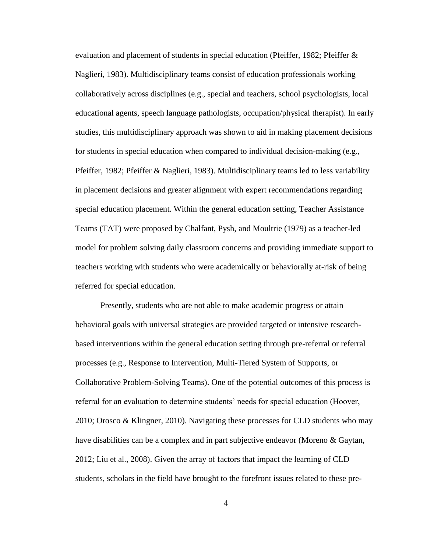evaluation and placement of students in special education (Pfeiffer, 1982; Pfeiffer & Naglieri, 1983). Multidisciplinary teams consist of education professionals working collaboratively across disciplines (e.g., special and teachers, school psychologists, local educational agents, speech language pathologists, occupation/physical therapist). In early studies, this multidisciplinary approach was shown to aid in making placement decisions for students in special education when compared to individual decision-making (e.g., Pfeiffer, 1982; Pfeiffer & Naglieri, 1983). Multidisciplinary teams led to less variability in placement decisions and greater alignment with expert recommendations regarding special education placement. Within the general education setting, Teacher Assistance Teams (TAT) were proposed by Chalfant, Pysh, and Moultrie (1979) as a teacher-led model for problem solving daily classroom concerns and providing immediate support to teachers working with students who were academically or behaviorally at-risk of being referred for special education.

Presently, students who are not able to make academic progress or attain behavioral goals with universal strategies are provided targeted or intensive researchbased interventions within the general education setting through pre-referral or referral processes (e.g., Response to Intervention, Multi-Tiered System of Supports, or Collaborative Problem-Solving Teams). One of the potential outcomes of this process is referral for an evaluation to determine students' needs for special education (Hoover, 2010; Orosco & Klingner, 2010). Navigating these processes for CLD students who may have disabilities can be a complex and in part subjective endeavor (Moreno & Gaytan, 2012; Liu et al., 2008). Given the array of factors that impact the learning of CLD students, scholars in the field have brought to the forefront issues related to these pre-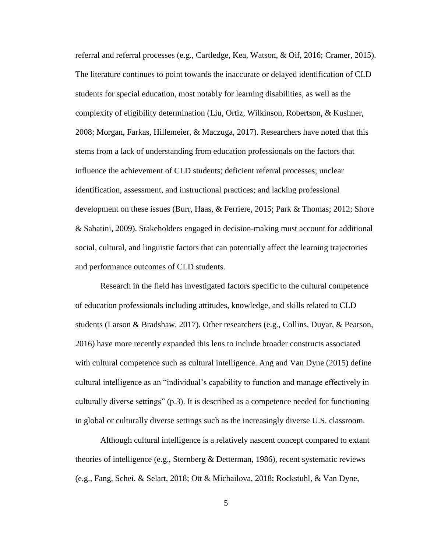referral and referral processes (e.g., Cartledge, Kea, Watson, & Oif, 2016; Cramer, 2015). The literature continues to point towards the inaccurate or delayed identification of CLD students for special education, most notably for learning disabilities, as well as the complexity of eligibility determination (Liu, Ortiz, Wilkinson, Robertson, & Kushner, 2008; Morgan, Farkas, Hillemeier, & Maczuga, 2017). Researchers have noted that this stems from a lack of understanding from education professionals on the factors that influence the achievement of CLD students; deficient referral processes; unclear identification, assessment, and instructional practices; and lacking professional development on these issues (Burr, Haas, & Ferriere, 2015; Park & Thomas; 2012; Shore & Sabatini, 2009). Stakeholders engaged in decision-making must account for additional social, cultural, and linguistic factors that can potentially affect the learning trajectories and performance outcomes of CLD students.

Research in the field has investigated factors specific to the cultural competence of education professionals including attitudes, knowledge, and skills related to CLD students (Larson & Bradshaw, 2017). Other researchers (e.g., Collins, Duyar, & Pearson, 2016) have more recently expanded this lens to include broader constructs associated with cultural competence such as cultural intelligence. Ang and Van Dyne (2015) define cultural intelligence as an "individual's capability to function and manage effectively in culturally diverse settings" (p.3). It is described as a competence needed for functioning in global or culturally diverse settings such as the increasingly diverse U.S. classroom.

Although cultural intelligence is a relatively nascent concept compared to extant theories of intelligence (e.g., Sternberg & Detterman, 1986), recent systematic reviews (e.g., Fang, Schei, & Selart, 2018; Ott & Michailova, 2018; Rockstuhl, & Van Dyne,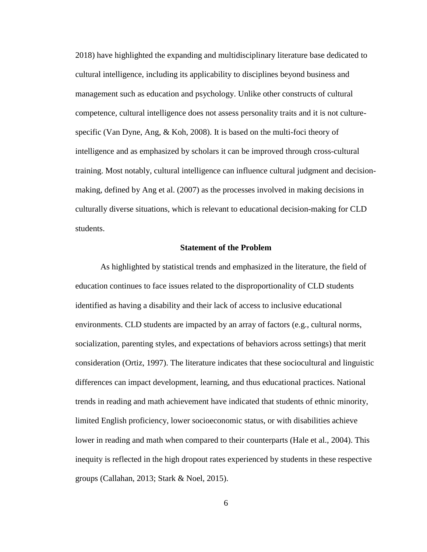2018) have highlighted the expanding and multidisciplinary literature base dedicated to cultural intelligence, including its applicability to disciplines beyond business and management such as education and psychology. Unlike other constructs of cultural competence, cultural intelligence does not assess personality traits and it is not culturespecific (Van Dyne, Ang, & Koh, 2008). It is based on the multi-foci theory of intelligence and as emphasized by scholars it can be improved through cross-cultural training. Most notably, cultural intelligence can influence cultural judgment and decisionmaking, defined by Ang et al. (2007) as the processes involved in making decisions in culturally diverse situations, which is relevant to educational decision-making for CLD students.

## **Statement of the Problem**

As highlighted by statistical trends and emphasized in the literature, the field of education continues to face issues related to the disproportionality of CLD students identified as having a disability and their lack of access to inclusive educational environments. CLD students are impacted by an array of factors (e.g., cultural norms, socialization, parenting styles, and expectations of behaviors across settings) that merit consideration (Ortiz, 1997). The literature indicates that these sociocultural and linguistic differences can impact development, learning, and thus educational practices. National trends in reading and math achievement have indicated that students of ethnic minority, limited English proficiency, lower socioeconomic status, or with disabilities achieve lower in reading and math when compared to their counterparts (Hale et al., 2004). This inequity is reflected in the high dropout rates experienced by students in these respective groups (Callahan, 2013; Stark & Noel, 2015).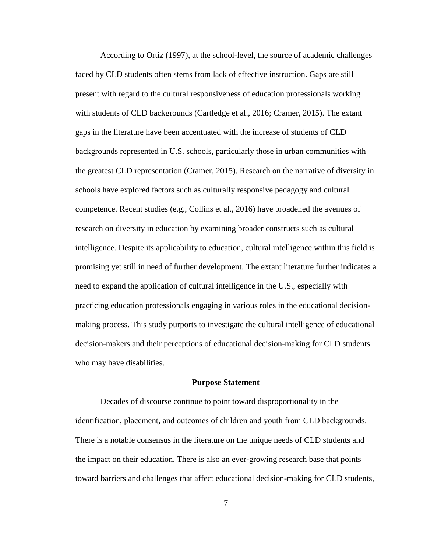According to Ortiz (1997), at the school-level, the source of academic challenges faced by CLD students often stems from lack of effective instruction. Gaps are still present with regard to the cultural responsiveness of education professionals working with students of CLD backgrounds (Cartledge et al., 2016; Cramer, 2015). The extant gaps in the literature have been accentuated with the increase of students of CLD backgrounds represented in U.S. schools, particularly those in urban communities with the greatest CLD representation (Cramer, 2015). Research on the narrative of diversity in schools have explored factors such as culturally responsive pedagogy and cultural competence. Recent studies (e.g., Collins et al., 2016) have broadened the avenues of research on diversity in education by examining broader constructs such as cultural intelligence. Despite its applicability to education, cultural intelligence within this field is promising yet still in need of further development. The extant literature further indicates a need to expand the application of cultural intelligence in the U.S., especially with practicing education professionals engaging in various roles in the educational decisionmaking process. This study purports to investigate the cultural intelligence of educational decision-makers and their perceptions of educational decision-making for CLD students who may have disabilities.

#### **Purpose Statement**

Decades of discourse continue to point toward disproportionality in the identification, placement, and outcomes of children and youth from CLD backgrounds. There is a notable consensus in the literature on the unique needs of CLD students and the impact on their education. There is also an ever-growing research base that points toward barriers and challenges that affect educational decision-making for CLD students,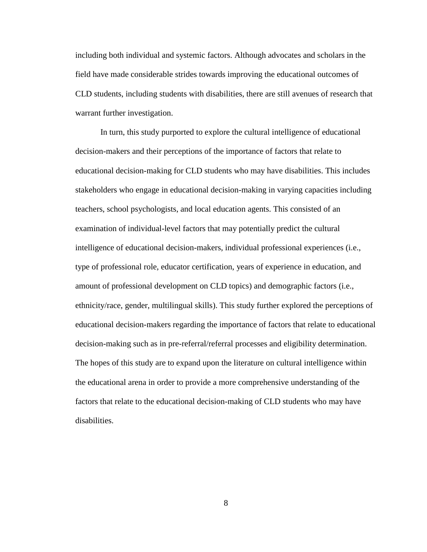including both individual and systemic factors. Although advocates and scholars in the field have made considerable strides towards improving the educational outcomes of CLD students, including students with disabilities, there are still avenues of research that warrant further investigation.

In turn, this study purported to explore the cultural intelligence of educational decision-makers and their perceptions of the importance of factors that relate to educational decision-making for CLD students who may have disabilities. This includes stakeholders who engage in educational decision-making in varying capacities including teachers, school psychologists, and local education agents. This consisted of an examination of individual-level factors that may potentially predict the cultural intelligence of educational decision-makers, individual professional experiences (i.e., type of professional role, educator certification, years of experience in education, and amount of professional development on CLD topics) and demographic factors (i.e., ethnicity/race, gender, multilingual skills). This study further explored the perceptions of educational decision-makers regarding the importance of factors that relate to educational decision-making such as in pre-referral/referral processes and eligibility determination. The hopes of this study are to expand upon the literature on cultural intelligence within the educational arena in order to provide a more comprehensive understanding of the factors that relate to the educational decision-making of CLD students who may have disabilities.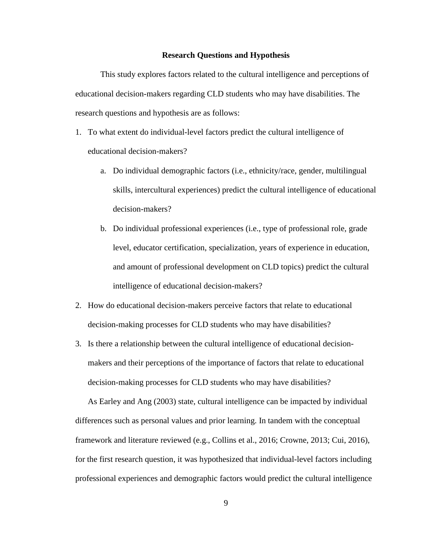#### **Research Questions and Hypothesis**

This study explores factors related to the cultural intelligence and perceptions of educational decision-makers regarding CLD students who may have disabilities. The research questions and hypothesis are as follows:

- 1. To what extent do individual-level factors predict the cultural intelligence of educational decision-makers?
	- a. Do individual demographic factors (i.e., ethnicity/race, gender, multilingual skills, intercultural experiences) predict the cultural intelligence of educational decision-makers?
	- b. Do individual professional experiences (i.e., type of professional role, grade level, educator certification, specialization, years of experience in education, and amount of professional development on CLD topics) predict the cultural intelligence of educational decision-makers?
- 2. How do educational decision-makers perceive factors that relate to educational decision-making processes for CLD students who may have disabilities?
- 3. Is there a relationship between the cultural intelligence of educational decisionmakers and their perceptions of the importance of factors that relate to educational decision-making processes for CLD students who may have disabilities?

As Earley and Ang (2003) state, cultural intelligence can be impacted by individual differences such as personal values and prior learning. In tandem with the conceptual framework and literature reviewed (e.g., Collins et al., 2016; Crowne, 2013; Cui, 2016), for the first research question, it was hypothesized that individual-level factors including professional experiences and demographic factors would predict the cultural intelligence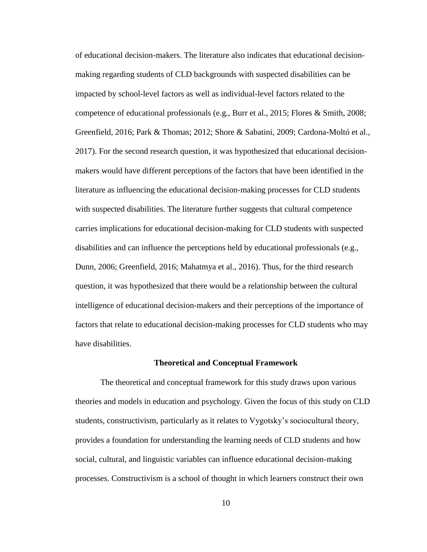of educational decision-makers. The literature also indicates that educational decisionmaking regarding students of CLD backgrounds with suspected disabilities can be impacted by school-level factors as well as individual-level factors related to the competence of educational professionals (e.g., Burr et al., 2015; Flores & Smith, 2008; Greenfield, 2016; Park & Thomas; 2012; Shore & Sabatini, 2009; Cardona-Moltó et al., 2017). For the second research question, it was hypothesized that educational decisionmakers would have different perceptions of the factors that have been identified in the literature as influencing the educational decision-making processes for CLD students with suspected disabilities. The literature further suggests that cultural competence carries implications for educational decision-making for CLD students with suspected disabilities and can influence the perceptions held by educational professionals (e.g., Dunn, 2006; Greenfield, 2016; Mahatmya et al., 2016). Thus, for the third research question, it was hypothesized that there would be a relationship between the cultural intelligence of educational decision-makers and their perceptions of the importance of factors that relate to educational decision-making processes for CLD students who may have disabilities.

#### **Theoretical and Conceptual Framework**

The theoretical and conceptual framework for this study draws upon various theories and models in education and psychology. Given the focus of this study on CLD students, constructivism, particularly as it relates to Vygotsky's sociocultural theory, provides a foundation for understanding the learning needs of CLD students and how social, cultural, and linguistic variables can influence educational decision-making processes. Constructivism is a school of thought in which learners construct their own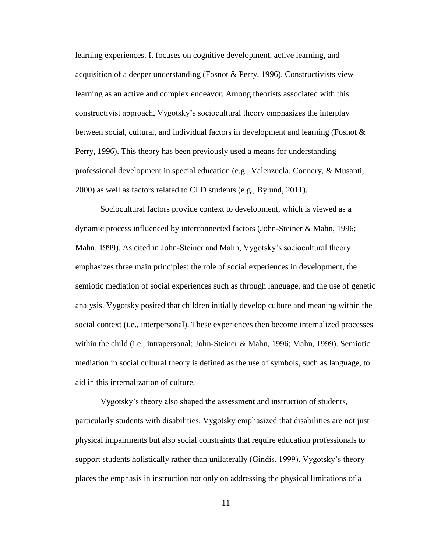learning experiences. It focuses on cognitive development, active learning, and acquisition of a deeper understanding (Fosnot & Perry, 1996). Constructivists view learning as an active and complex endeavor. Among theorists associated with this constructivist approach, Vygotsky's sociocultural theory emphasizes the interplay between social, cultural, and individual factors in development and learning (Fosnot & Perry, 1996). This theory has been previously used a means for understanding professional development in special education (e.g., Valenzuela, Connery, & Musanti, 2000) as well as factors related to CLD students (e.g., Bylund, 2011).

Sociocultural factors provide context to development, which is viewed as a dynamic process influenced by interconnected factors (John-Steiner & Mahn, 1996; Mahn, 1999). As cited in John-Steiner and Mahn, Vygotsky's sociocultural theory emphasizes three main principles: the role of social experiences in development, the semiotic mediation of social experiences such as through language, and the use of genetic analysis. Vygotsky posited that children initially develop culture and meaning within the social context (i.e., interpersonal). These experiences then become internalized processes within the child (i.e., intrapersonal; John-Steiner & Mahn, 1996; Mahn, 1999). Semiotic mediation in social cultural theory is defined as the use of symbols, such as language, to aid in this internalization of culture.

Vygotsky's theory also shaped the assessment and instruction of students, particularly students with disabilities. Vygotsky emphasized that disabilities are not just physical impairments but also social constraints that require education professionals to support students holistically rather than unilaterally (Gindis, 1999). Vygotsky's theory places the emphasis in instruction not only on addressing the physical limitations of a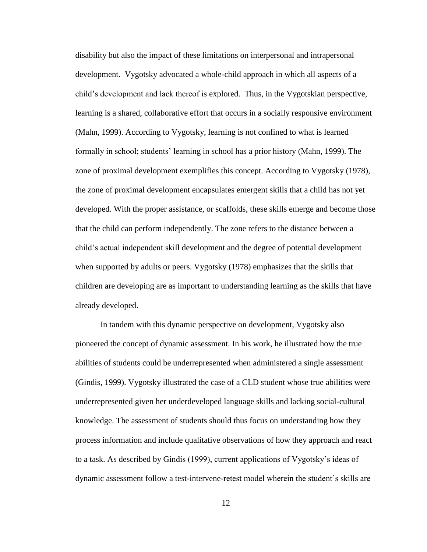disability but also the impact of these limitations on interpersonal and intrapersonal development. Vygotsky advocated a whole-child approach in which all aspects of a child's development and lack thereof is explored. Thus, in the Vygotskian perspective, learning is a shared, collaborative effort that occurs in a socially responsive environment (Mahn, 1999). According to Vygotsky, learning is not confined to what is learned formally in school; students' learning in school has a prior history (Mahn, 1999). The zone of proximal development exemplifies this concept. According to Vygotsky (1978), the zone of proximal development encapsulates emergent skills that a child has not yet developed. With the proper assistance, or scaffolds, these skills emerge and become those that the child can perform independently. The zone refers to the distance between a child's actual independent skill development and the degree of potential development when supported by adults or peers. Vygotsky (1978) emphasizes that the skills that children are developing are as important to understanding learning as the skills that have already developed.

In tandem with this dynamic perspective on development, Vygotsky also pioneered the concept of dynamic assessment. In his work, he illustrated how the true abilities of students could be underrepresented when administered a single assessment (Gindis, 1999). Vygotsky illustrated the case of a CLD student whose true abilities were underrepresented given her underdeveloped language skills and lacking social-cultural knowledge. The assessment of students should thus focus on understanding how they process information and include qualitative observations of how they approach and react to a task. As described by Gindis (1999), current applications of Vygotsky's ideas of dynamic assessment follow a test-intervene-retest model wherein the student's skills are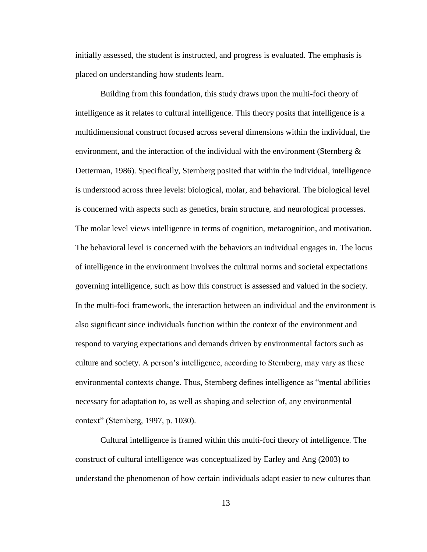initially assessed, the student is instructed, and progress is evaluated. The emphasis is placed on understanding how students learn.

Building from this foundation, this study draws upon the multi-foci theory of intelligence as it relates to cultural intelligence. This theory posits that intelligence is a multidimensional construct focused across several dimensions within the individual, the environment, and the interaction of the individual with the environment (Sternberg  $\&$ Detterman, 1986). Specifically, Sternberg posited that within the individual, intelligence is understood across three levels: biological, molar, and behavioral. The biological level is concerned with aspects such as genetics, brain structure, and neurological processes. The molar level views intelligence in terms of cognition, metacognition, and motivation. The behavioral level is concerned with the behaviors an individual engages in. The locus of intelligence in the environment involves the cultural norms and societal expectations governing intelligence, such as how this construct is assessed and valued in the society. In the multi-foci framework, the interaction between an individual and the environment is also significant since individuals function within the context of the environment and respond to varying expectations and demands driven by environmental factors such as culture and society. A person's intelligence, according to Sternberg, may vary as these environmental contexts change. Thus, Sternberg defines intelligence as "mental abilities necessary for adaptation to, as well as shaping and selection of, any environmental context" (Sternberg, 1997, p. 1030).

Cultural intelligence is framed within this multi-foci theory of intelligence. The construct of cultural intelligence was conceptualized by Earley and Ang (2003) to understand the phenomenon of how certain individuals adapt easier to new cultures than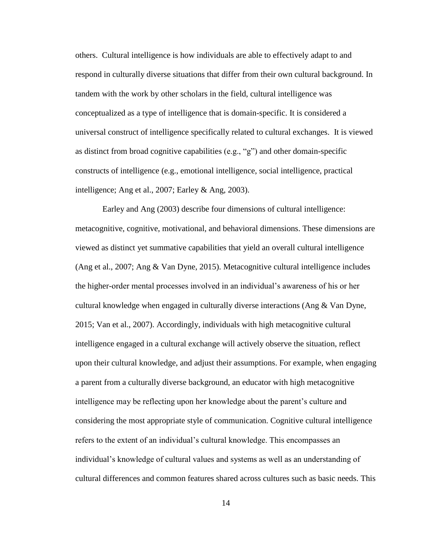others. Cultural intelligence is how individuals are able to effectively adapt to and respond in culturally diverse situations that differ from their own cultural background. In tandem with the work by other scholars in the field, cultural intelligence was conceptualized as a type of intelligence that is domain-specific. It is considered a universal construct of intelligence specifically related to cultural exchanges. It is viewed as distinct from broad cognitive capabilities (e.g., "g") and other domain-specific constructs of intelligence (e.g., emotional intelligence, social intelligence, practical intelligence; Ang et al., 2007; Earley & Ang, 2003).

Earley and Ang (2003) describe four dimensions of cultural intelligence: metacognitive, cognitive, motivational, and behavioral dimensions. These dimensions are viewed as distinct yet summative capabilities that yield an overall cultural intelligence (Ang et al., 2007; Ang & Van Dyne, 2015). Metacognitive cultural intelligence includes the higher-order mental processes involved in an individual's awareness of his or her cultural knowledge when engaged in culturally diverse interactions (Ang & Van Dyne, 2015; Van et al., 2007). Accordingly, individuals with high metacognitive cultural intelligence engaged in a cultural exchange will actively observe the situation, reflect upon their cultural knowledge, and adjust their assumptions. For example, when engaging a parent from a culturally diverse background, an educator with high metacognitive intelligence may be reflecting upon her knowledge about the parent's culture and considering the most appropriate style of communication. Cognitive cultural intelligence refers to the extent of an individual's cultural knowledge. This encompasses an individual's knowledge of cultural values and systems as well as an understanding of cultural differences and common features shared across cultures such as basic needs. This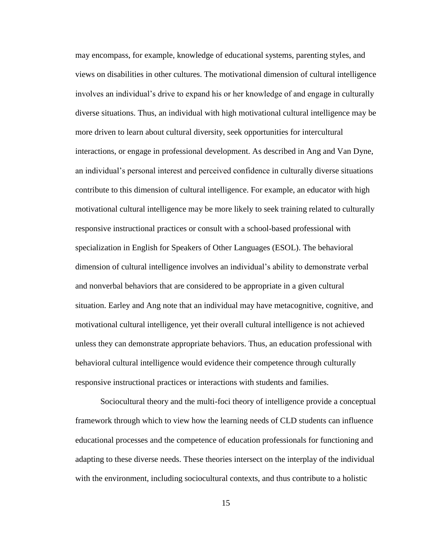may encompass, for example, knowledge of educational systems, parenting styles, and views on disabilities in other cultures. The motivational dimension of cultural intelligence involves an individual's drive to expand his or her knowledge of and engage in culturally diverse situations. Thus, an individual with high motivational cultural intelligence may be more driven to learn about cultural diversity, seek opportunities for intercultural interactions, or engage in professional development. As described in Ang and Van Dyne, an individual's personal interest and perceived confidence in culturally diverse situations contribute to this dimension of cultural intelligence. For example, an educator with high motivational cultural intelligence may be more likely to seek training related to culturally responsive instructional practices or consult with a school-based professional with specialization in English for Speakers of Other Languages (ESOL). The behavioral dimension of cultural intelligence involves an individual's ability to demonstrate verbal and nonverbal behaviors that are considered to be appropriate in a given cultural situation. Earley and Ang note that an individual may have metacognitive, cognitive, and motivational cultural intelligence, yet their overall cultural intelligence is not achieved unless they can demonstrate appropriate behaviors. Thus, an education professional with behavioral cultural intelligence would evidence their competence through culturally responsive instructional practices or interactions with students and families.

Sociocultural theory and the multi-foci theory of intelligence provide a conceptual framework through which to view how the learning needs of CLD students can influence educational processes and the competence of education professionals for functioning and adapting to these diverse needs. These theories intersect on the interplay of the individual with the environment, including sociocultural contexts, and thus contribute to a holistic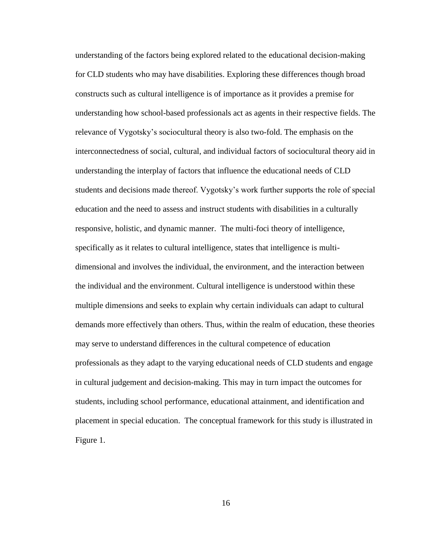understanding of the factors being explored related to the educational decision-making for CLD students who may have disabilities. Exploring these differences though broad constructs such as cultural intelligence is of importance as it provides a premise for understanding how school-based professionals act as agents in their respective fields. The relevance of Vygotsky's sociocultural theory is also two-fold. The emphasis on the interconnectedness of social, cultural, and individual factors of sociocultural theory aid in understanding the interplay of factors that influence the educational needs of CLD students and decisions made thereof. Vygotsky's work further supports the role of special education and the need to assess and instruct students with disabilities in a culturally responsive, holistic, and dynamic manner. The multi-foci theory of intelligence, specifically as it relates to cultural intelligence, states that intelligence is multidimensional and involves the individual, the environment, and the interaction between the individual and the environment. Cultural intelligence is understood within these multiple dimensions and seeks to explain why certain individuals can adapt to cultural demands more effectively than others. Thus, within the realm of education, these theories may serve to understand differences in the cultural competence of education professionals as they adapt to the varying educational needs of CLD students and engage in cultural judgement and decision-making. This may in turn impact the outcomes for students, including school performance, educational attainment, and identification and placement in special education. The conceptual framework for this study is illustrated in Figure 1.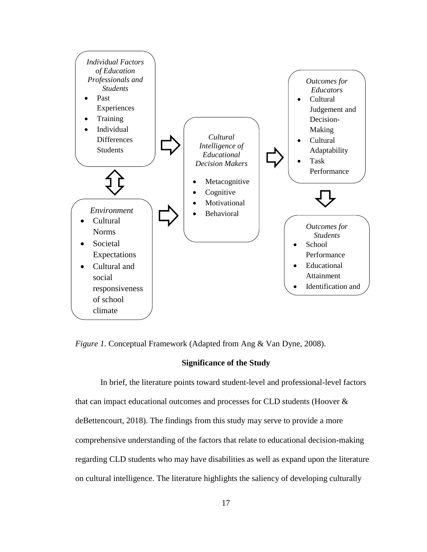

*Figure 1.* Conceptual Framework (Adapted from Ang & Van Dyne, 2008).

#### **Significance of the Study**

In brief, the literature points toward student-level and professional-level factors that can impact educational outcomes and processes for CLD students (Hoover & deBettencourt, 2018). The findings from this study may serve to provide a more comprehensive understanding of the factors that relate to educational decision-making regarding CLD students who may have disabilities as well as expand upon the literature on cultural intelligence. The literature highlights the saliency of developing culturally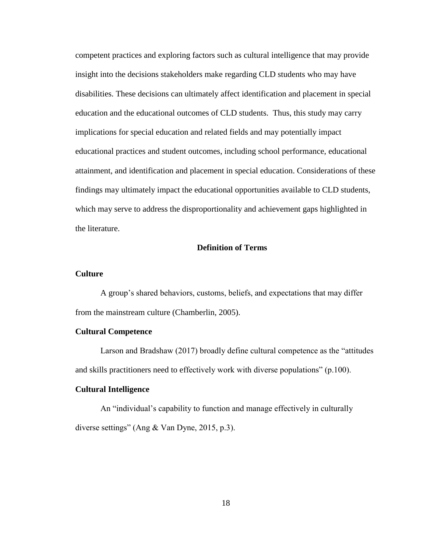competent practices and exploring factors such as cultural intelligence that may provide insight into the decisions stakeholders make regarding CLD students who may have disabilities. These decisions can ultimately affect identification and placement in special education and the educational outcomes of CLD students. Thus, this study may carry implications for special education and related fields and may potentially impact educational practices and student outcomes, including school performance, educational attainment, and identification and placement in special education. Considerations of these findings may ultimately impact the educational opportunities available to CLD students, which may serve to address the disproportionality and achievement gaps highlighted in the literature.

# **Definition of Terms**

## **Culture**

A group's shared behaviors, customs, beliefs, and expectations that may differ from the mainstream culture (Chamberlin, 2005).

#### **Cultural Competence**

Larson and Bradshaw (2017) broadly define cultural competence as the "attitudes and skills practitioners need to effectively work with diverse populations" (p.100).

# **Cultural Intelligence**

An "individual's capability to function and manage effectively in culturally diverse settings" (Ang & Van Dyne, 2015, p.3).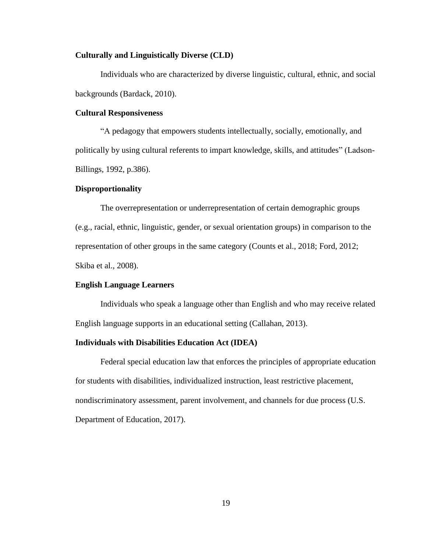# **Culturally and Linguistically Diverse (CLD)**

Individuals who are characterized by diverse linguistic, cultural, ethnic, and social backgrounds (Bardack, 2010).

## **Cultural Responsiveness**

"A pedagogy that empowers students intellectually, socially, emotionally, and politically by using cultural referents to impart knowledge, skills, and attitudes" (Ladson-Billings, 1992, p.386).

## **Disproportionality**

The overrepresentation or underrepresentation of certain demographic groups (e.g., racial, ethnic, linguistic, gender, or sexual orientation groups) in comparison to the representation of other groups in the same category (Counts et al., 2018; Ford, 2012; Skiba et al., 2008).

# **English Language Learners**

Individuals who speak a language other than English and who may receive related English language supports in an educational setting (Callahan, 2013).

# **Individuals with Disabilities Education Act (IDEA)**

Federal special education law that enforces the principles of appropriate education for students with disabilities, individualized instruction, least restrictive placement, nondiscriminatory assessment, parent involvement, and channels for due process (U.S. Department of Education, 2017).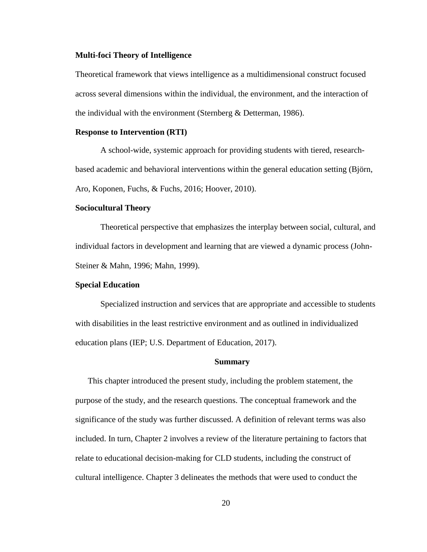#### **Multi-foci Theory of Intelligence**

Theoretical framework that views intelligence as a multidimensional construct focused across several dimensions within the individual, the environment, and the interaction of the individual with the environment (Sternberg & Detterman, 1986).

#### **Response to Intervention (RTI)**

A school-wide, systemic approach for providing students with tiered, researchbased academic and behavioral interventions within the general education setting (Björn, Aro, Koponen, Fuchs, & Fuchs, 2016; Hoover, 2010).

# **Sociocultural Theory**

Theoretical perspective that emphasizes the interplay between social, cultural, and individual factors in development and learning that are viewed a dynamic process (John-Steiner & Mahn, 1996; Mahn, 1999).

## **Special Education**

Specialized instruction and services that are appropriate and accessible to students with disabilities in the least restrictive environment and as outlined in individualized education plans (IEP; U.S. Department of Education, 2017).

#### **Summary**

This chapter introduced the present study, including the problem statement, the purpose of the study, and the research questions. The conceptual framework and the significance of the study was further discussed. A definition of relevant terms was also included. In turn, Chapter 2 involves a review of the literature pertaining to factors that relate to educational decision-making for CLD students, including the construct of cultural intelligence. Chapter 3 delineates the methods that were used to conduct the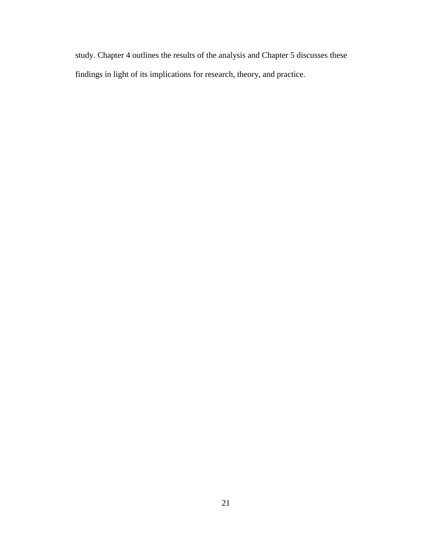study. Chapter 4 outlines the results of the analysis and Chapter 5 discusses these findings in light of its implications for research, theory, and practice.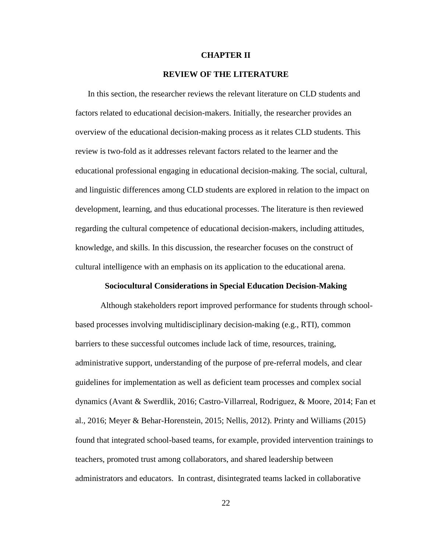# **CHAPTER II**

# **REVIEW OF THE LITERATURE**

In this section, the researcher reviews the relevant literature on CLD students and factors related to educational decision-makers. Initially, the researcher provides an overview of the educational decision-making process as it relates CLD students. This review is two-fold as it addresses relevant factors related to the learner and the educational professional engaging in educational decision-making. The social, cultural, and linguistic differences among CLD students are explored in relation to the impact on development, learning, and thus educational processes. The literature is then reviewed regarding the cultural competence of educational decision-makers, including attitudes, knowledge, and skills. In this discussion, the researcher focuses on the construct of cultural intelligence with an emphasis on its application to the educational arena.

#### **Sociocultural Considerations in Special Education Decision-Making**

Although stakeholders report improved performance for students through schoolbased processes involving multidisciplinary decision-making (e.g., RTI), common barriers to these successful outcomes include lack of time, resources, training, administrative support, understanding of the purpose of pre-referral models, and clear guidelines for implementation as well as deficient team processes and complex social dynamics (Avant & Swerdlik, 2016; Castro-Villarreal, Rodriguez, & Moore, 2014; Fan et al., 2016; Meyer & Behar-Horenstein, 2015; Nellis, 2012). Printy and Williams (2015) found that integrated school-based teams, for example, provided intervention trainings to teachers, promoted trust among collaborators, and shared leadership between administrators and educators. In contrast, disintegrated teams lacked in collaborative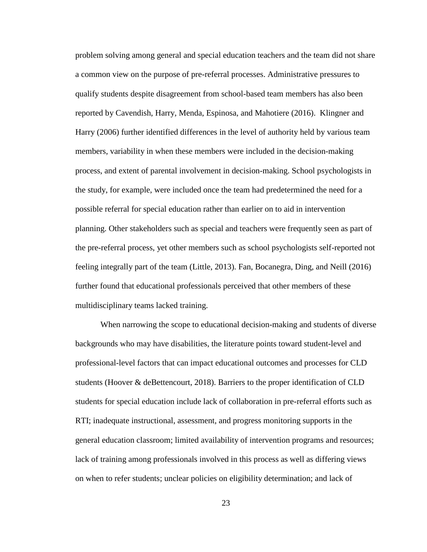problem solving among general and special education teachers and the team did not share a common view on the purpose of pre-referral processes. Administrative pressures to qualify students despite disagreement from school-based team members has also been reported by Cavendish, Harry, Menda, Espinosa, and Mahotiere (2016). Klingner and Harry (2006) further identified differences in the level of authority held by various team members, variability in when these members were included in the decision-making process, and extent of parental involvement in decision-making. School psychologists in the study, for example, were included once the team had predetermined the need for a possible referral for special education rather than earlier on to aid in intervention planning. Other stakeholders such as special and teachers were frequently seen as part of the pre-referral process, yet other members such as school psychologists self-reported not feeling integrally part of the team (Little, 2013). Fan, Bocanegra, Ding, and Neill (2016) further found that educational professionals perceived that other members of these multidisciplinary teams lacked training.

When narrowing the scope to educational decision-making and students of diverse backgrounds who may have disabilities, the literature points toward student-level and professional-level factors that can impact educational outcomes and processes for CLD students (Hoover & deBettencourt, 2018). Barriers to the proper identification of CLD students for special education include lack of collaboration in pre-referral efforts such as RTI; inadequate instructional, assessment, and progress monitoring supports in the general education classroom; limited availability of intervention programs and resources; lack of training among professionals involved in this process as well as differing views on when to refer students; unclear policies on eligibility determination; and lack of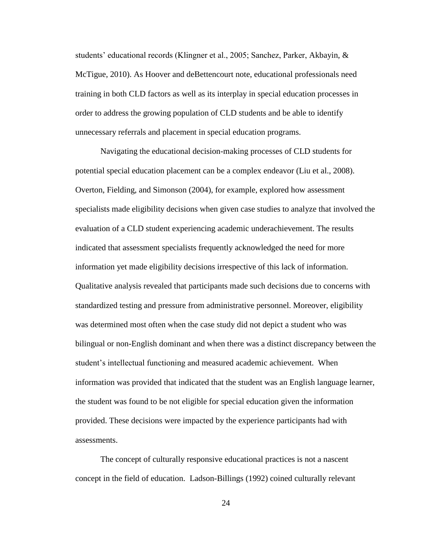students' educational records (Klingner et al., 2005; Sanchez, Parker, Akbayin, & McTigue, 2010). As Hoover and deBettencourt note, educational professionals need training in both CLD factors as well as its interplay in special education processes in order to address the growing population of CLD students and be able to identify unnecessary referrals and placement in special education programs.

Navigating the educational decision-making processes of CLD students for potential special education placement can be a complex endeavor (Liu et al., 2008). Overton, Fielding, and Simonson (2004), for example, explored how assessment specialists made eligibility decisions when given case studies to analyze that involved the evaluation of a CLD student experiencing academic underachievement. The results indicated that assessment specialists frequently acknowledged the need for more information yet made eligibility decisions irrespective of this lack of information. Qualitative analysis revealed that participants made such decisions due to concerns with standardized testing and pressure from administrative personnel. Moreover, eligibility was determined most often when the case study did not depict a student who was bilingual or non-English dominant and when there was a distinct discrepancy between the student's intellectual functioning and measured academic achievement. When information was provided that indicated that the student was an English language learner, the student was found to be not eligible for special education given the information provided. These decisions were impacted by the experience participants had with assessments.

The concept of culturally responsive educational practices is not a nascent concept in the field of education. Ladson-Billings (1992) coined culturally relevant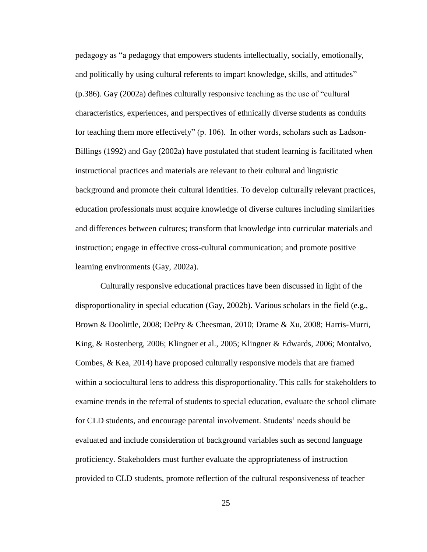pedagogy as "a pedagogy that empowers students intellectually, socially, emotionally, and politically by using cultural referents to impart knowledge, skills, and attitudes" (p.386). Gay (2002a) defines culturally responsive teaching as the use of "cultural characteristics, experiences, and perspectives of ethnically diverse students as conduits for teaching them more effectively" (p. 106). In other words, scholars such as Ladson-Billings (1992) and Gay (2002a) have postulated that student learning is facilitated when instructional practices and materials are relevant to their cultural and linguistic background and promote their cultural identities. To develop culturally relevant practices, education professionals must acquire knowledge of diverse cultures including similarities and differences between cultures; transform that knowledge into curricular materials and instruction; engage in effective cross-cultural communication; and promote positive learning environments (Gay, 2002a).

Culturally responsive educational practices have been discussed in light of the disproportionality in special education (Gay, 2002b). Various scholars in the field (e.g., Brown & Doolittle, 2008; DePry & Cheesman, 2010; Drame & Xu, 2008; Harris-Murri, King, & Rostenberg, 2006; Klingner et al., 2005; Klingner & Edwards, 2006; Montalvo, Combes, & Kea, 2014) have proposed culturally responsive models that are framed within a sociocultural lens to address this disproportionality. This calls for stakeholders to examine trends in the referral of students to special education, evaluate the school climate for CLD students, and encourage parental involvement. Students' needs should be evaluated and include consideration of background variables such as second language proficiency. Stakeholders must further evaluate the appropriateness of instruction provided to CLD students, promote reflection of the cultural responsiveness of teacher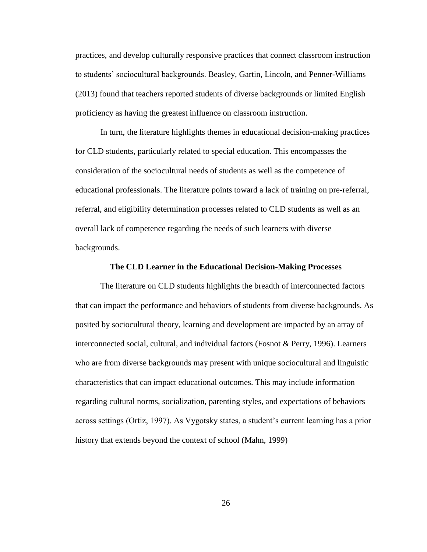practices, and develop culturally responsive practices that connect classroom instruction to students' sociocultural backgrounds. Beasley, Gartin, Lincoln, and Penner-Williams (2013) found that teachers reported students of diverse backgrounds or limited English proficiency as having the greatest influence on classroom instruction.

In turn, the literature highlights themes in educational decision-making practices for CLD students, particularly related to special education. This encompasses the consideration of the sociocultural needs of students as well as the competence of educational professionals. The literature points toward a lack of training on pre-referral, referral, and eligibility determination processes related to CLD students as well as an overall lack of competence regarding the needs of such learners with diverse backgrounds.

#### **The CLD Learner in the Educational Decision-Making Processes**

The literature on CLD students highlights the breadth of interconnected factors that can impact the performance and behaviors of students from diverse backgrounds. As posited by sociocultural theory, learning and development are impacted by an array of interconnected social, cultural, and individual factors (Fosnot & Perry, 1996). Learners who are from diverse backgrounds may present with unique sociocultural and linguistic characteristics that can impact educational outcomes. This may include information regarding cultural norms, socialization, parenting styles, and expectations of behaviors across settings (Ortiz, 1997). As Vygotsky states, a student's current learning has a prior history that extends beyond the context of school (Mahn, 1999)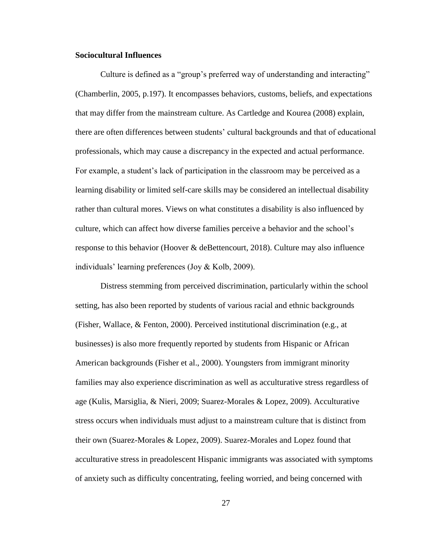# **Sociocultural Influences**

Culture is defined as a "group's preferred way of understanding and interacting" (Chamberlin, 2005, p.197). It encompasses behaviors, customs, beliefs, and expectations that may differ from the mainstream culture. As Cartledge and Kourea (2008) explain, there are often differences between students' cultural backgrounds and that of educational professionals, which may cause a discrepancy in the expected and actual performance. For example, a student's lack of participation in the classroom may be perceived as a learning disability or limited self-care skills may be considered an intellectual disability rather than cultural mores. Views on what constitutes a disability is also influenced by culture, which can affect how diverse families perceive a behavior and the school's response to this behavior (Hoover & deBettencourt, 2018). Culture may also influence individuals' learning preferences (Joy & Kolb, 2009).

Distress stemming from perceived discrimination, particularly within the school setting, has also been reported by students of various racial and ethnic backgrounds (Fisher, Wallace, & Fenton, 2000). Perceived institutional discrimination (e.g., at businesses) is also more frequently reported by students from Hispanic or African American backgrounds (Fisher et al., 2000). Youngsters from immigrant minority families may also experience discrimination as well as acculturative stress regardless of age (Kulis, Marsiglia, & Nieri, 2009; Suarez-Morales & Lopez, 2009). Acculturative stress occurs when individuals must adjust to a mainstream culture that is distinct from their own (Suarez-Morales & Lopez, 2009). Suarez-Morales and Lopez found that acculturative stress in preadolescent Hispanic immigrants was associated with symptoms of anxiety such as difficulty concentrating, feeling worried, and being concerned with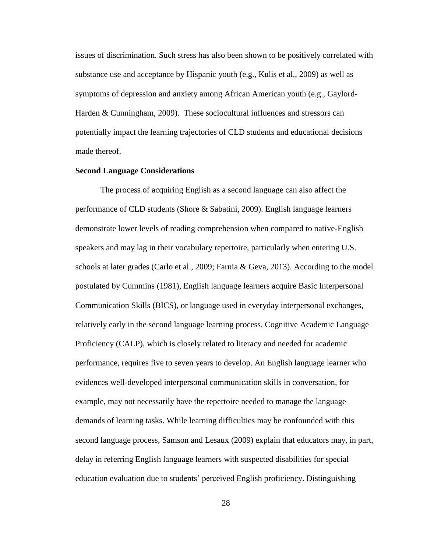issues of discrimination. Such stress has also been shown to be positively correlated with substance use and acceptance by Hispanic youth (e.g., Kulis et al., 2009) as well as symptoms of depression and anxiety among African American youth (e.g., Gaylord-Harden & Cunningham, 2009). These sociocultural influences and stressors can potentially impact the learning trajectories of CLD students and educational decisions made thereof.

#### **Second Language Considerations**

The process of acquiring English as a second language can also affect the performance of CLD students (Shore & Sabatini, 2009). English language learners demonstrate lower levels of reading comprehension when compared to native-English speakers and may lag in their vocabulary repertoire, particularly when entering U.S. schools at later grades (Carlo et al., 2009; Farnia & Geva, 2013). According to the model postulated by Cummins (1981), English language learners acquire Basic Interpersonal Communication Skills (BICS), or language used in everyday interpersonal exchanges, relatively early in the second language learning process. Cognitive Academic Language Proficiency (CALP), which is closely related to literacy and needed for academic performance, requires five to seven years to develop. An English language learner who evidences well-developed interpersonal communication skills in conversation, for example, may not necessarily have the repertoire needed to manage the language demands of learning tasks. While learning difficulties may be confounded with this second language process, Samson and Lesaux (2009) explain that educators may, in part, delay in referring English language learners with suspected disabilities for special education evaluation due to students' perceived English proficiency. Distinguishing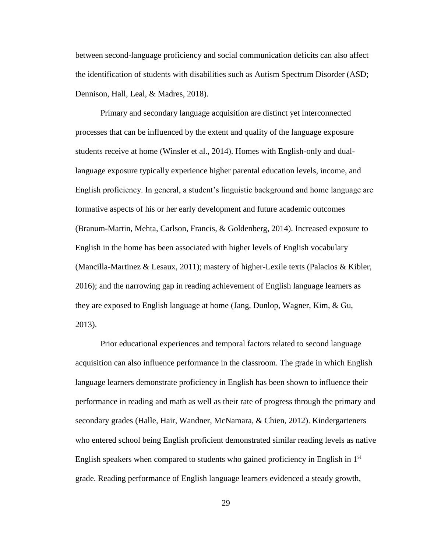between second-language proficiency and social communication deficits can also affect the identification of students with disabilities such as Autism Spectrum Disorder (ASD; Dennison, Hall, Leal, & Madres, 2018).

Primary and secondary language acquisition are distinct yet interconnected processes that can be influenced by the extent and quality of the language exposure students receive at home (Winsler et al., 2014). Homes with English-only and duallanguage exposure typically experience higher parental education levels, income, and English proficiency. In general, a student's linguistic background and home language are formative aspects of his or her early development and future academic outcomes (Branum-Martin, Mehta, Carlson, Francis, & Goldenberg, 2014). Increased exposure to English in the home has been associated with higher levels of English vocabulary (Mancilla-Martinez & Lesaux, 2011); mastery of higher-Lexile texts (Palacios & Kibler, 2016); and the narrowing gap in reading achievement of English language learners as they are exposed to English language at home (Jang, Dunlop, Wagner, Kim, & Gu, 2013).

Prior educational experiences and temporal factors related to second language acquisition can also influence performance in the classroom. The grade in which English language learners demonstrate proficiency in English has been shown to influence their performance in reading and math as well as their rate of progress through the primary and secondary grades (Halle, Hair, Wandner, McNamara, & Chien, 2012). Kindergarteners who entered school being English proficient demonstrated similar reading levels as native English speakers when compared to students who gained proficiency in English in 1<sup>st</sup> grade. Reading performance of English language learners evidenced a steady growth,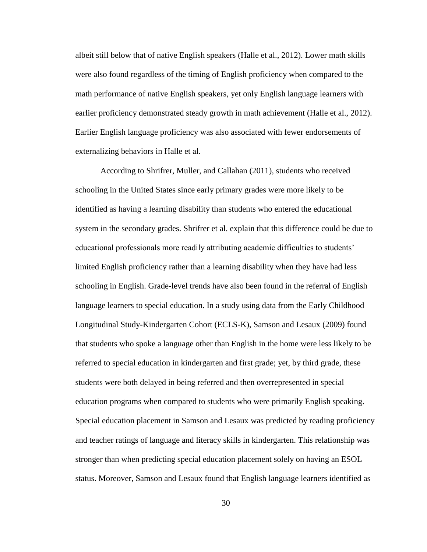albeit still below that of native English speakers (Halle et al., 2012). Lower math skills were also found regardless of the timing of English proficiency when compared to the math performance of native English speakers, yet only English language learners with earlier proficiency demonstrated steady growth in math achievement (Halle et al., 2012). Earlier English language proficiency was also associated with fewer endorsements of externalizing behaviors in Halle et al.

According to Shrifrer, Muller, and Callahan (2011), students who received schooling in the United States since early primary grades were more likely to be identified as having a learning disability than students who entered the educational system in the secondary grades. Shrifrer et al. explain that this difference could be due to educational professionals more readily attributing academic difficulties to students' limited English proficiency rather than a learning disability when they have had less schooling in English. Grade-level trends have also been found in the referral of English language learners to special education. In a study using data from the Early Childhood Longitudinal Study-Kindergarten Cohort (ECLS-K), Samson and Lesaux (2009) found that students who spoke a language other than English in the home were less likely to be referred to special education in kindergarten and first grade; yet, by third grade, these students were both delayed in being referred and then overrepresented in special education programs when compared to students who were primarily English speaking. Special education placement in Samson and Lesaux was predicted by reading proficiency and teacher ratings of language and literacy skills in kindergarten. This relationship was stronger than when predicting special education placement solely on having an ESOL status. Moreover, Samson and Lesaux found that English language learners identified as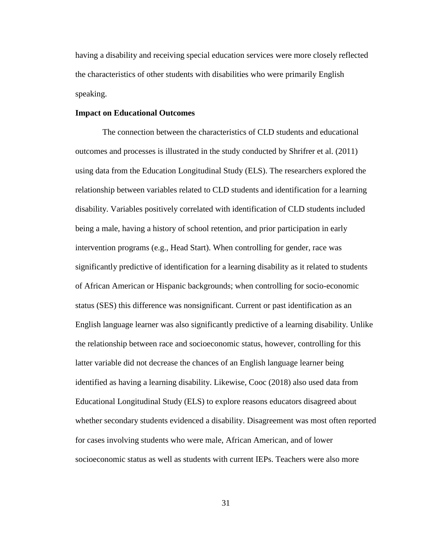having a disability and receiving special education services were more closely reflected the characteristics of other students with disabilities who were primarily English speaking.

#### **Impact on Educational Outcomes**

The connection between the characteristics of CLD students and educational outcomes and processes is illustrated in the study conducted by Shrifrer et al. (2011) using data from the Education Longitudinal Study (ELS). The researchers explored the relationship between variables related to CLD students and identification for a learning disability. Variables positively correlated with identification of CLD students included being a male, having a history of school retention, and prior participation in early intervention programs (e.g., Head Start). When controlling for gender, race was significantly predictive of identification for a learning disability as it related to students of African American or Hispanic backgrounds; when controlling for socio-economic status (SES) this difference was nonsignificant. Current or past identification as an English language learner was also significantly predictive of a learning disability. Unlike the relationship between race and socioeconomic status, however, controlling for this latter variable did not decrease the chances of an English language learner being identified as having a learning disability. Likewise, Cooc (2018) also used data from Educational Longitudinal Study (ELS) to explore reasons educators disagreed about whether secondary students evidenced a disability. Disagreement was most often reported for cases involving students who were male, African American, and of lower socioeconomic status as well as students with current IEPs. Teachers were also more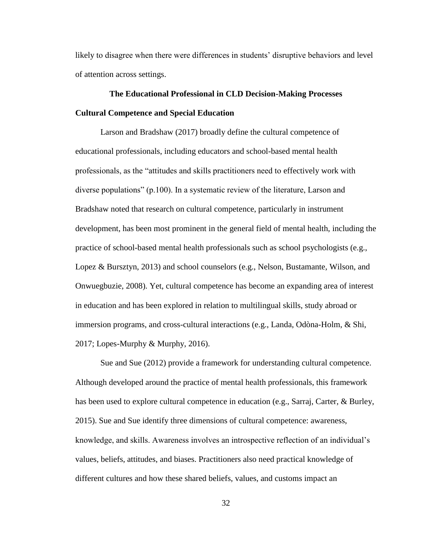likely to disagree when there were differences in students' disruptive behaviors and level of attention across settings.

# **The Educational Professional in CLD Decision-Making Processes Cultural Competence and Special Education**

Larson and Bradshaw (2017) broadly define the cultural competence of educational professionals, including educators and school-based mental health professionals, as the "attitudes and skills practitioners need to effectively work with diverse populations" (p.100). In a systematic review of the literature, Larson and Bradshaw noted that research on cultural competence, particularly in instrument development, has been most prominent in the general field of mental health, including the practice of school-based mental health professionals such as school psychologists (e.g., Lopez & Bursztyn, 2013) and school counselors (e.g., Nelson, Bustamante, Wilson, and Onwuegbuzie, 2008). Yet, cultural competence has become an expanding area of interest in education and has been explored in relation to multilingual skills, study abroad or immersion programs, and cross-cultural interactions (e.g., Landa, Odòna-Holm, & Shi, 2017; Lopes-Murphy & Murphy, 2016).

Sue and Sue (2012) provide a framework for understanding cultural competence. Although developed around the practice of mental health professionals, this framework has been used to explore cultural competence in education (e.g., Sarraj, Carter, & Burley, 2015). Sue and Sue identify three dimensions of cultural competence: awareness, knowledge, and skills. Awareness involves an introspective reflection of an individual's values, beliefs, attitudes, and biases. Practitioners also need practical knowledge of different cultures and how these shared beliefs, values, and customs impact an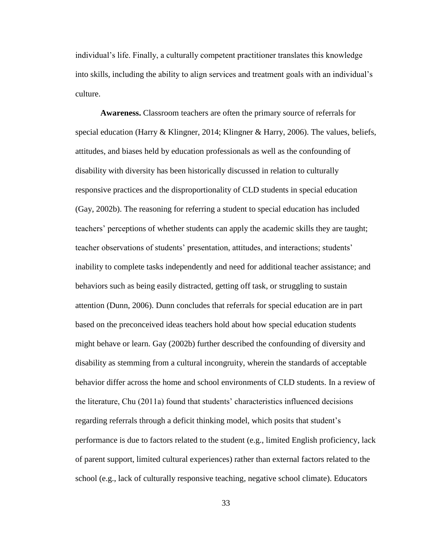individual's life. Finally, a culturally competent practitioner translates this knowledge into skills, including the ability to align services and treatment goals with an individual's culture.

**Awareness.** Classroom teachers are often the primary source of referrals for special education (Harry & Klingner, 2014; Klingner & Harry, 2006). The values, beliefs, attitudes, and biases held by education professionals as well as the confounding of disability with diversity has been historically discussed in relation to culturally responsive practices and the disproportionality of CLD students in special education (Gay, 2002b). The reasoning for referring a student to special education has included teachers' perceptions of whether students can apply the academic skills they are taught; teacher observations of students' presentation, attitudes, and interactions; students' inability to complete tasks independently and need for additional teacher assistance; and behaviors such as being easily distracted, getting off task, or struggling to sustain attention (Dunn, 2006). Dunn concludes that referrals for special education are in part based on the preconceived ideas teachers hold about how special education students might behave or learn. Gay (2002b) further described the confounding of diversity and disability as stemming from a cultural incongruity, wherein the standards of acceptable behavior differ across the home and school environments of CLD students. In a review of the literature, Chu (2011a) found that students' characteristics influenced decisions regarding referrals through a deficit thinking model, which posits that student's performance is due to factors related to the student (e.g., limited English proficiency, lack of parent support, limited cultural experiences) rather than external factors related to the school (e.g., lack of culturally responsive teaching, negative school climate). Educators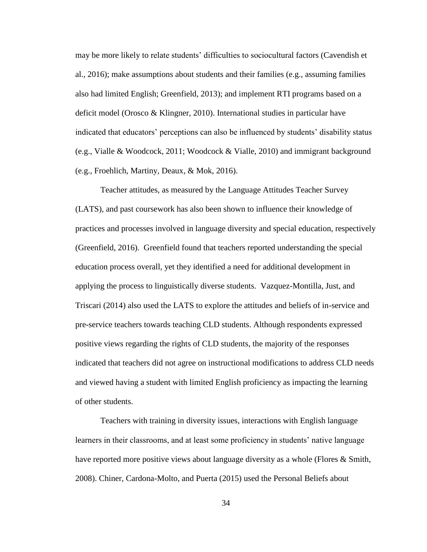may be more likely to relate students' difficulties to sociocultural factors (Cavendish et al., 2016); make assumptions about students and their families (e.g., assuming families also had limited English; Greenfield, 2013); and implement RTI programs based on a deficit model (Orosco & Klingner, 2010). International studies in particular have indicated that educators' perceptions can also be influenced by students' disability status (e.g., Vialle & Woodcock, 2011; Woodcock & Vialle, 2010) and immigrant background (e.g., Froehlich, Martiny, Deaux, & Mok, 2016).

Teacher attitudes, as measured by the Language Attitudes Teacher Survey (LATS), and past coursework has also been shown to influence their knowledge of practices and processes involved in language diversity and special education, respectively (Greenfield, 2016). Greenfield found that teachers reported understanding the special education process overall, yet they identified a need for additional development in applying the process to linguistically diverse students. Vazquez-Montilla, Just, and Triscari (2014) also used the LATS to explore the attitudes and beliefs of in-service and pre-service teachers towards teaching CLD students. Although respondents expressed positive views regarding the rights of CLD students, the majority of the responses indicated that teachers did not agree on instructional modifications to address CLD needs and viewed having a student with limited English proficiency as impacting the learning of other students.

Teachers with training in diversity issues, interactions with English language learners in their classrooms, and at least some proficiency in students' native language have reported more positive views about language diversity as a whole (Flores & Smith, 2008). Chiner, Cardona-Molto, and Puerta (2015) used the Personal Beliefs about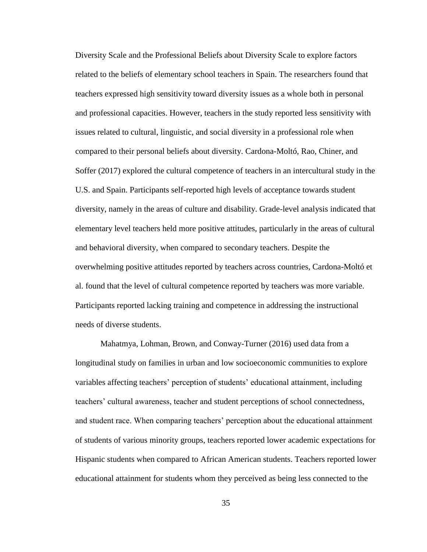Diversity Scale and the Professional Beliefs about Diversity Scale to explore factors related to the beliefs of elementary school teachers in Spain. The researchers found that teachers expressed high sensitivity toward diversity issues as a whole both in personal and professional capacities. However, teachers in the study reported less sensitivity with issues related to cultural, linguistic, and social diversity in a professional role when compared to their personal beliefs about diversity. Cardona-Moltó, Rao, Chiner, and Soffer (2017) explored the cultural competence of teachers in an intercultural study in the U.S. and Spain. Participants self-reported high levels of acceptance towards student diversity, namely in the areas of culture and disability. Grade-level analysis indicated that elementary level teachers held more positive attitudes, particularly in the areas of cultural and behavioral diversity, when compared to secondary teachers. Despite the overwhelming positive attitudes reported by teachers across countries, Cardona-Moltó et al. found that the level of cultural competence reported by teachers was more variable. Participants reported lacking training and competence in addressing the instructional needs of diverse students.

Mahatmya, Lohman, Brown, and Conway-Turner (2016) used data from a longitudinal study on families in urban and low socioeconomic communities to explore variables affecting teachers' perception of students' educational attainment, including teachers' cultural awareness, teacher and student perceptions of school connectedness, and student race. When comparing teachers' perception about the educational attainment of students of various minority groups, teachers reported lower academic expectations for Hispanic students when compared to African American students. Teachers reported lower educational attainment for students whom they perceived as being less connected to the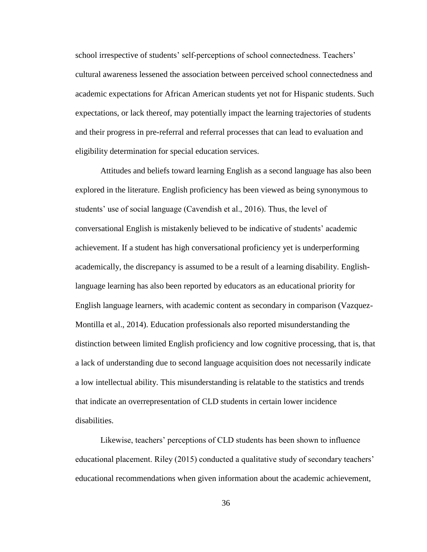school irrespective of students' self-perceptions of school connectedness. Teachers' cultural awareness lessened the association between perceived school connectedness and academic expectations for African American students yet not for Hispanic students. Such expectations, or lack thereof, may potentially impact the learning trajectories of students and their progress in pre-referral and referral processes that can lead to evaluation and eligibility determination for special education services.

Attitudes and beliefs toward learning English as a second language has also been explored in the literature. English proficiency has been viewed as being synonymous to students' use of social language (Cavendish et al., 2016). Thus, the level of conversational English is mistakenly believed to be indicative of students' academic achievement. If a student has high conversational proficiency yet is underperforming academically, the discrepancy is assumed to be a result of a learning disability. Englishlanguage learning has also been reported by educators as an educational priority for English language learners, with academic content as secondary in comparison (Vazquez-Montilla et al., 2014). Education professionals also reported misunderstanding the distinction between limited English proficiency and low cognitive processing, that is, that a lack of understanding due to second language acquisition does not necessarily indicate a low intellectual ability. This misunderstanding is relatable to the statistics and trends that indicate an overrepresentation of CLD students in certain lower incidence disabilities.

Likewise, teachers' perceptions of CLD students has been shown to influence educational placement. Riley (2015) conducted a qualitative study of secondary teachers' educational recommendations when given information about the academic achievement,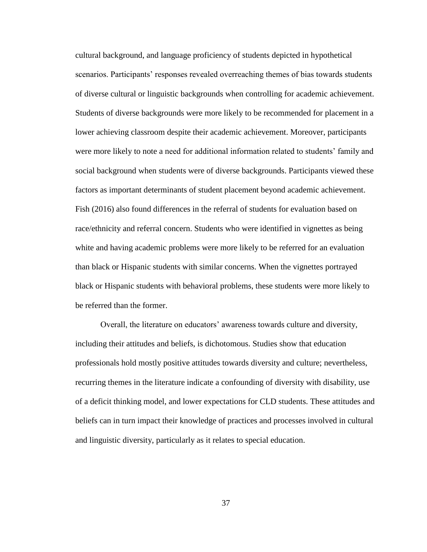cultural background, and language proficiency of students depicted in hypothetical scenarios. Participants' responses revealed overreaching themes of bias towards students of diverse cultural or linguistic backgrounds when controlling for academic achievement. Students of diverse backgrounds were more likely to be recommended for placement in a lower achieving classroom despite their academic achievement. Moreover, participants were more likely to note a need for additional information related to students' family and social background when students were of diverse backgrounds. Participants viewed these factors as important determinants of student placement beyond academic achievement. Fish (2016) also found differences in the referral of students for evaluation based on race/ethnicity and referral concern. Students who were identified in vignettes as being white and having academic problems were more likely to be referred for an evaluation than black or Hispanic students with similar concerns. When the vignettes portrayed black or Hispanic students with behavioral problems, these students were more likely to be referred than the former.

Overall, the literature on educators' awareness towards culture and diversity, including their attitudes and beliefs, is dichotomous. Studies show that education professionals hold mostly positive attitudes towards diversity and culture; nevertheless, recurring themes in the literature indicate a confounding of diversity with disability, use of a deficit thinking model, and lower expectations for CLD students. These attitudes and beliefs can in turn impact their knowledge of practices and processes involved in cultural and linguistic diversity, particularly as it relates to special education.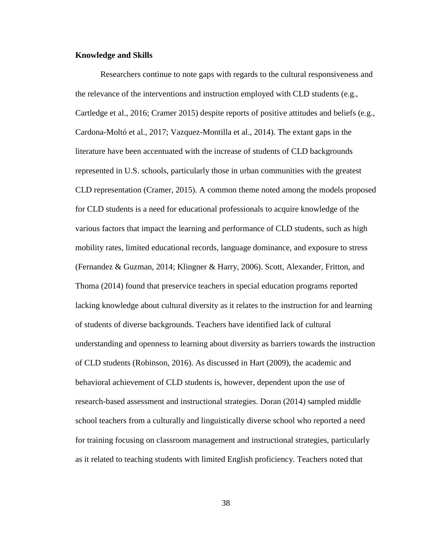#### **Knowledge and Skills**

Researchers continue to note gaps with regards to the cultural responsiveness and the relevance of the interventions and instruction employed with CLD students (e.g., Cartledge et al., 2016; Cramer 2015) despite reports of positive attitudes and beliefs (e.g., Cardona-Moltó et al., 2017; Vazquez-Montilla et al., 2014). The extant gaps in the literature have been accentuated with the increase of students of CLD backgrounds represented in U.S. schools, particularly those in urban communities with the greatest CLD representation (Cramer, 2015). A common theme noted among the models proposed for CLD students is a need for educational professionals to acquire knowledge of the various factors that impact the learning and performance of CLD students, such as high mobility rates, limited educational records, language dominance, and exposure to stress (Fernandez & Guzman, 2014; Klingner & Harry, 2006). Scott, Alexander, Fritton, and Thoma (2014) found that preservice teachers in special education programs reported lacking knowledge about cultural diversity as it relates to the instruction for and learning of students of diverse backgrounds. Teachers have identified lack of cultural understanding and openness to learning about diversity as barriers towards the instruction of CLD students (Robinson, 2016). As discussed in Hart (2009), the academic and behavioral achievement of CLD students is, however, dependent upon the use of research-based assessment and instructional strategies. Doran (2014) sampled middle school teachers from a culturally and linguistically diverse school who reported a need for training focusing on classroom management and instructional strategies, particularly as it related to teaching students with limited English proficiency. Teachers noted that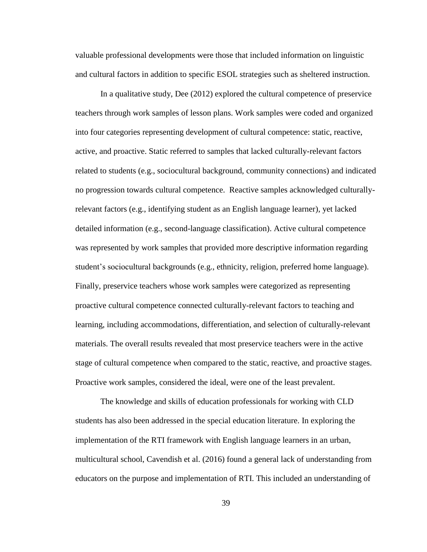valuable professional developments were those that included information on linguistic and cultural factors in addition to specific ESOL strategies such as sheltered instruction.

In a qualitative study, Dee (2012) explored the cultural competence of preservice teachers through work samples of lesson plans. Work samples were coded and organized into four categories representing development of cultural competence: static, reactive, active, and proactive. Static referred to samples that lacked culturally-relevant factors related to students (e.g., sociocultural background, community connections) and indicated no progression towards cultural competence. Reactive samples acknowledged culturallyrelevant factors (e.g., identifying student as an English language learner), yet lacked detailed information (e.g., second-language classification). Active cultural competence was represented by work samples that provided more descriptive information regarding student's sociocultural backgrounds (e.g., ethnicity, religion, preferred home language). Finally, preservice teachers whose work samples were categorized as representing proactive cultural competence connected culturally-relevant factors to teaching and learning, including accommodations, differentiation, and selection of culturally-relevant materials. The overall results revealed that most preservice teachers were in the active stage of cultural competence when compared to the static, reactive, and proactive stages. Proactive work samples, considered the ideal, were one of the least prevalent.

The knowledge and skills of education professionals for working with CLD students has also been addressed in the special education literature. In exploring the implementation of the RTI framework with English language learners in an urban, multicultural school, Cavendish et al. (2016) found a general lack of understanding from educators on the purpose and implementation of RTI. This included an understanding of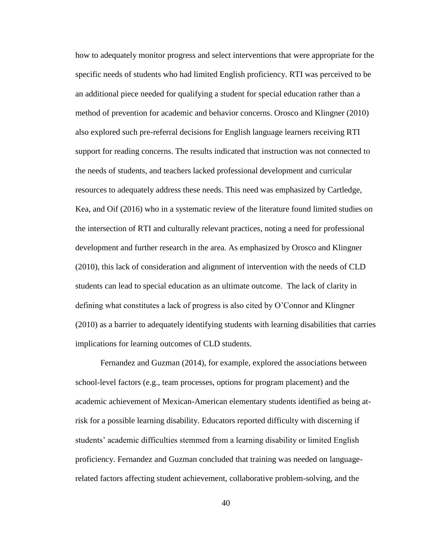how to adequately monitor progress and select interventions that were appropriate for the specific needs of students who had limited English proficiency. RTI was perceived to be an additional piece needed for qualifying a student for special education rather than a method of prevention for academic and behavior concerns. Orosco and Klingner (2010) also explored such pre-referral decisions for English language learners receiving RTI support for reading concerns. The results indicated that instruction was not connected to the needs of students, and teachers lacked professional development and curricular resources to adequately address these needs. This need was emphasized by Cartledge, Kea, and Oif (2016) who in a systematic review of the literature found limited studies on the intersection of RTI and culturally relevant practices, noting a need for professional development and further research in the area. As emphasized by Orosco and Klingner (2010), this lack of consideration and alignment of intervention with the needs of CLD students can lead to special education as an ultimate outcome. The lack of clarity in defining what constitutes a lack of progress is also cited by O'Connor and Klingner (2010) as a barrier to adequately identifying students with learning disabilities that carries implications for learning outcomes of CLD students.

Fernandez and Guzman (2014), for example, explored the associations between school-level factors (e.g., team processes, options for program placement) and the academic achievement of Mexican-American elementary students identified as being atrisk for a possible learning disability. Educators reported difficulty with discerning if students' academic difficulties stemmed from a learning disability or limited English proficiency. Fernandez and Guzman concluded that training was needed on languagerelated factors affecting student achievement, collaborative problem-solving, and the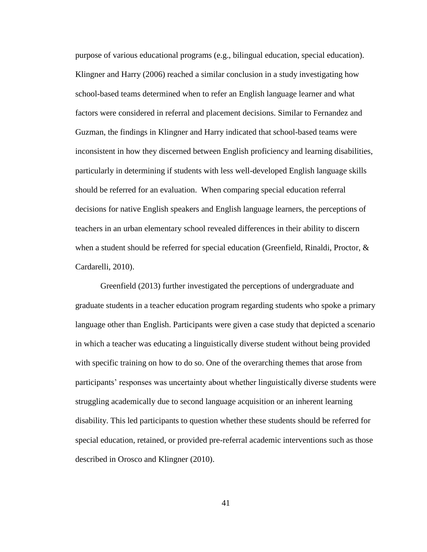purpose of various educational programs (e.g., bilingual education, special education). Klingner and Harry (2006) reached a similar conclusion in a study investigating how school-based teams determined when to refer an English language learner and what factors were considered in referral and placement decisions. Similar to Fernandez and Guzman, the findings in Klingner and Harry indicated that school-based teams were inconsistent in how they discerned between English proficiency and learning disabilities, particularly in determining if students with less well-developed English language skills should be referred for an evaluation. When comparing special education referral decisions for native English speakers and English language learners, the perceptions of teachers in an urban elementary school revealed differences in their ability to discern when a student should be referred for special education (Greenfield, Rinaldi, Proctor, & Cardarelli, 2010).

Greenfield (2013) further investigated the perceptions of undergraduate and graduate students in a teacher education program regarding students who spoke a primary language other than English. Participants were given a case study that depicted a scenario in which a teacher was educating a linguistically diverse student without being provided with specific training on how to do so. One of the overarching themes that arose from participants' responses was uncertainty about whether linguistically diverse students were struggling academically due to second language acquisition or an inherent learning disability. This led participants to question whether these students should be referred for special education, retained, or provided pre-referral academic interventions such as those described in Orosco and Klingner (2010).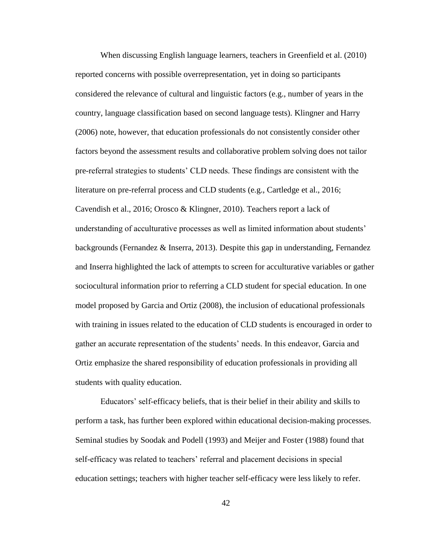When discussing English language learners, teachers in Greenfield et al. (2010) reported concerns with possible overrepresentation, yet in doing so participants considered the relevance of cultural and linguistic factors (e.g., number of years in the country, language classification based on second language tests). Klingner and Harry (2006) note, however, that education professionals do not consistently consider other factors beyond the assessment results and collaborative problem solving does not tailor pre-referral strategies to students' CLD needs. These findings are consistent with the literature on pre-referral process and CLD students (e.g., Cartledge et al., 2016; Cavendish et al., 2016; Orosco & Klingner, 2010). Teachers report a lack of understanding of acculturative processes as well as limited information about students' backgrounds (Fernandez & Inserra, 2013). Despite this gap in understanding, Fernandez and Inserra highlighted the lack of attempts to screen for acculturative variables or gather sociocultural information prior to referring a CLD student for special education. In one model proposed by Garcia and Ortiz (2008), the inclusion of educational professionals with training in issues related to the education of CLD students is encouraged in order to gather an accurate representation of the students' needs. In this endeavor, Garcia and Ortiz emphasize the shared responsibility of education professionals in providing all students with quality education.

Educators' self-efficacy beliefs, that is their belief in their ability and skills to perform a task, has further been explored within educational decision-making processes. Seminal studies by Soodak and Podell (1993) and Meijer and Foster (1988) found that self-efficacy was related to teachers' referral and placement decisions in special education settings; teachers with higher teacher self-efficacy were less likely to refer.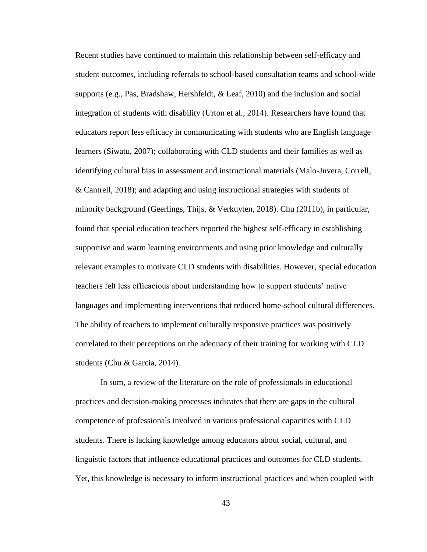Recent studies have continued to maintain this relationship between self-efficacy and student outcomes, including referrals to school-based consultation teams and school-wide supports (e.g., Pas, Bradshaw, Hershfeldt,  $&$  Leaf, 2010) and the inclusion and social integration of students with disability (Urton et al., 2014). Researchers have found that educators report less efficacy in communicating with students who are English language learners (Siwatu, 2007); collaborating with CLD students and their families as well as identifying cultural bias in assessment and instructional materials (Malo-Juvera, Correll, & Cantrell, 2018); and adapting and using instructional strategies with students of minority background (Geerlings, Thijs, & Verkuyten, 2018). Chu (2011b), in particular, found that special education teachers reported the highest self-efficacy in establishing supportive and warm learning environments and using prior knowledge and culturally relevant examples to motivate CLD students with disabilities. However, special education teachers felt less efficacious about understanding how to support students' native languages and implementing interventions that reduced home-school cultural differences. The ability of teachers to implement culturally responsive practices was positively correlated to their perceptions on the adequacy of their training for working with CLD students (Chu & Garcia, 2014).

In sum, a review of the literature on the role of professionals in educational practices and decision-making processes indicates that there are gaps in the cultural competence of professionals involved in various professional capacities with CLD students. There is lacking knowledge among educators about social, cultural, and linguistic factors that influence educational practices and outcomes for CLD students. Yet, this knowledge is necessary to inform instructional practices and when coupled with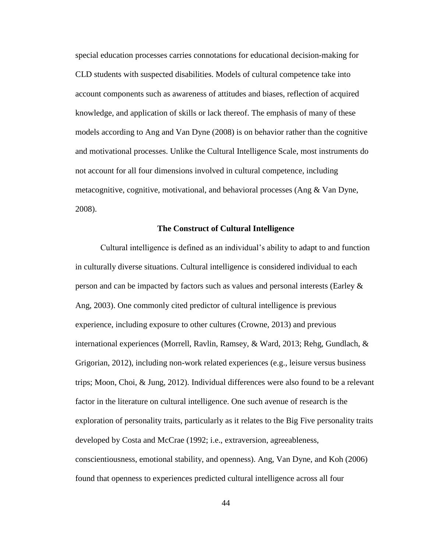special education processes carries connotations for educational decision-making for CLD students with suspected disabilities. Models of cultural competence take into account components such as awareness of attitudes and biases, reflection of acquired knowledge, and application of skills or lack thereof. The emphasis of many of these models according to Ang and Van Dyne (2008) is on behavior rather than the cognitive and motivational processes. Unlike the Cultural Intelligence Scale, most instruments do not account for all four dimensions involved in cultural competence, including metacognitive, cognitive, motivational, and behavioral processes (Ang & Van Dyne, 2008).

#### **The Construct of Cultural Intelligence**

Cultural intelligence is defined as an individual's ability to adapt to and function in culturally diverse situations. Cultural intelligence is considered individual to each person and can be impacted by factors such as values and personal interests (Earley & Ang, 2003). One commonly cited predictor of cultural intelligence is previous experience, including exposure to other cultures (Crowne, 2013) and previous international experiences (Morrell, Ravlin, Ramsey, & Ward, 2013; Rehg, Gundlach, & Grigorian, 2012), including non-work related experiences (e.g., leisure versus business trips; Moon, Choi, & Jung, 2012). Individual differences were also found to be a relevant factor in the literature on cultural intelligence. One such avenue of research is the exploration of personality traits, particularly as it relates to the Big Five personality traits developed by Costa and McCrae (1992; i.e., extraversion, agreeableness, conscientiousness, emotional stability, and openness). Ang, Van Dyne, and Koh (2006) found that openness to experiences predicted cultural intelligence across all four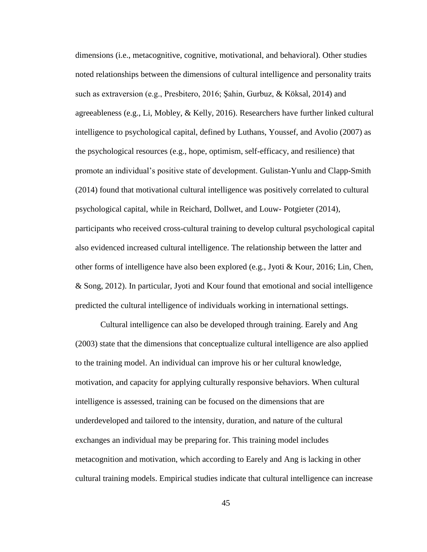dimensions (i.e., metacognitive, cognitive, motivational, and behavioral). Other studies noted relationships between the dimensions of cultural intelligence and personality traits such as extraversion (e.g., Presbitero, 2016; Şahin, Gurbuz, & Köksal, 2014) and agreeableness (e.g., Li, Mobley, & Kelly, 2016). Researchers have further linked cultural intelligence to psychological capital, defined by Luthans, Youssef, and Avolio (2007) as the psychological resources (e.g., hope, optimism, self-efficacy, and resilience) that promote an individual's positive state of development. Gulistan-Yunlu and Clapp-Smith (2014) found that motivational cultural intelligence was positively correlated to cultural psychological capital, while in Reichard, Dollwet, and Louw- Potgieter (2014), participants who received cross-cultural training to develop cultural psychological capital also evidenced increased cultural intelligence. The relationship between the latter and other forms of intelligence have also been explored (e.g., Jyoti & Kour, 2016; Lin, Chen, & Song, 2012). In particular, Jyoti and Kour found that emotional and social intelligence predicted the cultural intelligence of individuals working in international settings.

Cultural intelligence can also be developed through training. Earely and Ang (2003) state that the dimensions that conceptualize cultural intelligence are also applied to the training model. An individual can improve his or her cultural knowledge, motivation, and capacity for applying culturally responsive behaviors. When cultural intelligence is assessed, training can be focused on the dimensions that are underdeveloped and tailored to the intensity, duration, and nature of the cultural exchanges an individual may be preparing for. This training model includes metacognition and motivation, which according to Earely and Ang is lacking in other cultural training models. Empirical studies indicate that cultural intelligence can increase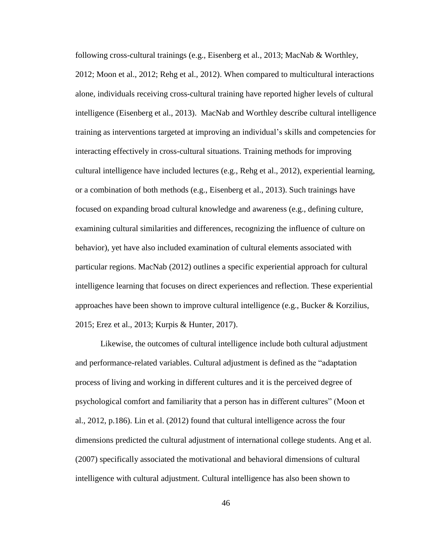following cross-cultural trainings (e.g., Eisenberg et al., 2013; MacNab & Worthley, 2012; Moon et al., 2012; Rehg et al., 2012). When compared to multicultural interactions alone, individuals receiving cross-cultural training have reported higher levels of cultural intelligence (Eisenberg et al., 2013). MacNab and Worthley describe cultural intelligence training as interventions targeted at improving an individual's skills and competencies for interacting effectively in cross-cultural situations. Training methods for improving cultural intelligence have included lectures (e.g., Rehg et al., 2012), experiential learning, or a combination of both methods (e.g., Eisenberg et al., 2013). Such trainings have focused on expanding broad cultural knowledge and awareness (e.g., defining culture, examining cultural similarities and differences, recognizing the influence of culture on behavior), yet have also included examination of cultural elements associated with particular regions. MacNab (2012) outlines a specific experiential approach for cultural intelligence learning that focuses on direct experiences and reflection. These experiential approaches have been shown to improve cultural intelligence (e.g., Bucker & Korzilius, 2015; Erez et al., 2013; Kurpis & Hunter, 2017).

Likewise, the outcomes of cultural intelligence include both cultural adjustment and performance-related variables. Cultural adjustment is defined as the "adaptation process of living and working in different cultures and it is the perceived degree of psychological comfort and familiarity that a person has in different cultures" (Moon et al., 2012, p.186). Lin et al. (2012) found that cultural intelligence across the four dimensions predicted the cultural adjustment of international college students. Ang et al. (2007) specifically associated the motivational and behavioral dimensions of cultural intelligence with cultural adjustment. Cultural intelligence has also been shown to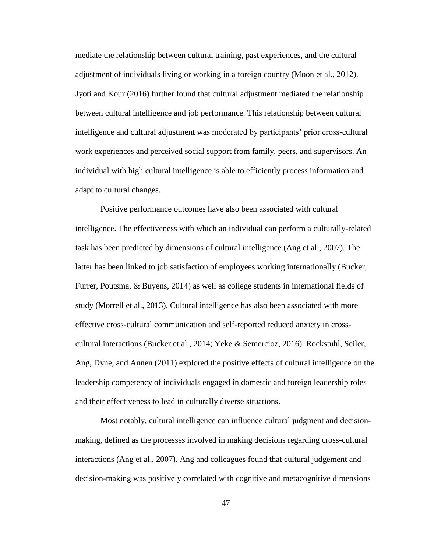mediate the relationship between cultural training, past experiences, and the cultural adjustment of individuals living or working in a foreign country (Moon et al., 2012). Jyoti and Kour (2016) further found that cultural adjustment mediated the relationship between cultural intelligence and job performance. This relationship between cultural intelligence and cultural adjustment was moderated by participants' prior cross-cultural work experiences and perceived social support from family, peers, and supervisors. An individual with high cultural intelligence is able to efficiently process information and adapt to cultural changes.

Positive performance outcomes have also been associated with cultural intelligence. The effectiveness with which an individual can perform a culturally-related task has been predicted by dimensions of cultural intelligence (Ang et al., 2007). The latter has been linked to job satisfaction of employees working internationally (Bucker, Furrer, Poutsma, & Buyens, 2014) as well as college students in international fields of study (Morrell et al., 2013). Cultural intelligence has also been associated with more effective cross-cultural communication and self-reported reduced anxiety in crosscultural interactions (Bucker et al., 2014; Yeke & Semercioz, 2016). Rockstuhl, Seiler, Ang, Dyne, and Annen (2011) explored the positive effects of cultural intelligence on the leadership competency of individuals engaged in domestic and foreign leadership roles and their effectiveness to lead in culturally diverse situations.

Most notably, cultural intelligence can influence cultural judgment and decisionmaking, defined as the processes involved in making decisions regarding cross-cultural interactions (Ang et al., 2007). Ang and colleagues found that cultural judgement and decision-making was positively correlated with cognitive and metacognitive dimensions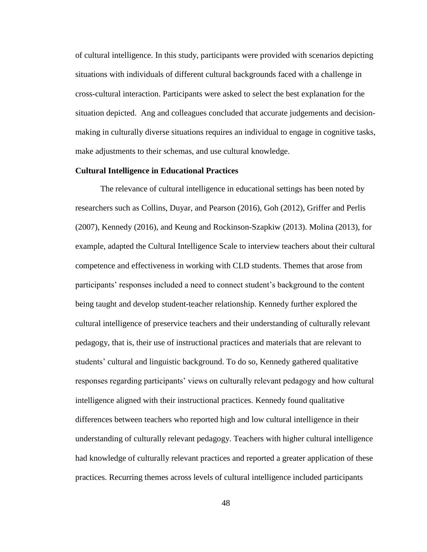of cultural intelligence. In this study, participants were provided with scenarios depicting situations with individuals of different cultural backgrounds faced with a challenge in cross-cultural interaction. Participants were asked to select the best explanation for the situation depicted. Ang and colleagues concluded that accurate judgements and decisionmaking in culturally diverse situations requires an individual to engage in cognitive tasks, make adjustments to their schemas, and use cultural knowledge.

## **Cultural Intelligence in Educational Practices**

The relevance of cultural intelligence in educational settings has been noted by researchers such as Collins, Duyar, and Pearson (2016), Goh (2012), Griffer and Perlis (2007), Kennedy (2016), and Keung and Rockinson-Szapkiw (2013). Molina (2013), for example, adapted the Cultural Intelligence Scale to interview teachers about their cultural competence and effectiveness in working with CLD students. Themes that arose from participants' responses included a need to connect student's background to the content being taught and develop student-teacher relationship. Kennedy further explored the cultural intelligence of preservice teachers and their understanding of culturally relevant pedagogy, that is, their use of instructional practices and materials that are relevant to students' cultural and linguistic background. To do so, Kennedy gathered qualitative responses regarding participants' views on culturally relevant pedagogy and how cultural intelligence aligned with their instructional practices. Kennedy found qualitative differences between teachers who reported high and low cultural intelligence in their understanding of culturally relevant pedagogy. Teachers with higher cultural intelligence had knowledge of culturally relevant practices and reported a greater application of these practices. Recurring themes across levels of cultural intelligence included participants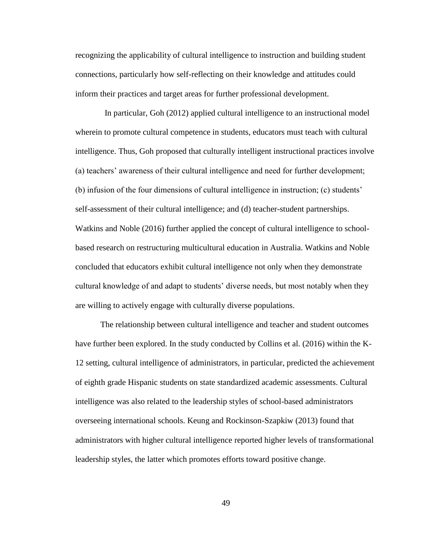recognizing the applicability of cultural intelligence to instruction and building student connections, particularly how self-reflecting on their knowledge and attitudes could inform their practices and target areas for further professional development.

 In particular, Goh (2012) applied cultural intelligence to an instructional model wherein to promote cultural competence in students, educators must teach with cultural intelligence. Thus, Goh proposed that culturally intelligent instructional practices involve (a) teachers' awareness of their cultural intelligence and need for further development; (b) infusion of the four dimensions of cultural intelligence in instruction; (c) students' self-assessment of their cultural intelligence; and (d) teacher-student partnerships. Watkins and Noble (2016) further applied the concept of cultural intelligence to schoolbased research on restructuring multicultural education in Australia. Watkins and Noble concluded that educators exhibit cultural intelligence not only when they demonstrate cultural knowledge of and adapt to students' diverse needs, but most notably when they are willing to actively engage with culturally diverse populations.

The relationship between cultural intelligence and teacher and student outcomes have further been explored. In the study conducted by Collins et al. (2016) within the K-12 setting, cultural intelligence of administrators, in particular, predicted the achievement of eighth grade Hispanic students on state standardized academic assessments. Cultural intelligence was also related to the leadership styles of school-based administrators overseeing international schools. Keung and Rockinson-Szapkiw (2013) found that administrators with higher cultural intelligence reported higher levels of transformational leadership styles, the latter which promotes efforts toward positive change.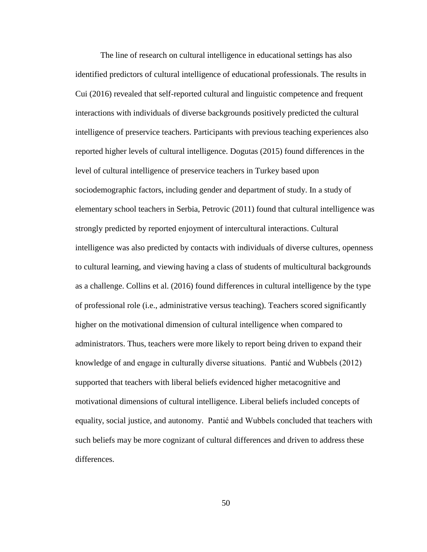The line of research on cultural intelligence in educational settings has also identified predictors of cultural intelligence of educational professionals. The results in Cui (2016) revealed that self-reported cultural and linguistic competence and frequent interactions with individuals of diverse backgrounds positively predicted the cultural intelligence of preservice teachers. Participants with previous teaching experiences also reported higher levels of cultural intelligence. Dogutas (2015) found differences in the level of cultural intelligence of preservice teachers in Turkey based upon sociodemographic factors, including gender and department of study. In a study of elementary school teachers in Serbia, Petrovic (2011) found that cultural intelligence was strongly predicted by reported enjoyment of intercultural interactions. Cultural intelligence was also predicted by contacts with individuals of diverse cultures, openness to cultural learning, and viewing having a class of students of multicultural backgrounds as a challenge. Collins et al. (2016) found differences in cultural intelligence by the type of professional role (i.e., administrative versus teaching). Teachers scored significantly higher on the motivational dimension of cultural intelligence when compared to administrators. Thus, teachers were more likely to report being driven to expand their knowledge of and engage in culturally diverse situations. Pantić and Wubbels (2012) supported that teachers with liberal beliefs evidenced higher metacognitive and motivational dimensions of cultural intelligence. Liberal beliefs included concepts of equality, social justice, and autonomy. Pantić and Wubbels concluded that teachers with such beliefs may be more cognizant of cultural differences and driven to address these differences.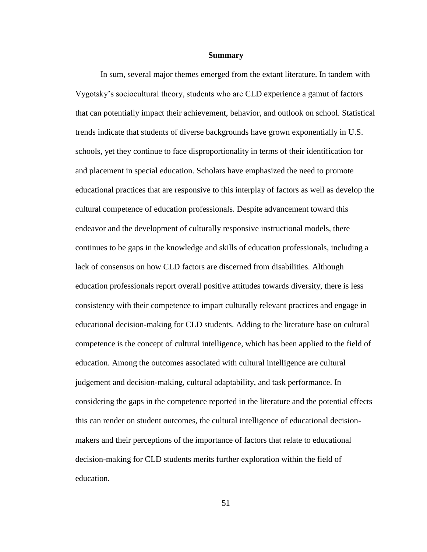#### **Summary**

In sum, several major themes emerged from the extant literature. In tandem with Vygotsky's sociocultural theory, students who are CLD experience a gamut of factors that can potentially impact their achievement, behavior, and outlook on school. Statistical trends indicate that students of diverse backgrounds have grown exponentially in U.S. schools, yet they continue to face disproportionality in terms of their identification for and placement in special education. Scholars have emphasized the need to promote educational practices that are responsive to this interplay of factors as well as develop the cultural competence of education professionals. Despite advancement toward this endeavor and the development of culturally responsive instructional models, there continues to be gaps in the knowledge and skills of education professionals, including a lack of consensus on how CLD factors are discerned from disabilities. Although education professionals report overall positive attitudes towards diversity, there is less consistency with their competence to impart culturally relevant practices and engage in educational decision-making for CLD students. Adding to the literature base on cultural competence is the concept of cultural intelligence, which has been applied to the field of education. Among the outcomes associated with cultural intelligence are cultural judgement and decision-making, cultural adaptability, and task performance. In considering the gaps in the competence reported in the literature and the potential effects this can render on student outcomes, the cultural intelligence of educational decisionmakers and their perceptions of the importance of factors that relate to educational decision-making for CLD students merits further exploration within the field of education.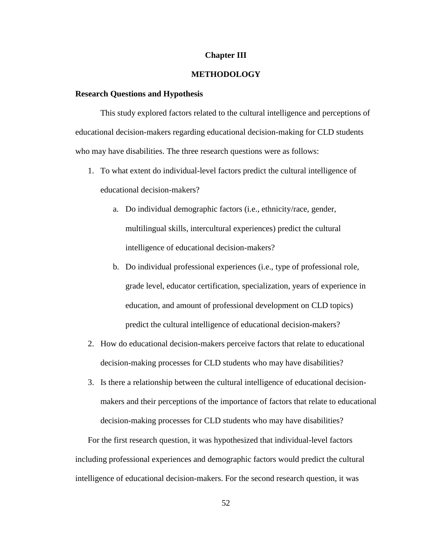#### **Chapter III**

# **METHODOLOGY**

## **Research Questions and Hypothesis**

This study explored factors related to the cultural intelligence and perceptions of educational decision-makers regarding educational decision-making for CLD students who may have disabilities. The three research questions were as follows:

- 1. To what extent do individual-level factors predict the cultural intelligence of educational decision-makers?
	- a. Do individual demographic factors (i.e., ethnicity/race, gender, multilingual skills, intercultural experiences) predict the cultural intelligence of educational decision-makers?
	- b. Do individual professional experiences (i.e., type of professional role, grade level, educator certification, specialization, years of experience in education, and amount of professional development on CLD topics) predict the cultural intelligence of educational decision-makers?
- 2. How do educational decision-makers perceive factors that relate to educational decision-making processes for CLD students who may have disabilities?
- 3. Is there a relationship between the cultural intelligence of educational decisionmakers and their perceptions of the importance of factors that relate to educational decision-making processes for CLD students who may have disabilities?

For the first research question, it was hypothesized that individual-level factors including professional experiences and demographic factors would predict the cultural intelligence of educational decision-makers. For the second research question, it was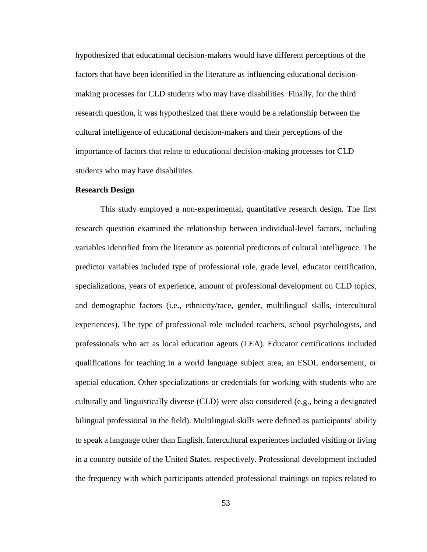hypothesized that educational decision-makers would have different perceptions of the factors that have been identified in the literature as influencing educational decisionmaking processes for CLD students who may have disabilities. Finally, for the third research question, it was hypothesized that there would be a relationship between the cultural intelligence of educational decision-makers and their perceptions of the importance of factors that relate to educational decision-making processes for CLD students who may have disabilities.

## **Research Design**

This study employed a non-experimental, quantitative research design. The first research question examined the relationship between individual-level factors, including variables identified from the literature as potential predictors of cultural intelligence. The predictor variables included type of professional role, grade level, educator certification, specializations, years of experience, amount of professional development on CLD topics, and demographic factors (i.e., ethnicity/race, gender, multilingual skills, intercultural experiences). The type of professional role included teachers, school psychologists, and professionals who act as local education agents (LEA). Educator certifications included qualifications for teaching in a world language subject area, an ESOL endorsement, or special education. Other specializations or credentials for working with students who are culturally and linguistically diverse (CLD) were also considered (e.g., being a designated bilingual professional in the field). Multilingual skills were defined as participants' ability to speak a language other than English. Intercultural experiences included visiting or living in a country outside of the United States, respectively. Professional development included the frequency with which participants attended professional trainings on topics related to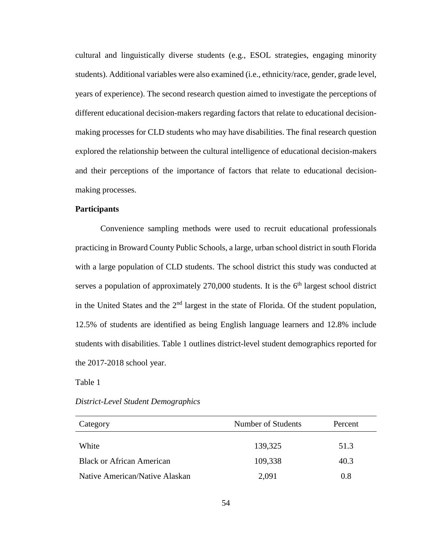cultural and linguistically diverse students (e.g., ESOL strategies, engaging minority students). Additional variables were also examined (i.e., ethnicity/race, gender, grade level, years of experience). The second research question aimed to investigate the perceptions of different educational decision-makers regarding factors that relate to educational decisionmaking processes for CLD students who may have disabilities. The final research question explored the relationship between the cultural intelligence of educational decision-makers and their perceptions of the importance of factors that relate to educational decisionmaking processes.

# **Participants**

Convenience sampling methods were used to recruit educational professionals practicing in Broward County Public Schools, a large, urban school district in south Florida with a large population of CLD students. The school district this study was conducted at serves a population of approximately  $270,000$  students. It is the  $6<sup>th</sup>$  largest school district in the United States and the  $2<sup>nd</sup>$  largest in the state of Florida. Of the student population, 12.5% of students are identified as being English language learners and 12.8% include students with disabilities. Table 1 outlines district-level student demographics reported for the 2017-2018 school year.

Table 1

#### *District-Level Student Demographics*

| Category                         | Number of Students | Percent |
|----------------------------------|--------------------|---------|
| White                            | 139,325            | 51.3    |
| <b>Black or African American</b> | 109,338            | 40.3    |
| Native American/Native Alaskan   | 2,091              | 0.8     |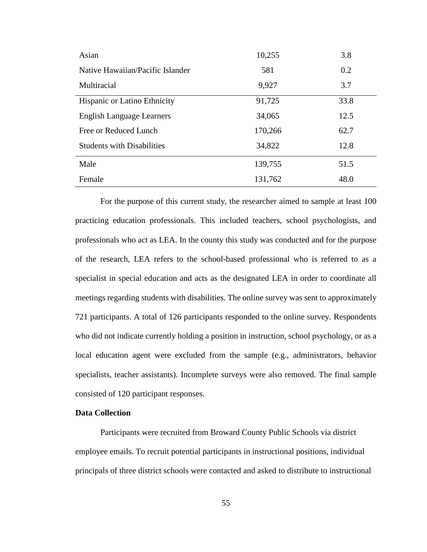| Asian                               | 10,255  | 3.8  |
|-------------------------------------|---------|------|
| Native Hawaiian/Pacific Islander    | 581     | 0.2  |
| Multiracial                         | 9,927   | 3.7  |
| <b>Hispanic or Latino Ethnicity</b> | 91,725  | 33.8 |
| <b>English Language Learners</b>    | 34,065  | 12.5 |
| Free or Reduced Lunch               | 170,266 | 62.7 |
| <b>Students with Disabilities</b>   | 34,822  | 12.8 |
| Male                                | 139,755 | 51.5 |
| Female                              | 131,762 | 48.0 |

For the purpose of this current study, the researcher aimed to sample at least 100 practicing education professionals. This included teachers, school psychologists, and professionals who act as LEA. In the county this study was conducted and for the purpose of the research, LEA refers to the school-based professional who is referred to as a specialist in special education and acts as the designated LEA in order to coordinate all meetings regarding students with disabilities. The online survey was sent to approximately 721 participants. A total of 126 participants responded to the online survey. Respondents who did not indicate currently holding a position in instruction, school psychology, or as a local education agent were excluded from the sample (e.g., administrators, behavior specialists, teacher assistants). Incomplete surveys were also removed. The final sample consisted of 120 participant responses.

# **Data Collection**

Participants were recruited from Broward County Public Schools via district employee emails. To recruit potential participants in instructional positions, individual principals of three district schools were contacted and asked to distribute to instructional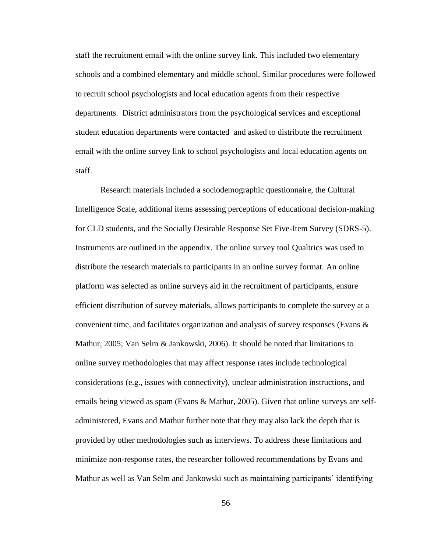staff the recruitment email with the online survey link. This included two elementary schools and a combined elementary and middle school. Similar procedures were followed to recruit school psychologists and local education agents from their respective departments. District administrators from the psychological services and exceptional student education departments were contacted and asked to distribute the recruitment email with the online survey link to school psychologists and local education agents on staff.

Research materials included a sociodemographic questionnaire, the Cultural Intelligence Scale, additional items assessing perceptions of educational decision-making for CLD students, and the Socially Desirable Response Set Five-Item Survey (SDRS-5). Instruments are outlined in the appendix. The online survey tool Qualtrics was used to distribute the research materials to participants in an online survey format. An online platform was selected as online surveys aid in the recruitment of participants, ensure efficient distribution of survey materials, allows participants to complete the survey at a convenient time, and facilitates organization and analysis of survey responses (Evans  $\&$ Mathur, 2005; Van Selm & Jankowski, 2006). It should be noted that limitations to online survey methodologies that may affect response rates include technological considerations (e.g., issues with connectivity), unclear administration instructions, and emails being viewed as spam (Evans & Mathur, 2005). Given that online surveys are selfadministered, Evans and Mathur further note that they may also lack the depth that is provided by other methodologies such as interviews. To address these limitations and minimize non-response rates, the researcher followed recommendations by Evans and Mathur as well as Van Selm and Jankowski such as maintaining participants' identifying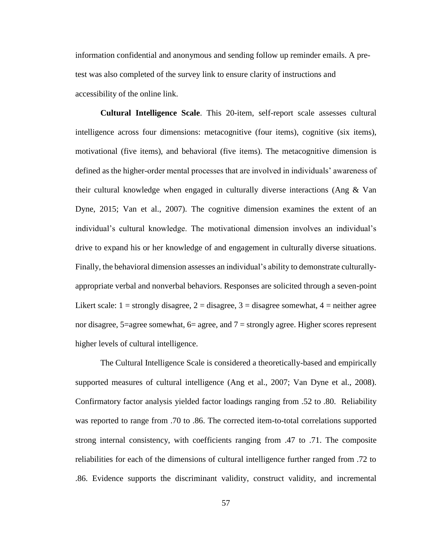information confidential and anonymous and sending follow up reminder emails. A pretest was also completed of the survey link to ensure clarity of instructions and accessibility of the online link.

**Cultural Intelligence Scale**. This 20-item, self-report scale assesses cultural intelligence across four dimensions: metacognitive (four items), cognitive (six items), motivational (five items), and behavioral (five items). The metacognitive dimension is defined as the higher-order mental processes that are involved in individuals' awareness of their cultural knowledge when engaged in culturally diverse interactions (Ang & Van Dyne, 2015; Van et al., 2007). The cognitive dimension examines the extent of an individual's cultural knowledge. The motivational dimension involves an individual's drive to expand his or her knowledge of and engagement in culturally diverse situations. Finally, the behavioral dimension assesses an individual's ability to demonstrate culturallyappropriate verbal and nonverbal behaviors. Responses are solicited through a seven-point Likert scale:  $1 =$  strongly disagree,  $2 =$  disagree,  $3 =$  disagree somewhat,  $4 =$  neither agree nor disagree,  $5$ =agree somewhat,  $6$ = agree, and  $7$  = strongly agree. Higher scores represent higher levels of cultural intelligence.

The Cultural Intelligence Scale is considered a theoretically-based and empirically supported measures of cultural intelligence (Ang et al., 2007; Van Dyne et al., 2008). Confirmatory factor analysis yielded factor loadings ranging from .52 to .80. Reliability was reported to range from .70 to .86. The corrected item-to-total correlations supported strong internal consistency, with coefficients ranging from .47 to .71. The composite reliabilities for each of the dimensions of cultural intelligence further ranged from .72 to .86. Evidence supports the discriminant validity, construct validity, and incremental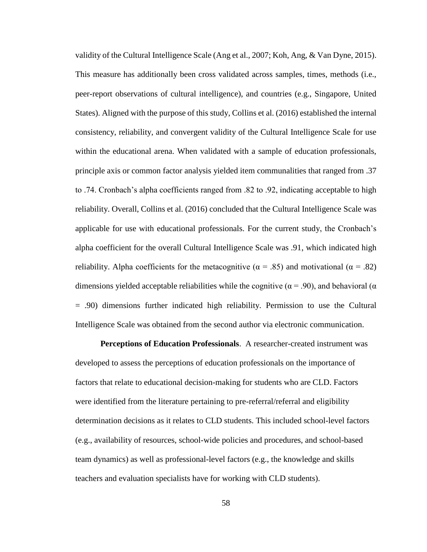validity of the Cultural Intelligence Scale (Ang et al., 2007; Koh, Ang, & Van Dyne, 2015). This measure has additionally been cross validated across samples, times, methods (i.e., peer-report observations of cultural intelligence), and countries (e.g., Singapore, United States). Aligned with the purpose of this study, Collins et al. (2016) established the internal consistency, reliability, and convergent validity of the Cultural Intelligence Scale for use within the educational arena. When validated with a sample of education professionals, principle axis or common factor analysis yielded item communalities that ranged from .37 to .74. Cronbach's alpha coefficients ranged from .82 to .92, indicating acceptable to high reliability. Overall, Collins et al. (2016) concluded that the Cultural Intelligence Scale was applicable for use with educational professionals. For the current study, the Cronbach's alpha coefficient for the overall Cultural Intelligence Scale was .91, which indicated high reliability. Alpha coefficients for the metacognitive ( $\alpha = .85$ ) and motivational ( $\alpha = .82$ ) dimensions yielded acceptable reliabilities while the cognitive ( $\alpha$  = .90), and behavioral ( $\alpha$ = .90) dimensions further indicated high reliability. Permission to use the Cultural Intelligence Scale was obtained from the second author via electronic communication.

**Perceptions of Education Professionals**. A researcher-created instrument was developed to assess the perceptions of education professionals on the importance of factors that relate to educational decision-making for students who are CLD. Factors were identified from the literature pertaining to pre-referral/referral and eligibility determination decisions as it relates to CLD students. This included school-level factors (e.g., availability of resources, school-wide policies and procedures, and school-based team dynamics) as well as professional-level factors (e.g., the knowledge and skills teachers and evaluation specialists have for working with CLD students).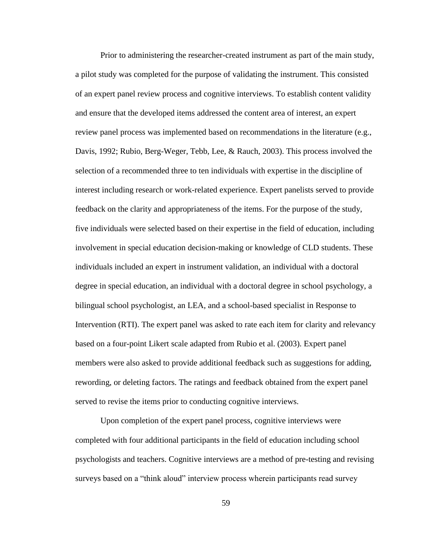Prior to administering the researcher-created instrument as part of the main study, a pilot study was completed for the purpose of validating the instrument. This consisted of an expert panel review process and cognitive interviews. To establish content validity and ensure that the developed items addressed the content area of interest, an expert review panel process was implemented based on recommendations in the literature (e.g., Davis, 1992; Rubio, Berg-Weger, Tebb, Lee, & Rauch, 2003). This process involved the selection of a recommended three to ten individuals with expertise in the discipline of interest including research or work-related experience. Expert panelists served to provide feedback on the clarity and appropriateness of the items. For the purpose of the study, five individuals were selected based on their expertise in the field of education, including involvement in special education decision-making or knowledge of CLD students. These individuals included an expert in instrument validation, an individual with a doctoral degree in special education, an individual with a doctoral degree in school psychology, a bilingual school psychologist, an LEA, and a school-based specialist in Response to Intervention (RTI). The expert panel was asked to rate each item for clarity and relevancy based on a four-point Likert scale adapted from Rubio et al. (2003). Expert panel members were also asked to provide additional feedback such as suggestions for adding, rewording, or deleting factors. The ratings and feedback obtained from the expert panel served to revise the items prior to conducting cognitive interviews.

Upon completion of the expert panel process, cognitive interviews were completed with four additional participants in the field of education including school psychologists and teachers. Cognitive interviews are a method of pre-testing and revising surveys based on a "think aloud" interview process wherein participants read survey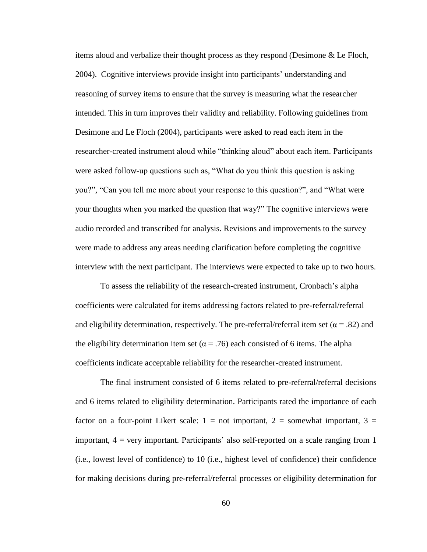items aloud and verbalize their thought process as they respond (Desimone & Le Floch, 2004). Cognitive interviews provide insight into participants' understanding and reasoning of survey items to ensure that the survey is measuring what the researcher intended. This in turn improves their validity and reliability. Following guidelines from Desimone and Le Floch (2004), participants were asked to read each item in the researcher-created instrument aloud while "thinking aloud" about each item. Participants were asked follow-up questions such as, "What do you think this question is asking you?", "Can you tell me more about your response to this question?", and "What were your thoughts when you marked the question that way?" The cognitive interviews were audio recorded and transcribed for analysis. Revisions and improvements to the survey were made to address any areas needing clarification before completing the cognitive interview with the next participant. The interviews were expected to take up to two hours.

To assess the reliability of the research-created instrument, Cronbach's alpha coefficients were calculated for items addressing factors related to pre-referral/referral and eligibility determination, respectively. The pre-referral/referral item set ( $\alpha$  = .82) and the eligibility determination item set ( $\alpha$  = .76) each consisted of 6 items. The alpha coefficients indicate acceptable reliability for the researcher-created instrument.

The final instrument consisted of 6 items related to pre-referral/referral decisions and 6 items related to eligibility determination. Participants rated the importance of each factor on a four-point Likert scale:  $1 = not$  important,  $2 =$  somewhat important,  $3 =$ important, 4 = very important. Participants' also self-reported on a scale ranging from 1 (i.e., lowest level of confidence) to 10 (i.e., highest level of confidence) their confidence for making decisions during pre-referral/referral processes or eligibility determination for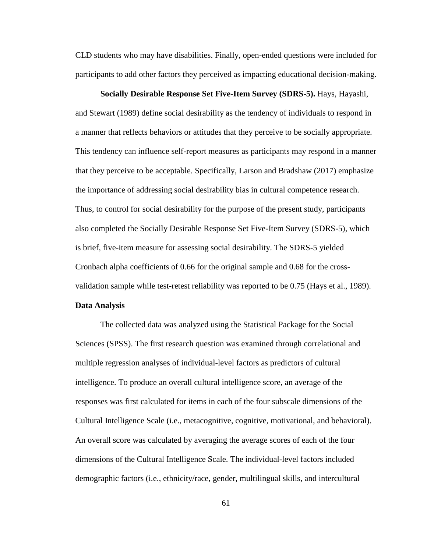CLD students who may have disabilities. Finally, open-ended questions were included for participants to add other factors they perceived as impacting educational decision-making.

**Socially Desirable Response Set Five-Item Survey (SDRS-5).** Hays, Hayashi, and Stewart (1989) define social desirability as the tendency of individuals to respond in a manner that reflects behaviors or attitudes that they perceive to be socially appropriate. This tendency can influence self-report measures as participants may respond in a manner that they perceive to be acceptable. Specifically, Larson and Bradshaw (2017) emphasize the importance of addressing social desirability bias in cultural competence research. Thus, to control for social desirability for the purpose of the present study, participants also completed the Socially Desirable Response Set Five-Item Survey (SDRS-5), which is brief, five-item measure for assessing social desirability. The SDRS-5 yielded Cronbach alpha coefficients of 0.66 for the original sample and 0.68 for the crossvalidation sample while test-retest reliability was reported to be 0.75 (Hays et al., 1989).

## **Data Analysis**

The collected data was analyzed using the Statistical Package for the Social Sciences (SPSS). The first research question was examined through correlational and multiple regression analyses of individual-level factors as predictors of cultural intelligence. To produce an overall cultural intelligence score, an average of the responses was first calculated for items in each of the four subscale dimensions of the Cultural Intelligence Scale (i.e., metacognitive, cognitive, motivational, and behavioral). An overall score was calculated by averaging the average scores of each of the four dimensions of the Cultural Intelligence Scale. The individual-level factors included demographic factors (i.e., ethnicity/race, gender, multilingual skills, and intercultural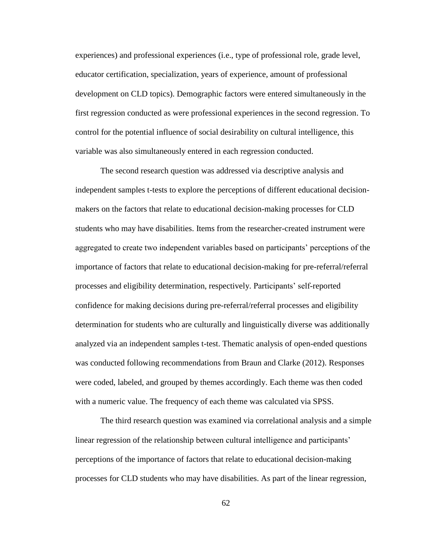experiences) and professional experiences (i.e., type of professional role, grade level, educator certification, specialization, years of experience, amount of professional development on CLD topics). Demographic factors were entered simultaneously in the first regression conducted as were professional experiences in the second regression. To control for the potential influence of social desirability on cultural intelligence, this variable was also simultaneously entered in each regression conducted.

The second research question was addressed via descriptive analysis and independent samples t-tests to explore the perceptions of different educational decisionmakers on the factors that relate to educational decision-making processes for CLD students who may have disabilities. Items from the researcher-created instrument were aggregated to create two independent variables based on participants' perceptions of the importance of factors that relate to educational decision-making for pre-referral/referral processes and eligibility determination, respectively. Participants' self-reported confidence for making decisions during pre-referral/referral processes and eligibility determination for students who are culturally and linguistically diverse was additionally analyzed via an independent samples t-test. Thematic analysis of open-ended questions was conducted following recommendations from Braun and Clarke (2012). Responses were coded, labeled, and grouped by themes accordingly. Each theme was then coded with a numeric value. The frequency of each theme was calculated via SPSS.

The third research question was examined via correlational analysis and a simple linear regression of the relationship between cultural intelligence and participants' perceptions of the importance of factors that relate to educational decision-making processes for CLD students who may have disabilities. As part of the linear regression,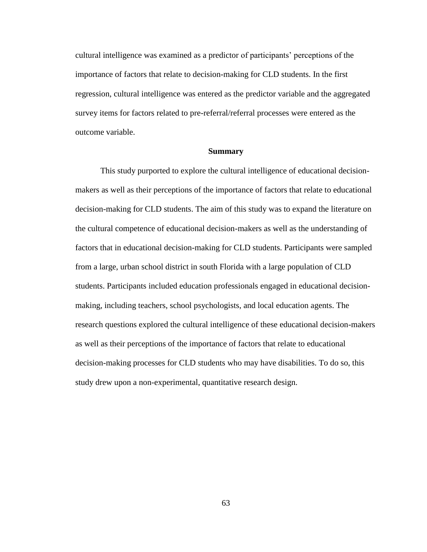cultural intelligence was examined as a predictor of participants' perceptions of the importance of factors that relate to decision-making for CLD students. In the first regression, cultural intelligence was entered as the predictor variable and the aggregated survey items for factors related to pre-referral/referral processes were entered as the outcome variable.

# **Summary**

This study purported to explore the cultural intelligence of educational decisionmakers as well as their perceptions of the importance of factors that relate to educational decision-making for CLD students. The aim of this study was to expand the literature on the cultural competence of educational decision-makers as well as the understanding of factors that in educational decision-making for CLD students. Participants were sampled from a large, urban school district in south Florida with a large population of CLD students. Participants included education professionals engaged in educational decisionmaking, including teachers, school psychologists, and local education agents. The research questions explored the cultural intelligence of these educational decision-makers as well as their perceptions of the importance of factors that relate to educational decision-making processes for CLD students who may have disabilities. To do so, this study drew upon a non-experimental, quantitative research design.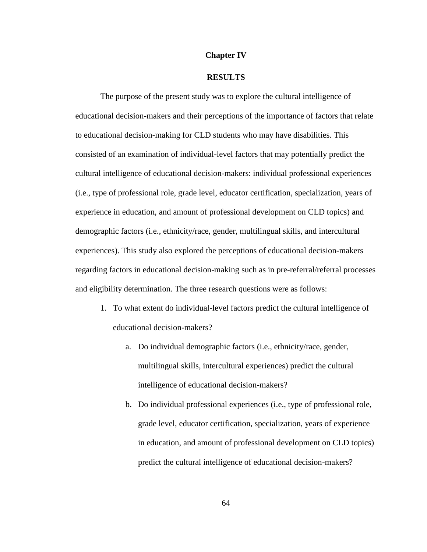#### **Chapter IV**

# **RESULTS**

The purpose of the present study was to explore the cultural intelligence of educational decision-makers and their perceptions of the importance of factors that relate to educational decision-making for CLD students who may have disabilities. This consisted of an examination of individual-level factors that may potentially predict the cultural intelligence of educational decision-makers: individual professional experiences (i.e., type of professional role, grade level, educator certification, specialization, years of experience in education, and amount of professional development on CLD topics) and demographic factors (i.e., ethnicity/race, gender, multilingual skills, and intercultural experiences). This study also explored the perceptions of educational decision-makers regarding factors in educational decision-making such as in pre-referral/referral processes and eligibility determination. The three research questions were as follows:

- 1. To what extent do individual-level factors predict the cultural intelligence of educational decision-makers?
	- a. Do individual demographic factors (i.e., ethnicity/race, gender, multilingual skills, intercultural experiences) predict the cultural intelligence of educational decision-makers?
	- b. Do individual professional experiences (i.e., type of professional role, grade level, educator certification, specialization, years of experience in education, and amount of professional development on CLD topics) predict the cultural intelligence of educational decision-makers?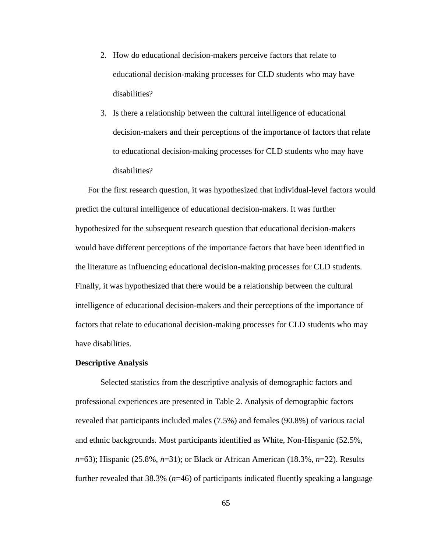- 2. How do educational decision-makers perceive factors that relate to educational decision-making processes for CLD students who may have disabilities?
- 3. Is there a relationship between the cultural intelligence of educational decision-makers and their perceptions of the importance of factors that relate to educational decision-making processes for CLD students who may have disabilities?

For the first research question, it was hypothesized that individual-level factors would predict the cultural intelligence of educational decision-makers. It was further hypothesized for the subsequent research question that educational decision-makers would have different perceptions of the importance factors that have been identified in the literature as influencing educational decision-making processes for CLD students. Finally, it was hypothesized that there would be a relationship between the cultural intelligence of educational decision-makers and their perceptions of the importance of factors that relate to educational decision-making processes for CLD students who may have disabilities.

#### **Descriptive Analysis**

Selected statistics from the descriptive analysis of demographic factors and professional experiences are presented in Table 2. Analysis of demographic factors revealed that participants included males (7.5%) and females (90.8%) of various racial and ethnic backgrounds. Most participants identified as White, Non-Hispanic (52.5%, *n*=63); Hispanic (25.8%, *n*=31); or Black or African American (18.3%, *n*=22). Results further revealed that 38.3% (*n*=46) of participants indicated fluently speaking a language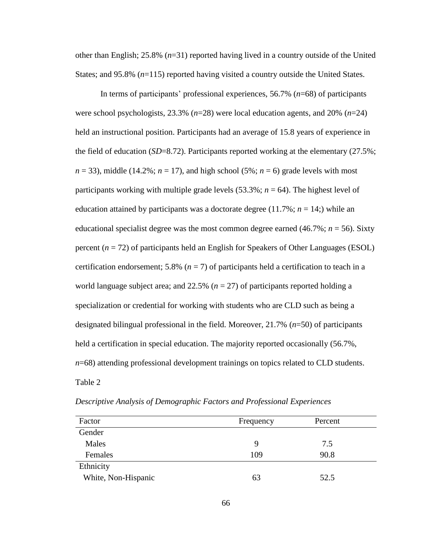other than English; 25.8% (*n*=31) reported having lived in a country outside of the United States; and 95.8% ( $n=115$ ) reported having visited a country outside the United States.

In terms of participants' professional experiences, 56.7% (*n*=68) of participants were school psychologists, 23.3% (*n*=28) were local education agents, and 20% (*n*=24) held an instructional position. Participants had an average of 15.8 years of experience in the field of education (*SD*=8.72). Participants reported working at the elementary (27.5%;  $n = 33$ ), middle (14.2%;  $n = 17$ ), and high school (5%;  $n = 6$ ) grade levels with most participants working with multiple grade levels (53.3%; *n* = 64). The highest level of education attained by participants was a doctorate degree  $(11.7\%; n = 14)$ ; while an educational specialist degree was the most common degree earned (46.7%; *n* = 56). Sixty percent (*n* = 72) of participants held an English for Speakers of Other Languages (ESOL) certification endorsement; 5.8%  $(n = 7)$  of participants held a certification to teach in a world language subject area; and 22.5% (*n* = 27) of participants reported holding a specialization or credential for working with students who are CLD such as being a designated bilingual professional in the field. Moreover, 21.7% (*n*=50) of participants held a certification in special education. The majority reported occasionally (56.7%, *n*=68) attending professional development trainings on topics related to CLD students. Table 2

| Factor              | Frequency | Percent |  |
|---------------------|-----------|---------|--|
| Gender              |           |         |  |
| Males               | 9         | 7.5     |  |
| Females             | 109       | 90.8    |  |
| Ethnicity           |           |         |  |
| White, Non-Hispanic | 63        | 52.5    |  |

*Descriptive Analysis of Demographic Factors and Professional Experiences*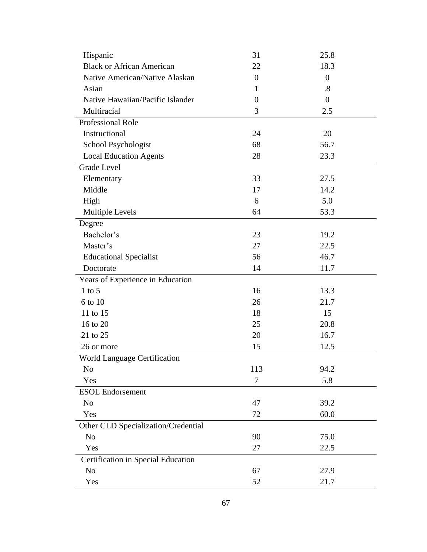| Hispanic                            | 31                       | 25.8              |
|-------------------------------------|--------------------------|-------------------|
| <b>Black or African American</b>    | 22                       | 18.3              |
| Native American/Native Alaskan      | $\overline{0}$           | $\overline{0}$    |
| Asian                               | 1                        | $\boldsymbol{.8}$ |
| Native Hawaiian/Pacific Islander    | $\theta$                 | $\boldsymbol{0}$  |
| Multiracial                         | 3                        | 2.5               |
| Professional Role                   |                          |                   |
| Instructional                       | 24                       | 20                |
| School Psychologist                 | 68                       | 56.7              |
| <b>Local Education Agents</b>       | 28                       | 23.3              |
| <b>Grade Level</b>                  |                          |                   |
| Elementary                          | 33                       | 27.5              |
| Middle                              | 17                       | 14.2              |
| High                                | 6                        | 5.0               |
| Multiple Levels                     | 64                       | 53.3              |
| Degree                              |                          |                   |
| Bachelor's                          | 23                       | 19.2              |
| Master's                            | 27                       | 22.5              |
| <b>Educational Specialist</b>       | 56                       | 46.7              |
| Doctorate                           | 14                       | 11.7              |
| Years of Experience in Education    |                          |                   |
| $1$ to $5$                          | 16                       | 13.3              |
| 6 to 10                             | 26                       | 21.7              |
| 11 to 15                            | 18                       | 15                |
| 16 to 20                            | 25                       | 20.8              |
| 21 to 25                            | 20                       | 16.7              |
| 26 or more                          | 15                       | 12.5              |
| <b>World Language Certification</b> |                          |                   |
| N <sub>o</sub>                      | 113                      | 94.2              |
| Yes                                 | $\overline{\mathcal{L}}$ | 5.8               |
| <b>ESOL</b> Endorsement             |                          |                   |
| N <sub>o</sub>                      | 47                       | 39.2              |
| Yes                                 | 72                       | 60.0              |
| Other CLD Specialization/Credential |                          |                   |
| N <sub>o</sub>                      | 90                       | 75.0              |
| Yes                                 | 27                       | 22.5              |
| Certification in Special Education  |                          |                   |
| N <sub>o</sub>                      | 67                       | 27.9              |
| Yes                                 | 52                       | 21.7              |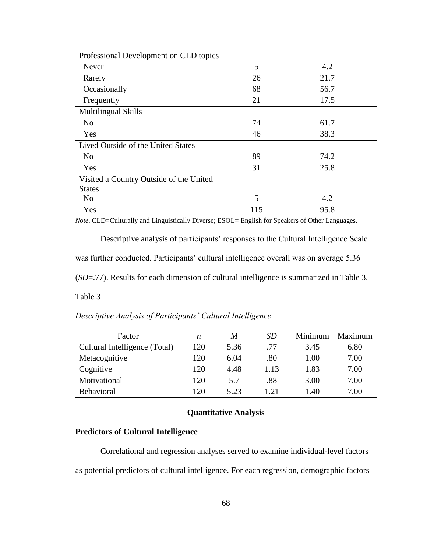| Professional Development on CLD topics  |     |      |
|-----------------------------------------|-----|------|
| Never                                   | 5   | 4.2  |
| Rarely                                  | 26  | 21.7 |
| Occasionally                            | 68  | 56.7 |
| Frequently                              | 21  | 17.5 |
| <b>Multilingual Skills</b>              |     |      |
| N <sub>o</sub>                          | 74  | 61.7 |
| Yes                                     | 46  | 38.3 |
| Lived Outside of the United States      |     |      |
| N <sub>o</sub>                          | 89  | 74.2 |
| Yes                                     | 31  | 25.8 |
| Visited a Country Outside of the United |     |      |
| <b>States</b>                           |     |      |
| N <sub>o</sub>                          | 5   | 4.2  |
| Yes                                     | 115 | 95.8 |

*Note*. CLD=Culturally and Linguistically Diverse; ESOL= English for Speakers of Other Languages.

Descriptive analysis of participants' responses to the Cultural Intelligence Scale was further conducted. Participants' cultural intelligence overall was on average 5.36 (*SD*=.77). Results for each dimension of cultural intelligence is summarized in Table 3.

Table 3

*Descriptive Analysis of Participants' Cultural Intelligence* 

| Factor                        | n   | M    | <i>SD</i> | Minimum | Maximum |
|-------------------------------|-----|------|-----------|---------|---------|
| Cultural Intelligence (Total) | 120 | 5.36 | .77       | 3.45    | 6.80    |
| Metacognitive                 | 120 | 6.04 | .80       | 1.00    | 7.00    |
| Cognitive                     | 120 | 4.48 | 1.13      | 1.83    | 7.00    |
| Motivational                  | 120 | 5.7  | .88       | 3.00    | 7.00    |
| Behavioral                    | 120 | 5.23 | 1.21      | 1.40    | 7.00    |

# **Quantitative Analysis**

# **Predictors of Cultural Intelligence**

Correlational and regression analyses served to examine individual-level factors as potential predictors of cultural intelligence. For each regression, demographic factors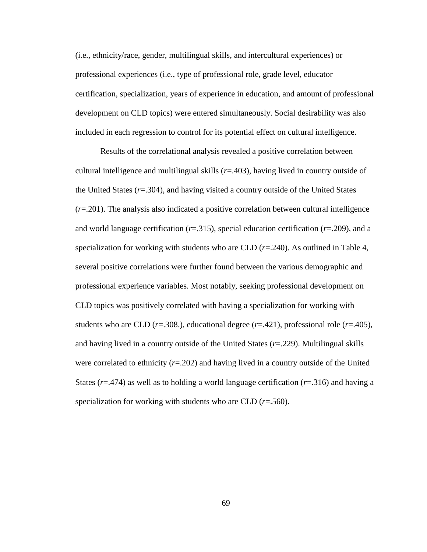(i.e., ethnicity/race, gender, multilingual skills, and intercultural experiences) or professional experiences (i.e., type of professional role, grade level, educator certification, specialization, years of experience in education, and amount of professional development on CLD topics) were entered simultaneously. Social desirability was also included in each regression to control for its potential effect on cultural intelligence.

Results of the correlational analysis revealed a positive correlation between cultural intelligence and multilingual skills (*r*=.403), having lived in country outside of the United States (*r*=.304), and having visited a country outside of the United States (*r*=.201). The analysis also indicated a positive correlation between cultural intelligence and world language certification (*r*=.315), special education certification (*r*=.209), and a specialization for working with students who are CLD  $(r=.240)$ . As outlined in Table 4, several positive correlations were further found between the various demographic and professional experience variables. Most notably, seeking professional development on CLD topics was positively correlated with having a specialization for working with students who are CLD ( $r=0.308$ .), educational degree ( $r=0.421$ ), professional role ( $r=0.405$ ), and having lived in a country outside of the United States (*r*=.229). Multilingual skills were correlated to ethnicity (*r*=.202) and having lived in a country outside of the United States (*r*=.474) as well as to holding a world language certification (*r*=.316) and having a specialization for working with students who are CLD (*r*=.560).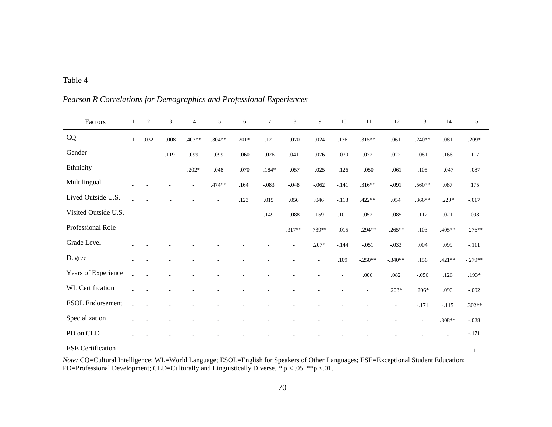# Table 4

| Factors                  | 1              | 2                        | 3                        | $\overline{4}$ | 5        | 6                        | $\tau$                   | 8                        | 9              | 10      | 11        | 12        | 13             | 14       | 15        |
|--------------------------|----------------|--------------------------|--------------------------|----------------|----------|--------------------------|--------------------------|--------------------------|----------------|---------|-----------|-----------|----------------|----------|-----------|
| CQ                       | $\mathbf{1}$   | $-.032$                  | $-.008$                  | $.403**$       | $.304**$ | $.201*$                  | $-.121$                  | $-.070$                  | $-.024$        | .136    | $.315**$  | .061      | $.240**$       | .081     | $.209*$   |
| Gender                   | $\overline{a}$ | $\overline{\phantom{a}}$ | .119                     | .099           | .099     | $-.060$                  | $-.026$                  | .041                     | $-.076$        | $-.070$ | .072      | .022      | .081           | .166     | .117      |
| Ethnicity                |                |                          | $\overline{\phantom{a}}$ | $.202*$        | .048     | $-.070$                  | $-184*$                  | $-.057$                  | $-.025$        | $-.126$ | $-.050$   | $-.061$   | .105           | $-.047$  | $-.087$   |
| Multilingual             |                |                          |                          |                | $.474**$ | .164                     | $-.083$                  | $-.048$                  | $-.062$        | $-.141$ | $.316**$  | $-.091$   | .560**         | .087     | .175      |
| Lived Outside U.S.       |                |                          |                          |                | ÷        | .123                     | $.015$                   | .056                     | .046           | $-.113$ | $.422**$  | .054      | $.366**$       | $.229*$  | $-.017$   |
| Visited Outside U.S.     |                |                          |                          |                |          | $\overline{\phantom{a}}$ | .149                     | $-.088$                  | .159           | .101    | .052      | $-.085$   | .112           | .021     | .098      |
| Professional Role        |                |                          |                          |                |          |                          | $\overline{\phantom{a}}$ | $.317**$                 | .739**         | $-.015$ | $-.294**$ | $-.265**$ | .103           | .405**   | $-.276**$ |
| Grade Level              |                |                          |                          |                |          |                          |                          | $\overline{\phantom{a}}$ | $.207*$        | $-.144$ | $-.051$   | $-.033$   | .004           | .099     | $-.111$   |
| Degree                   |                |                          |                          |                |          |                          |                          | ÷,                       | $\overline{a}$ | .109    | $-.250**$ | $-.340**$ | .156           | $.421**$ | $-.279**$ |
| Years of Experience      |                |                          |                          |                |          |                          |                          |                          |                |         | .006      | .082      | $-0.056$       | .126     | $.193*$   |
| <b>WL</b> Certification  |                |                          |                          |                |          |                          |                          |                          |                |         | ÷,        | $.203*$   | $.206*$        | .090     | $-.002$   |
| <b>ESOL</b> Endorsement  | L.             |                          |                          |                |          |                          |                          |                          |                |         |           | L,        | $-.171$        | $-115$   | $.302**$  |
| Specialization           |                |                          |                          |                |          |                          |                          |                          |                |         |           |           | $\overline{a}$ | .308**   | $-.028$   |
| PD on CLD                |                |                          |                          |                |          |                          |                          |                          |                |         |           |           |                |          | $-.171$   |
| <b>ESE</b> Certification |                |                          |                          |                |          |                          |                          |                          |                |         |           |           |                |          | 1         |

*Pearson R Correlations for Demographics and Professional Experiences*

*Note:* CQ=Cultural Intelligence; WL=World Language; ESOL=English for Speakers of Other Languages; ESE=Exceptional Student Education; PD=Professional Development; CLD=Culturally and Linguistically Diverse. *\** p < .05. \*\*p <.01.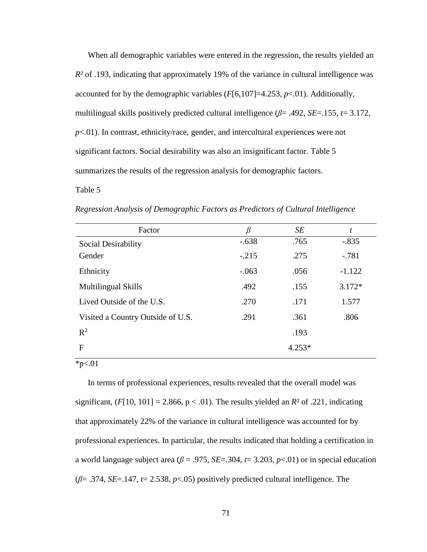When all demographic variables were entered in the regression, the results yielded an *R²* of .193, indicating that approximately 19% of the variance in cultural intelligence was accounted for by the demographic variables  $(F[6,107]=4.253, p<0.01)$ . Additionally, multilingual skills positively predicted cultural intelligence (*β*= .492, *SE*=.155, *t*= 3.172, *p*<.01). In contrast, ethnicity/race, gender, and intercultural experiences were not significant factors. Social desirability was also an insignificant factor. Table 5 summarizes the results of the regression analysis for demographic factors.

# Table 5

*Regression Analysis of Demographic Factors as Predictors of Cultural Intelligence*

| Factor                            | $\beta$ | SE       | t        |
|-----------------------------------|---------|----------|----------|
| Social Desirability               | $-.638$ | .765     | $-.835$  |
| Gender                            | $-.215$ | .275     | $-.781$  |
| Ethnicity                         | $-.063$ | .056     | $-1.122$ |
| <b>Multilingual Skills</b>        | .492    | .155     | $3.172*$ |
| Lived Outside of the U.S.         | .270    | .171     | 1.577    |
| Visited a Country Outside of U.S. | .291    | .361     | .806     |
| $R^2$                             |         | .193     |          |
| F                                 |         | $4.253*$ |          |

 $*p<.01$ 

In terms of professional experiences, results revealed that the overall model was significant,  $(F[10, 101] = 2.866, p < .01)$ . The results yielded an  $R^2$  of .221, indicating that approximately 22% of the variance in cultural intelligence was accounted for by professional experiences. In particular, the results indicated that holding a certification in a world language subject area ( $\beta$  = .975, *SE*=.304, *t*= 3.203, *p*<.01) or in special education (*β*= .374, *SE*=.147, *t*= 2.538, *p*<.05) positively predicted cultural intelligence. The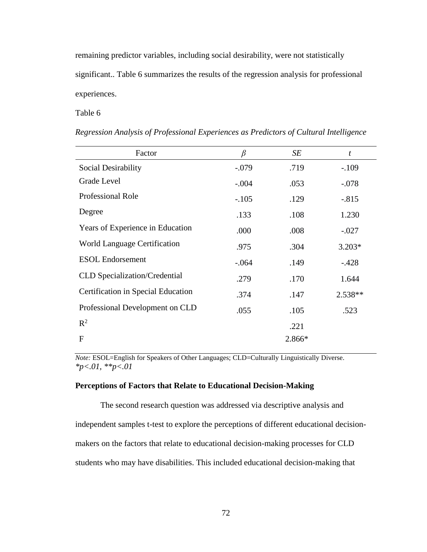remaining predictor variables, including social desirability, were not statistically significant.. Table 6 summarizes the results of the regression analysis for professional experiences.

# Table 6

| Factor                               | $\beta$ | SE     | t         |
|--------------------------------------|---------|--------|-----------|
| Social Desirability                  | $-.079$ | .719   | $-.109$   |
| Grade Level                          | $-.004$ | .053   | $-.078$   |
| <b>Professional Role</b>             | $-.105$ | .129   | $-.815$   |
| Degree                               | .133    | .108   | 1.230     |
| Years of Experience in Education     | .000    | .008   | $-.027$   |
| World Language Certification         | .975    | .304   | $3.203*$  |
| <b>ESOL</b> Endorsement              | $-.064$ | .149   | $-.428$   |
| <b>CLD</b> Specialization/Credential | .279    | .170   | 1.644     |
| Certification in Special Education   | .374    | .147   | $2.538**$ |
| Professional Development on CLD      | .055    | .105   | .523      |
| $R^2$                                |         | .221   |           |
| F                                    |         | 2.866* |           |

*Regression Analysis of Professional Experiences as Predictors of Cultural Intelligence*

*Note:* ESOL=English for Speakers of Other Languages; CLD=Culturally Linguistically Diverse. *\*p<.01, \*\*p<.01*

#### **Perceptions of Factors that Relate to Educational Decision-Making**

The second research question was addressed via descriptive analysis and independent samples t-test to explore the perceptions of different educational decisionmakers on the factors that relate to educational decision-making processes for CLD students who may have disabilities. This included educational decision-making that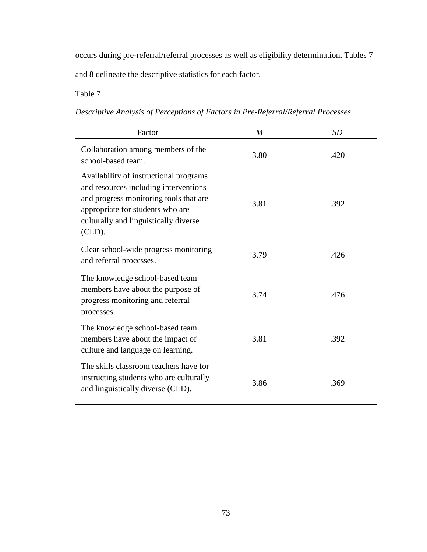occurs during pre-referral/referral processes as well as eligibility determination. Tables 7 and 8 delineate the descriptive statistics for each factor.

Table 7

| Descriptive Analysis of Perceptions of Factors in Pre-Referral/Referral Processes |  |  |  |  |  |
|-----------------------------------------------------------------------------------|--|--|--|--|--|
|                                                                                   |  |  |  |  |  |

| Factor                                                                                                                                                                                                             | $\boldsymbol{M}$ | <b>SD</b> |
|--------------------------------------------------------------------------------------------------------------------------------------------------------------------------------------------------------------------|------------------|-----------|
| Collaboration among members of the<br>school-based team.                                                                                                                                                           | 3.80             | .420      |
| Availability of instructional programs<br>and resources including interventions<br>and progress monitoring tools that are<br>appropriate for students who are<br>culturally and linguistically diverse<br>$CLD$ ). | 3.81             | .392      |
| Clear school-wide progress monitoring<br>and referral processes.                                                                                                                                                   | 3.79             | .426      |
| The knowledge school-based team<br>members have about the purpose of<br>progress monitoring and referral<br>processes.                                                                                             | 3.74             | .476      |
| The knowledge school-based team<br>members have about the impact of<br>culture and language on learning.                                                                                                           | 3.81             | .392      |
| The skills classroom teachers have for<br>instructing students who are culturally<br>and linguistically diverse (CLD).                                                                                             | 3.86             | .369      |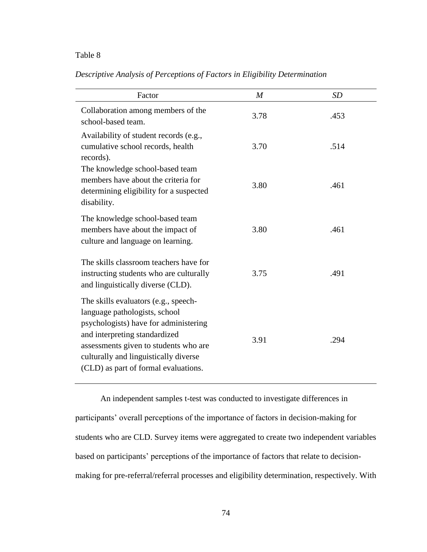# Table 8

*Descriptive Analysis of Perceptions of Factors in Eligibility Determination*

| Factor                                                                                                                                                                                                                                                                    | $\boldsymbol{M}$ | SD   |
|---------------------------------------------------------------------------------------------------------------------------------------------------------------------------------------------------------------------------------------------------------------------------|------------------|------|
| Collaboration among members of the<br>school-based team.                                                                                                                                                                                                                  | 3.78             | .453 |
| Availability of student records (e.g.,<br>cumulative school records, health<br>records).                                                                                                                                                                                  | 3.70             | .514 |
| The knowledge school-based team<br>members have about the criteria for<br>determining eligibility for a suspected<br>disability.                                                                                                                                          | 3.80             | .461 |
| The knowledge school-based team<br>members have about the impact of<br>culture and language on learning.                                                                                                                                                                  | 3.80             | .461 |
| The skills classroom teachers have for<br>instructing students who are culturally<br>and linguistically diverse (CLD).                                                                                                                                                    | 3.75             | .491 |
| The skills evaluators (e.g., speech-<br>language pathologists, school<br>psychologists) have for administering<br>and interpreting standardized<br>assessments given to students who are<br>culturally and linguistically diverse<br>(CLD) as part of formal evaluations. | 3.91             | .294 |

An independent samples t-test was conducted to investigate differences in participants' overall perceptions of the importance of factors in decision-making for students who are CLD. Survey items were aggregated to create two independent variables based on participants' perceptions of the importance of factors that relate to decisionmaking for pre-referral/referral processes and eligibility determination, respectively. With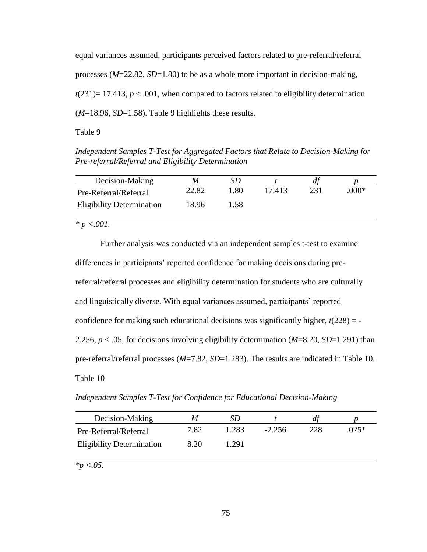equal variances assumed, participants perceived factors related to pre-referral/referral processes (*M*=22.82, *SD*=1.80) to be as a whole more important in decision-making,  $t(231)= 17.413, p < .001$ , when compared to factors related to eligibility determination (*M*=18.96, *SD*=1.58). Table 9 highlights these results.

# Table 9

*Independent Samples T-Test for Aggregated Factors that Relate to Decision-Making for Pre-referral/Referral and Eligibility Determination*

| Decision-Making                  | M     |     |        |       |
|----------------------------------|-------|-----|--------|-------|
| Pre-Referral/Referral            | 22.82 | .80 | 17.413 | .000* |
| <b>Eligibility Determination</b> | 18.96 | .58 |        |       |

*\* p <.001.*

Further analysis was conducted via an independent samples t-test to examine differences in participants' reported confidence for making decisions during prereferral/referral processes and eligibility determination for students who are culturally and linguistically diverse. With equal variances assumed, participants' reported confidence for making such educational decisions was significantly higher,  $t(228) = -$ 2.256, *p* < .05, for decisions involving eligibility determination (*M*=8.20, *SD*=1.291) than pre-referral/referral processes (*M*=7.82, *SD*=1.283). The results are indicated in Table 10. Table 10

*Independent Samples T-Test for Confidence for Educational Decision-Making*

| Decision-Making                  | M    |       |          |     |        |
|----------------------------------|------|-------|----------|-----|--------|
| Pre-Referral/Referral            | 7.82 | 1.283 | $-2.256$ | 228 | $025*$ |
| <b>Eligibility Determination</b> | 8.20 | 1.291 |          |     |        |

*\*p <.05.*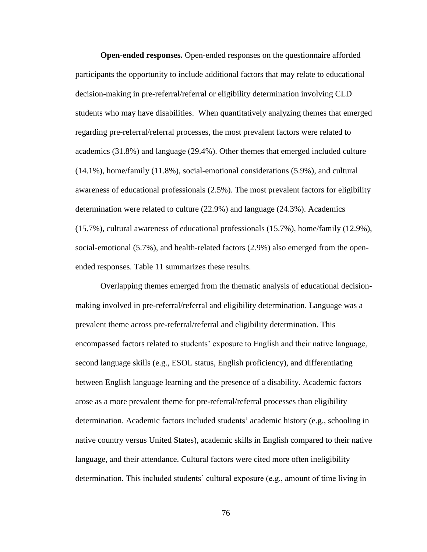**Open-ended responses.** Open-ended responses on the questionnaire afforded participants the opportunity to include additional factors that may relate to educational decision-making in pre-referral/referral or eligibility determination involving CLD students who may have disabilities. When quantitatively analyzing themes that emerged regarding pre-referral/referral processes, the most prevalent factors were related to academics (31.8%) and language (29.4%). Other themes that emerged included culture (14.1%), home/family (11.8%), social-emotional considerations (5.9%), and cultural awareness of educational professionals (2.5%). The most prevalent factors for eligibility determination were related to culture (22.9%) and language (24.3%). Academics (15.7%), cultural awareness of educational professionals (15.7%), home/family (12.9%), social-emotional (5.7%), and health-related factors (2.9%) also emerged from the openended responses. Table 11 summarizes these results.

Overlapping themes emerged from the thematic analysis of educational decisionmaking involved in pre-referral/referral and eligibility determination. Language was a prevalent theme across pre-referral/referral and eligibility determination. This encompassed factors related to students' exposure to English and their native language, second language skills (e.g., ESOL status, English proficiency), and differentiating between English language learning and the presence of a disability. Academic factors arose as a more prevalent theme for pre-referral/referral processes than eligibility determination. Academic factors included students' academic history (e.g., schooling in native country versus United States), academic skills in English compared to their native language, and their attendance. Cultural factors were cited more often ineligibility determination. This included students' cultural exposure (e.g., amount of time living in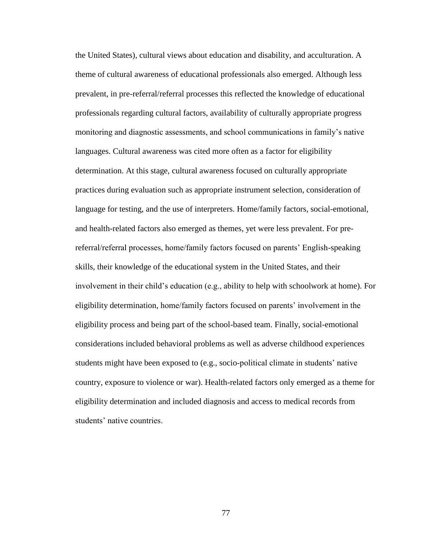the United States), cultural views about education and disability, and acculturation. A theme of cultural awareness of educational professionals also emerged. Although less prevalent, in pre-referral/referral processes this reflected the knowledge of educational professionals regarding cultural factors, availability of culturally appropriate progress monitoring and diagnostic assessments, and school communications in family's native languages. Cultural awareness was cited more often as a factor for eligibility determination. At this stage, cultural awareness focused on culturally appropriate practices during evaluation such as appropriate instrument selection, consideration of language for testing, and the use of interpreters. Home/family factors, social-emotional, and health-related factors also emerged as themes, yet were less prevalent. For prereferral/referral processes, home/family factors focused on parents' English-speaking skills, their knowledge of the educational system in the United States, and their involvement in their child's education (e.g., ability to help with schoolwork at home). For eligibility determination, home/family factors focused on parents' involvement in the eligibility process and being part of the school-based team. Finally, social-emotional considerations included behavioral problems as well as adverse childhood experiences students might have been exposed to (e.g., socio-political climate in students' native country, exposure to violence or war). Health-related factors only emerged as a theme for eligibility determination and included diagnosis and access to medical records from students' native countries.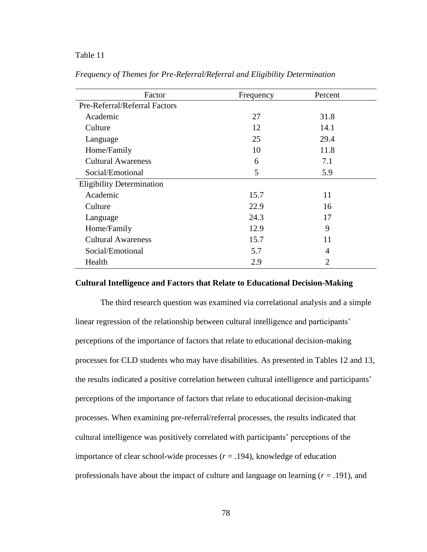## Table 11

| Factor                           | Frequency | Percent        |
|----------------------------------|-----------|----------------|
| Pre-Referral/Referral Factors    |           |                |
| Academic                         | 27        | 31.8           |
| Culture                          | 12        | 14.1           |
| Language                         | 25        | 29.4           |
| Home/Family                      | 10        | 11.8           |
| <b>Cultural Awareness</b>        | 6         | 7.1            |
| Social/Emotional                 | 5         | 5.9            |
| <b>Eligibility Determination</b> |           |                |
| Academic                         | 15.7      | 11             |
| Culture                          | 22.9      | 16             |
| Language                         | 24.3      | 17             |
| Home/Family                      | 12.9      | 9              |
| <b>Cultural Awareness</b>        | 15.7      | 11             |
| Social/Emotional                 | 5.7       | 4              |
| Health                           | 2.9       | $\overline{2}$ |

*Frequency of Themes for Pre-Referral/Referral and Eligibility Determination* 

# **Cultural Intelligence and Factors that Relate to Educational Decision-Making**

The third research question was examined via correlational analysis and a simple linear regression of the relationship between cultural intelligence and participants' perceptions of the importance of factors that relate to educational decision-making processes for CLD students who may have disabilities. As presented in Tables 12 and 13, the results indicated a positive correlation between cultural intelligence and participants' perceptions of the importance of factors that relate to educational decision-making processes. When examining pre-referral/referral processes, the results indicated that cultural intelligence was positively correlated with participants' perceptions of the importance of clear school-wide processes  $(r = .194)$ , knowledge of education professionals have about the impact of culture and language on learning  $(r = .191)$ , and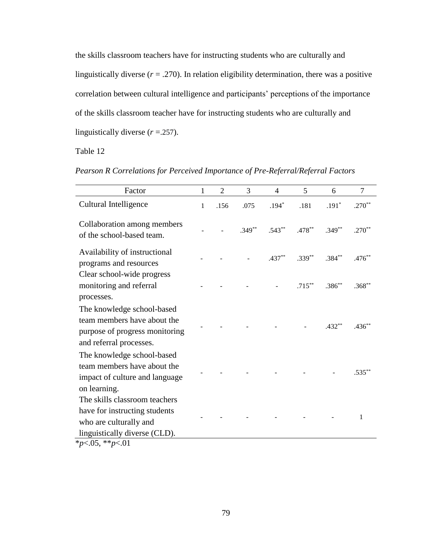the skills classroom teachers have for instructing students who are culturally and linguistically diverse  $(r = .270)$ . In relation eligibility determination, there was a positive correlation between cultural intelligence and participants' perceptions of the importance of the skills classroom teacher have for instructing students who are culturally and linguistically diverse (*r* =.257).

Table 12

|  |  |  |  |  |  | Pearson R Correlations for Perceived Importance of Pre-Referral/Referral Factors |
|--|--|--|--|--|--|----------------------------------------------------------------------------------|
|--|--|--|--|--|--|----------------------------------------------------------------------------------|

| Factor                                                                                                                                                | $\mathbf{1}$ | $\overline{2}$ | 3        | $\overline{4}$ | 5         | 6        | $\overline{7}$ |
|-------------------------------------------------------------------------------------------------------------------------------------------------------|--------------|----------------|----------|----------------|-----------|----------|----------------|
| Cultural Intelligence                                                                                                                                 | 1            | .156           | .075     | $.194*$        | .181      | $.191*$  | $.270**$       |
| Collaboration among members<br>of the school-based team.                                                                                              |              |                | $.349**$ | $.543**$       | $.478**$  | $.349**$ | $.270**$       |
| Availability of instructional<br>programs and resources                                                                                               |              |                |          | $.437**$       | $.339**$  | $.384**$ | $.476**$       |
| Clear school-wide progress<br>monitoring and referral<br>processes.                                                                                   |              |                |          |                | $.715***$ | $.386**$ | $.368**$       |
| The knowledge school-based<br>team members have about the<br>purpose of progress monitoring<br>and referral processes.                                |              |                |          |                |           | $.432**$ | $.436**$       |
| The knowledge school-based<br>team members have about the<br>impact of culture and language<br>on learning.                                           |              |                |          |                |           |          | $.535***$      |
| The skills classroom teachers<br>have for instructing students<br>who are culturally and<br>linguistically diverse (CLD).<br>* $p<0.05$ , ** $p<0.01$ |              |                |          |                |           |          | 1              |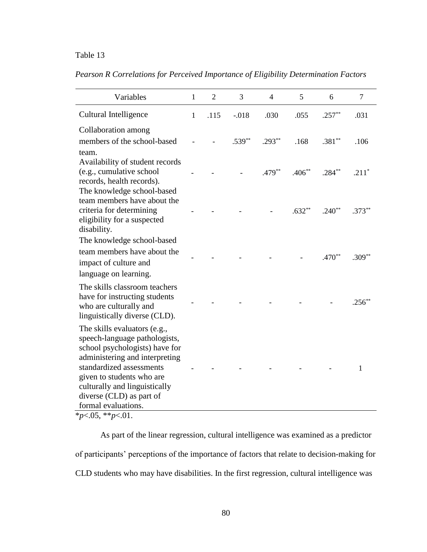# Table 13

*Pearson R Correlations for Perceived Importance of Eligibility Determination Factors*

| Variables                                                                                                                                                                                                                                                                      | $\mathbf{1}$ | $\overline{2}$ | 3        | $\overline{4}$ | 5        | 6        | $\overline{7}$ |
|--------------------------------------------------------------------------------------------------------------------------------------------------------------------------------------------------------------------------------------------------------------------------------|--------------|----------------|----------|----------------|----------|----------|----------------|
| Cultural Intelligence                                                                                                                                                                                                                                                          | $\mathbf{1}$ | .115           | $-.018$  | .030           | .055     | $.257**$ | .031           |
| Collaboration among<br>members of the school-based<br>team.                                                                                                                                                                                                                    |              |                | $.539**$ | $.293**$       | .168     | $.381**$ | .106           |
| Availability of student records<br>(e.g., cumulative school<br>records, health records).<br>The knowledge school-based                                                                                                                                                         |              |                |          | $.479**$       | $.406**$ | $.284**$ | $.211*$        |
| team members have about the<br>criteria for determining<br>eligibility for a suspected<br>disability.                                                                                                                                                                          |              |                |          |                | $.632**$ | $.240**$ | $.373**$       |
| The knowledge school-based<br>team members have about the<br>impact of culture and<br>language on learning.                                                                                                                                                                    |              |                |          |                |          | $.470**$ | $.309**$       |
| The skills classroom teachers<br>have for instructing students<br>who are culturally and<br>linguistically diverse (CLD).                                                                                                                                                      |              |                |          |                |          |          | $.256^{**}$    |
| The skills evaluators (e.g.,<br>speech-language pathologists,<br>school psychologists) have for<br>administering and interpreting<br>standardized assessments<br>given to students who are<br>culturally and linguistically<br>diverse (CLD) as part of<br>formal evaluations. |              |                |          |                |          |          | 1              |

\**p*<.05, \*\**p*<.01.

As part of the linear regression, cultural intelligence was examined as a predictor of participants' perceptions of the importance of factors that relate to decision-making for CLD students who may have disabilities. In the first regression, cultural intelligence was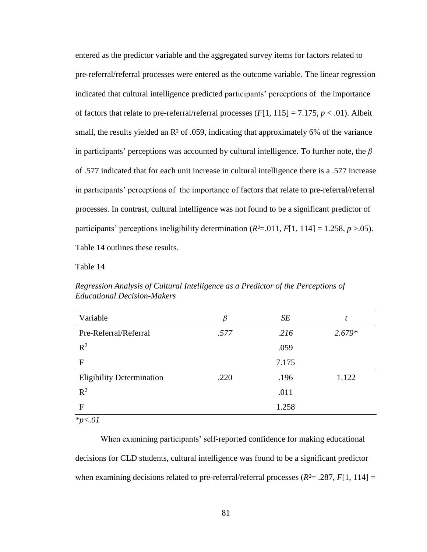entered as the predictor variable and the aggregated survey items for factors related to pre-referral/referral processes were entered as the outcome variable. The linear regression indicated that cultural intelligence predicted participants' perceptions of the importance of factors that relate to pre-referral/referral processes  $(F[1, 115] = 7.175, p < .01)$ . Albeit small, the results yielded an  $\mathbb{R}^2$  of .059, indicating that approximately 6% of the variance in participants' perceptions was accounted by cultural intelligence. To further note, the *β* of .577 indicated that for each unit increase in cultural intelligence there is a .577 increase in participants' perceptions of the importance of factors that relate to pre-referral/referral processes. In contrast, cultural intelligence was not found to be a significant predictor of participants' perceptions ineligibility determination  $(R^2=0.011, F[1, 114] = 1.258, p > 0.05)$ . Table 14 outlines these results.

Table 14

| Variable                         | β    | SE    | t        |
|----------------------------------|------|-------|----------|
| Pre-Referral/Referral            | .577 | .216  | $2.679*$ |
| $R^2$                            |      | .059  |          |
| F                                |      | 7.175 |          |
| <b>Eligibility Determination</b> | .220 | .196  | 1.122    |
| $R^2$                            |      | .011  |          |
| F                                |      | 1.258 |          |
| $x_n \geq 01$                    |      |       |          |

*Regression Analysis of Cultural Intelligence as a Predictor of the Perceptions of Educational Decision-Makers*

*\*p<.01*

When examining participants' self-reported confidence for making educational decisions for CLD students, cultural intelligence was found to be a significant predictor when examining decisions related to pre-referral/referral processes ( $R^2$  = .287,  $F[1, 114]$  =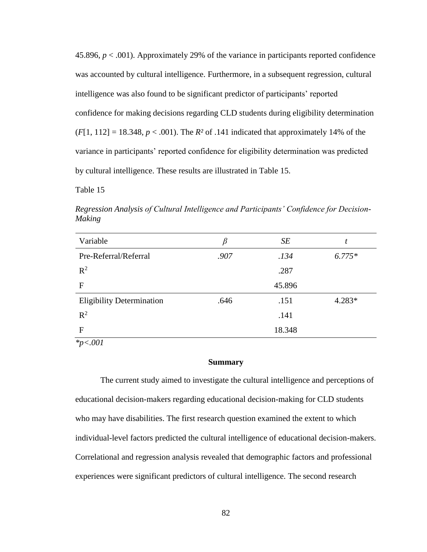45.896, *p* < .001). Approximately 29% of the variance in participants reported confidence was accounted by cultural intelligence. Furthermore, in a subsequent regression, cultural intelligence was also found to be significant predictor of participants' reported confidence for making decisions regarding CLD students during eligibility determination  $(F[1, 112] = 18.348, p < .001)$ . The  $R^2$  of .141 indicated that approximately 14% of the variance in participants' reported confidence for eligibility determination was predicted by cultural intelligence. These results are illustrated in Table 15.

Table 15

*Regression Analysis of Cultural Intelligence and Participants' Confidence for Decision-Making*

| Variable                         | β    | SE     | t        |
|----------------------------------|------|--------|----------|
| Pre-Referral/Referral            | .907 | .134   | $6.775*$ |
| $R^2$                            |      | .287   |          |
| F                                |      | 45.896 |          |
| <b>Eligibility Determination</b> | .646 | .151   | 4.283*   |
| $R^2$                            |      | .141   |          |
| F                                |      | 18.348 |          |
| $*_{p<.001}$                     |      |        |          |

**Summary**

The current study aimed to investigate the cultural intelligence and perceptions of educational decision-makers regarding educational decision-making for CLD students who may have disabilities. The first research question examined the extent to which individual-level factors predicted the cultural intelligence of educational decision-makers. Correlational and regression analysis revealed that demographic factors and professional experiences were significant predictors of cultural intelligence. The second research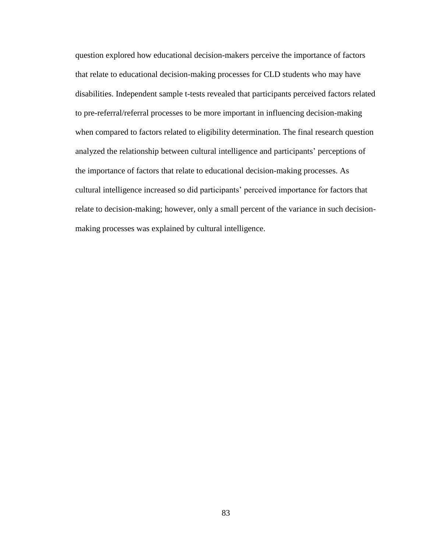question explored how educational decision-makers perceive the importance of factors that relate to educational decision-making processes for CLD students who may have disabilities. Independent sample t-tests revealed that participants perceived factors related to pre-referral/referral processes to be more important in influencing decision-making when compared to factors related to eligibility determination. The final research question analyzed the relationship between cultural intelligence and participants' perceptions of the importance of factors that relate to educational decision-making processes. As cultural intelligence increased so did participants' perceived importance for factors that relate to decision-making; however, only a small percent of the variance in such decisionmaking processes was explained by cultural intelligence.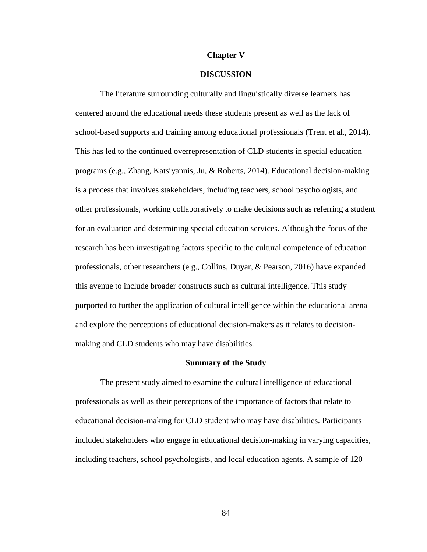#### **Chapter V**

## **DISCUSSION**

The literature surrounding culturally and linguistically diverse learners has centered around the educational needs these students present as well as the lack of school-based supports and training among educational professionals (Trent et al., 2014). This has led to the continued overrepresentation of CLD students in special education programs (e.g., Zhang, Katsiyannis, Ju, & Roberts, 2014). Educational decision-making is a process that involves stakeholders, including teachers, school psychologists, and other professionals, working collaboratively to make decisions such as referring a student for an evaluation and determining special education services. Although the focus of the research has been investigating factors specific to the cultural competence of education professionals, other researchers (e.g., Collins, Duyar, & Pearson, 2016) have expanded this avenue to include broader constructs such as cultural intelligence. This study purported to further the application of cultural intelligence within the educational arena and explore the perceptions of educational decision-makers as it relates to decisionmaking and CLD students who may have disabilities.

#### **Summary of the Study**

The present study aimed to examine the cultural intelligence of educational professionals as well as their perceptions of the importance of factors that relate to educational decision-making for CLD student who may have disabilities. Participants included stakeholders who engage in educational decision-making in varying capacities, including teachers, school psychologists, and local education agents. A sample of 120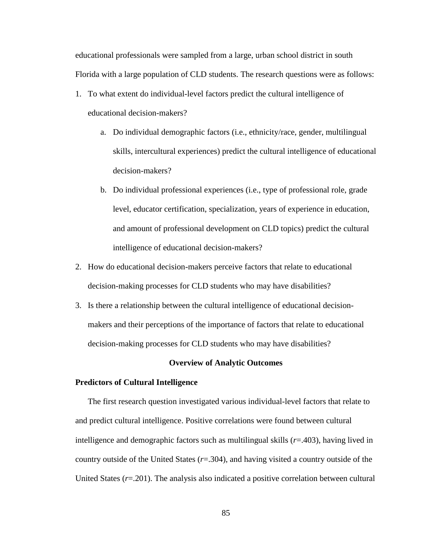educational professionals were sampled from a large, urban school district in south Florida with a large population of CLD students. The research questions were as follows:

- 1. To what extent do individual-level factors predict the cultural intelligence of educational decision-makers?
	- a. Do individual demographic factors (i.e., ethnicity/race, gender, multilingual skills, intercultural experiences) predict the cultural intelligence of educational decision-makers?
	- b. Do individual professional experiences (i.e., type of professional role, grade level, educator certification, specialization, years of experience in education, and amount of professional development on CLD topics) predict the cultural intelligence of educational decision-makers?
- 2. How do educational decision-makers perceive factors that relate to educational decision-making processes for CLD students who may have disabilities?
- 3. Is there a relationship between the cultural intelligence of educational decisionmakers and their perceptions of the importance of factors that relate to educational decision-making processes for CLD students who may have disabilities?

#### **Overview of Analytic Outcomes**

#### **Predictors of Cultural Intelligence**

The first research question investigated various individual-level factors that relate to and predict cultural intelligence. Positive correlations were found between cultural intelligence and demographic factors such as multilingual skills (*r*=.403), having lived in country outside of the United States (*r*=.304), and having visited a country outside of the United States (*r*=.201). The analysis also indicated a positive correlation between cultural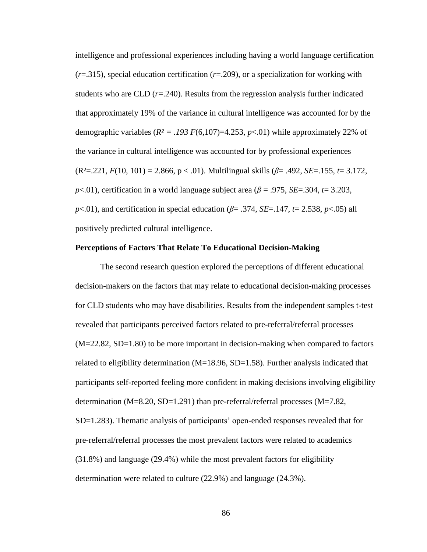intelligence and professional experiences including having a world language certification (*r*=.315), special education certification (*r*=.209), or a specialization for working with students who are CLD  $(r=.240)$ . Results from the regression analysis further indicated that approximately 19% of the variance in cultural intelligence was accounted for by the demographic variables  $(R^2 = .193 F(6,107)=4.253, p<.01)$  while approximately 22% of the variance in cultural intelligence was accounted for by professional experiences (R²=.221, *F*(10, 101) = 2.866, p < .01). Multilingual skills (*β*= .492, *SE*=.155, *t*= 3.172, *p*<.01), certification in a world language subject area (*β* = .975, *SE*=.304, *t*= 3.203, *p*<.01), and certification in special education ( $\beta$ = .374, *SE*=.147,  $t$ = 2.538, *p*<.05) all positively predicted cultural intelligence.

#### **Perceptions of Factors That Relate To Educational Decision-Making**

The second research question explored the perceptions of different educational decision-makers on the factors that may relate to educational decision-making processes for CLD students who may have disabilities. Results from the independent samples t-test revealed that participants perceived factors related to pre-referral/referral processes (M=22.82, SD=1.80) to be more important in decision-making when compared to factors related to eligibility determination (M=18.96, SD=1.58). Further analysis indicated that participants self-reported feeling more confident in making decisions involving eligibility determination (M=8.20, SD=1.291) than pre-referral/referral processes (M=7.82, SD=1.283). Thematic analysis of participants' open-ended responses revealed that for pre-referral/referral processes the most prevalent factors were related to academics (31.8%) and language (29.4%) while the most prevalent factors for eligibility determination were related to culture (22.9%) and language (24.3%).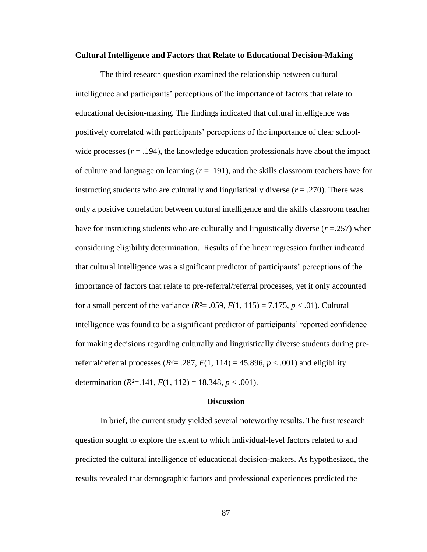#### **Cultural Intelligence and Factors that Relate to Educational Decision-Making**

The third research question examined the relationship between cultural intelligence and participants' perceptions of the importance of factors that relate to educational decision-making. The findings indicated that cultural intelligence was positively correlated with participants' perceptions of the importance of clear schoolwide processes  $(r = .194)$ , the knowledge education professionals have about the impact of culture and language on learning  $(r = .191)$ , and the skills classroom teachers have for instructing students who are culturally and linguistically diverse  $(r = .270)$ . There was only a positive correlation between cultural intelligence and the skills classroom teacher have for instructing students who are culturally and linguistically diverse (*r* =.257) when considering eligibility determination. Results of the linear regression further indicated that cultural intelligence was a significant predictor of participants' perceptions of the importance of factors that relate to pre-referral/referral processes, yet it only accounted for a small percent of the variance  $(R^2 = .059, F(1, 115) = 7.175, p < .01)$ . Cultural intelligence was found to be a significant predictor of participants' reported confidence for making decisions regarding culturally and linguistically diverse students during prereferral/referral processes ( $R^2$  = .287,  $F(1, 114)$  = 45.896,  $p$  < .001) and eligibility determination ( $R^2 = 141$ ,  $F(1, 112) = 18.348$ ,  $p < .001$ ).

#### **Discussion**

In brief, the current study yielded several noteworthy results. The first research question sought to explore the extent to which individual-level factors related to and predicted the cultural intelligence of educational decision-makers. As hypothesized, the results revealed that demographic factors and professional experiences predicted the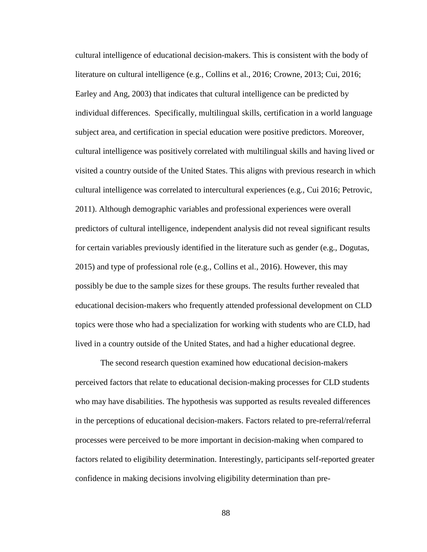cultural intelligence of educational decision-makers. This is consistent with the body of literature on cultural intelligence (e.g., Collins et al., 2016; Crowne, 2013; Cui, 2016; Earley and Ang, 2003) that indicates that cultural intelligence can be predicted by individual differences. Specifically, multilingual skills, certification in a world language subject area, and certification in special education were positive predictors. Moreover, cultural intelligence was positively correlated with multilingual skills and having lived or visited a country outside of the United States. This aligns with previous research in which cultural intelligence was correlated to intercultural experiences (e.g., Cui 2016; Petrovic, 2011). Although demographic variables and professional experiences were overall predictors of cultural intelligence, independent analysis did not reveal significant results for certain variables previously identified in the literature such as gender (e.g., Dogutas, 2015) and type of professional role (e.g., Collins et al., 2016). However, this may possibly be due to the sample sizes for these groups. The results further revealed that educational decision-makers who frequently attended professional development on CLD topics were those who had a specialization for working with students who are CLD, had lived in a country outside of the United States, and had a higher educational degree.

The second research question examined how educational decision-makers perceived factors that relate to educational decision-making processes for CLD students who may have disabilities. The hypothesis was supported as results revealed differences in the perceptions of educational decision-makers. Factors related to pre-referral/referral processes were perceived to be more important in decision-making when compared to factors related to eligibility determination. Interestingly, participants self-reported greater confidence in making decisions involving eligibility determination than pre-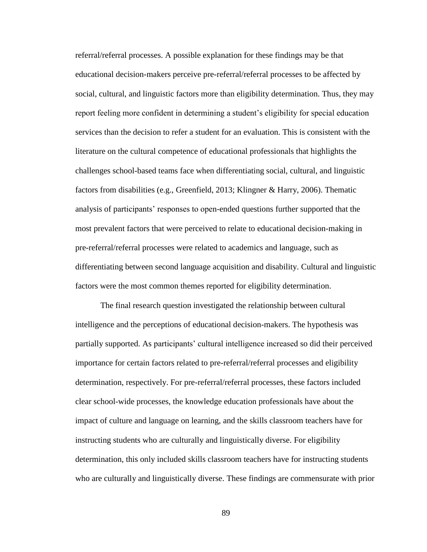referral/referral processes. A possible explanation for these findings may be that educational decision-makers perceive pre-referral/referral processes to be affected by social, cultural, and linguistic factors more than eligibility determination. Thus, they may report feeling more confident in determining a student's eligibility for special education services than the decision to refer a student for an evaluation. This is consistent with the literature on the cultural competence of educational professionals that highlights the challenges school-based teams face when differentiating social, cultural, and linguistic factors from disabilities (e.g., Greenfield, 2013; Klingner & Harry, 2006). Thematic analysis of participants' responses to open-ended questions further supported that the most prevalent factors that were perceived to relate to educational decision-making in pre-referral/referral processes were related to academics and language, such as differentiating between second language acquisition and disability. Cultural and linguistic factors were the most common themes reported for eligibility determination.

The final research question investigated the relationship between cultural intelligence and the perceptions of educational decision-makers. The hypothesis was partially supported. As participants' cultural intelligence increased so did their perceived importance for certain factors related to pre-referral/referral processes and eligibility determination, respectively. For pre-referral/referral processes, these factors included clear school-wide processes, the knowledge education professionals have about the impact of culture and language on learning, and the skills classroom teachers have for instructing students who are culturally and linguistically diverse. For eligibility determination, this only included skills classroom teachers have for instructing students who are culturally and linguistically diverse. These findings are commensurate with prior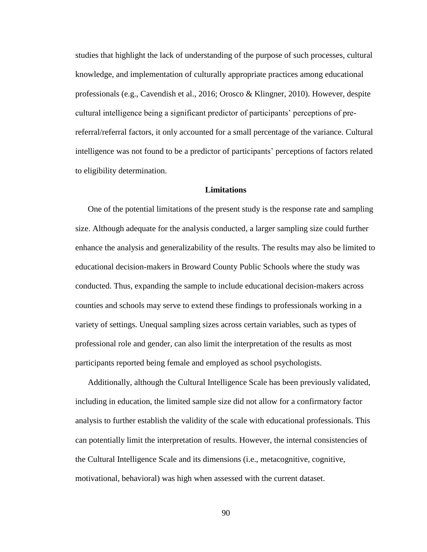studies that highlight the lack of understanding of the purpose of such processes, cultural knowledge, and implementation of culturally appropriate practices among educational professionals (e.g., Cavendish et al., 2016; Orosco & Klingner, 2010). However, despite cultural intelligence being a significant predictor of participants' perceptions of prereferral/referral factors, it only accounted for a small percentage of the variance. Cultural intelligence was not found to be a predictor of participants' perceptions of factors related to eligibility determination.

# **Limitations**

One of the potential limitations of the present study is the response rate and sampling size. Although adequate for the analysis conducted, a larger sampling size could further enhance the analysis and generalizability of the results. The results may also be limited to educational decision-makers in Broward County Public Schools where the study was conducted. Thus, expanding the sample to include educational decision-makers across counties and schools may serve to extend these findings to professionals working in a variety of settings. Unequal sampling sizes across certain variables, such as types of professional role and gender, can also limit the interpretation of the results as most participants reported being female and employed as school psychologists.

Additionally, although the Cultural Intelligence Scale has been previously validated, including in education, the limited sample size did not allow for a confirmatory factor analysis to further establish the validity of the scale with educational professionals. This can potentially limit the interpretation of results. However, the internal consistencies of the Cultural Intelligence Scale and its dimensions (i.e., metacognitive, cognitive, motivational, behavioral) was high when assessed with the current dataset.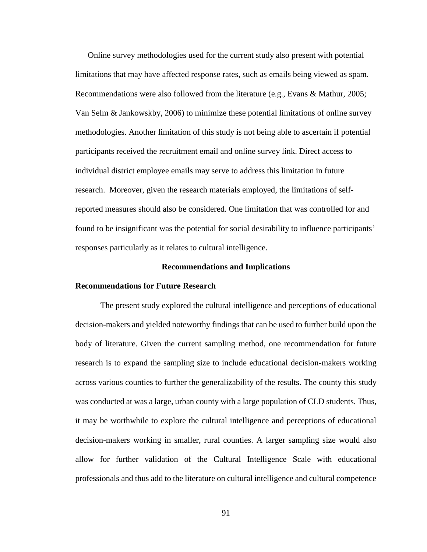Online survey methodologies used for the current study also present with potential limitations that may have affected response rates, such as emails being viewed as spam. Recommendations were also followed from the literature (e.g., Evans & Mathur, 2005; Van Selm & Jankowskby, 2006) to minimize these potential limitations of online survey methodologies. Another limitation of this study is not being able to ascertain if potential participants received the recruitment email and online survey link. Direct access to individual district employee emails may serve to address this limitation in future research. Moreover, given the research materials employed, the limitations of selfreported measures should also be considered. One limitation that was controlled for and found to be insignificant was the potential for social desirability to influence participants' responses particularly as it relates to cultural intelligence.

#### **Recommendations and Implications**

### **Recommendations for Future Research**

The present study explored the cultural intelligence and perceptions of educational decision-makers and yielded noteworthy findings that can be used to further build upon the body of literature. Given the current sampling method, one recommendation for future research is to expand the sampling size to include educational decision-makers working across various counties to further the generalizability of the results. The county this study was conducted at was a large, urban county with a large population of CLD students. Thus, it may be worthwhile to explore the cultural intelligence and perceptions of educational decision-makers working in smaller, rural counties. A larger sampling size would also allow for further validation of the Cultural Intelligence Scale with educational professionals and thus add to the literature on cultural intelligence and cultural competence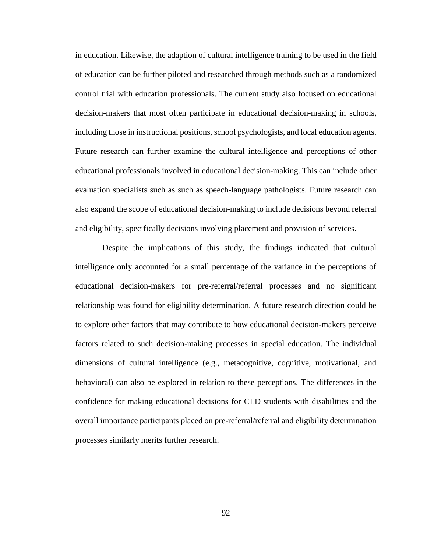in education. Likewise, the adaption of cultural intelligence training to be used in the field of education can be further piloted and researched through methods such as a randomized control trial with education professionals. The current study also focused on educational decision-makers that most often participate in educational decision-making in schools, including those in instructional positions, school psychologists, and local education agents. Future research can further examine the cultural intelligence and perceptions of other educational professionals involved in educational decision-making. This can include other evaluation specialists such as such as speech-language pathologists. Future research can also expand the scope of educational decision-making to include decisions beyond referral and eligibility, specifically decisions involving placement and provision of services.

Despite the implications of this study, the findings indicated that cultural intelligence only accounted for a small percentage of the variance in the perceptions of educational decision-makers for pre-referral/referral processes and no significant relationship was found for eligibility determination. A future research direction could be to explore other factors that may contribute to how educational decision-makers perceive factors related to such decision-making processes in special education. The individual dimensions of cultural intelligence (e.g., metacognitive, cognitive, motivational, and behavioral) can also be explored in relation to these perceptions. The differences in the confidence for making educational decisions for CLD students with disabilities and the overall importance participants placed on pre-referral/referral and eligibility determination processes similarly merits further research.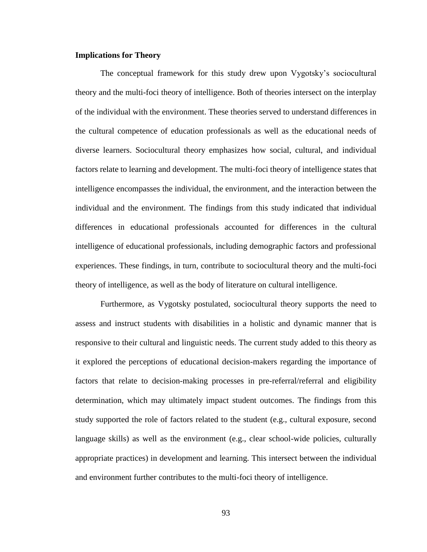# **Implications for Theory**

The conceptual framework for this study drew upon Vygotsky's sociocultural theory and the multi-foci theory of intelligence. Both of theories intersect on the interplay of the individual with the environment. These theories served to understand differences in the cultural competence of education professionals as well as the educational needs of diverse learners. Sociocultural theory emphasizes how social, cultural, and individual factors relate to learning and development. The multi-foci theory of intelligence states that intelligence encompasses the individual, the environment, and the interaction between the individual and the environment. The findings from this study indicated that individual differences in educational professionals accounted for differences in the cultural intelligence of educational professionals, including demographic factors and professional experiences. These findings, in turn, contribute to sociocultural theory and the multi-foci theory of intelligence, as well as the body of literature on cultural intelligence.

Furthermore, as Vygotsky postulated, sociocultural theory supports the need to assess and instruct students with disabilities in a holistic and dynamic manner that is responsive to their cultural and linguistic needs. The current study added to this theory as it explored the perceptions of educational decision-makers regarding the importance of factors that relate to decision-making processes in pre-referral/referral and eligibility determination, which may ultimately impact student outcomes. The findings from this study supported the role of factors related to the student (e.g., cultural exposure, second language skills) as well as the environment (e.g., clear school-wide policies, culturally appropriate practices) in development and learning. This intersect between the individual and environment further contributes to the multi-foci theory of intelligence.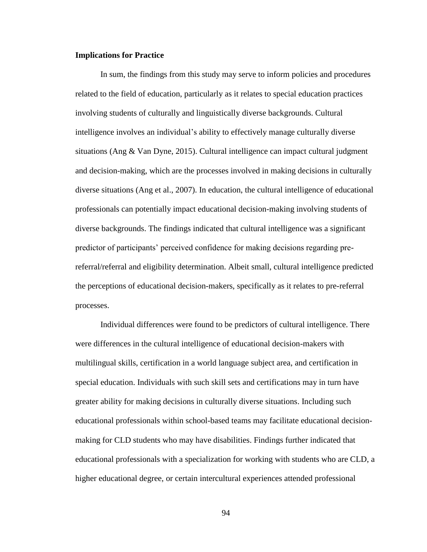#### **Implications for Practice**

In sum, the findings from this study may serve to inform policies and procedures related to the field of education, particularly as it relates to special education practices involving students of culturally and linguistically diverse backgrounds. Cultural intelligence involves an individual's ability to effectively manage culturally diverse situations (Ang & Van Dyne, 2015). Cultural intelligence can impact cultural judgment and decision-making, which are the processes involved in making decisions in culturally diverse situations (Ang et al., 2007). In education, the cultural intelligence of educational professionals can potentially impact educational decision-making involving students of diverse backgrounds. The findings indicated that cultural intelligence was a significant predictor of participants' perceived confidence for making decisions regarding prereferral/referral and eligibility determination. Albeit small, cultural intelligence predicted the perceptions of educational decision-makers, specifically as it relates to pre-referral processes.

Individual differences were found to be predictors of cultural intelligence. There were differences in the cultural intelligence of educational decision-makers with multilingual skills, certification in a world language subject area, and certification in special education. Individuals with such skill sets and certifications may in turn have greater ability for making decisions in culturally diverse situations. Including such educational professionals within school-based teams may facilitate educational decisionmaking for CLD students who may have disabilities. Findings further indicated that educational professionals with a specialization for working with students who are CLD, a higher educational degree, or certain intercultural experiences attended professional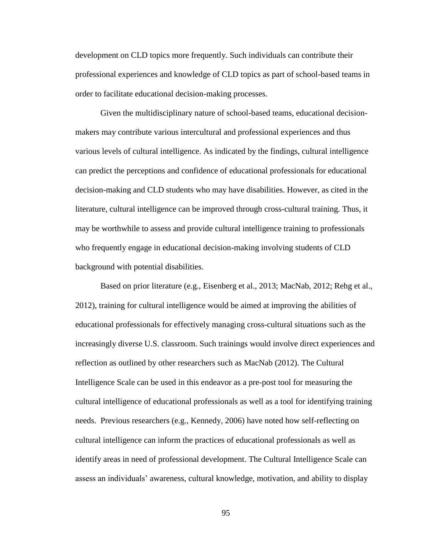development on CLD topics more frequently. Such individuals can contribute their professional experiences and knowledge of CLD topics as part of school-based teams in order to facilitate educational decision-making processes.

Given the multidisciplinary nature of school-based teams, educational decisionmakers may contribute various intercultural and professional experiences and thus various levels of cultural intelligence. As indicated by the findings, cultural intelligence can predict the perceptions and confidence of educational professionals for educational decision-making and CLD students who may have disabilities. However, as cited in the literature, cultural intelligence can be improved through cross-cultural training. Thus, it may be worthwhile to assess and provide cultural intelligence training to professionals who frequently engage in educational decision-making involving students of CLD background with potential disabilities.

Based on prior literature (e.g., Eisenberg et al., 2013; MacNab, 2012; Rehg et al., 2012), training for cultural intelligence would be aimed at improving the abilities of educational professionals for effectively managing cross-cultural situations such as the increasingly diverse U.S. classroom. Such trainings would involve direct experiences and reflection as outlined by other researchers such as MacNab (2012). The Cultural Intelligence Scale can be used in this endeavor as a pre-post tool for measuring the cultural intelligence of educational professionals as well as a tool for identifying training needs. Previous researchers (e.g., Kennedy, 2006) have noted how self-reflecting on cultural intelligence can inform the practices of educational professionals as well as identify areas in need of professional development. The Cultural Intelligence Scale can assess an individuals' awareness, cultural knowledge, motivation, and ability to display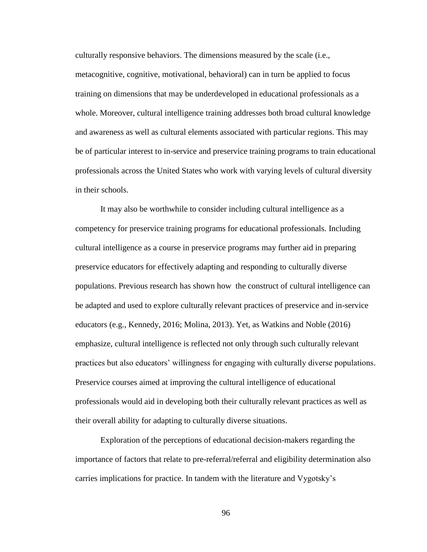culturally responsive behaviors. The dimensions measured by the scale (i.e., metacognitive, cognitive, motivational, behavioral) can in turn be applied to focus training on dimensions that may be underdeveloped in educational professionals as a whole. Moreover, cultural intelligence training addresses both broad cultural knowledge and awareness as well as cultural elements associated with particular regions. This may be of particular interest to in-service and preservice training programs to train educational professionals across the United States who work with varying levels of cultural diversity in their schools.

It may also be worthwhile to consider including cultural intelligence as a competency for preservice training programs for educational professionals. Including cultural intelligence as a course in preservice programs may further aid in preparing preservice educators for effectively adapting and responding to culturally diverse populations. Previous research has shown how the construct of cultural intelligence can be adapted and used to explore culturally relevant practices of preservice and in-service educators (e.g., Kennedy, 2016; Molina, 2013). Yet, as Watkins and Noble (2016) emphasize, cultural intelligence is reflected not only through such culturally relevant practices but also educators' willingness for engaging with culturally diverse populations. Preservice courses aimed at improving the cultural intelligence of educational professionals would aid in developing both their culturally relevant practices as well as their overall ability for adapting to culturally diverse situations.

Exploration of the perceptions of educational decision-makers regarding the importance of factors that relate to pre-referral/referral and eligibility determination also carries implications for practice. In tandem with the literature and Vygotsky's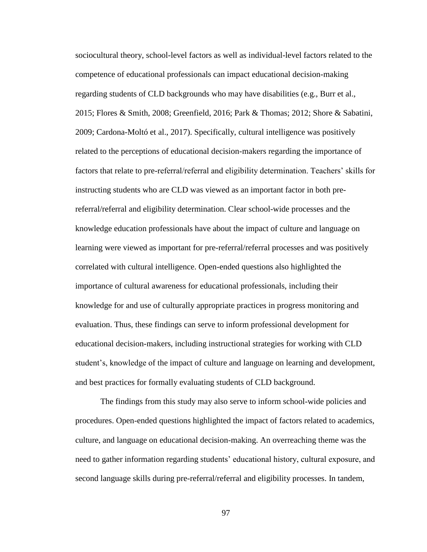sociocultural theory, school-level factors as well as individual-level factors related to the competence of educational professionals can impact educational decision-making regarding students of CLD backgrounds who may have disabilities (e.g., Burr et al., 2015; Flores & Smith, 2008; Greenfield, 2016; Park & Thomas; 2012; Shore & Sabatini, 2009; Cardona-Moltó et al., 2017). Specifically, cultural intelligence was positively related to the perceptions of educational decision-makers regarding the importance of factors that relate to pre-referral/referral and eligibility determination. Teachers' skills for instructing students who are CLD was viewed as an important factor in both prereferral/referral and eligibility determination. Clear school-wide processes and the knowledge education professionals have about the impact of culture and language on learning were viewed as important for pre-referral/referral processes and was positively correlated with cultural intelligence. Open-ended questions also highlighted the importance of cultural awareness for educational professionals, including their knowledge for and use of culturally appropriate practices in progress monitoring and evaluation. Thus, these findings can serve to inform professional development for educational decision-makers, including instructional strategies for working with CLD student's, knowledge of the impact of culture and language on learning and development, and best practices for formally evaluating students of CLD background.

The findings from this study may also serve to inform school-wide policies and procedures. Open-ended questions highlighted the impact of factors related to academics, culture, and language on educational decision-making. An overreaching theme was the need to gather information regarding students' educational history, cultural exposure, and second language skills during pre-referral/referral and eligibility processes. In tandem,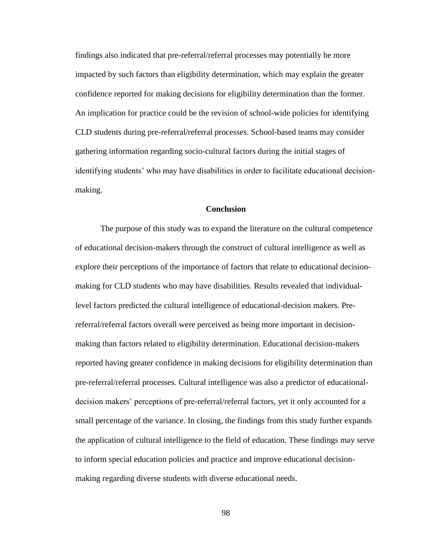findings also indicated that pre-referral/referral processes may potentially be more impacted by such factors than eligibility determination, which may explain the greater confidence reported for making decisions for eligibility determination than the former. An implication for practice could be the revision of school-wide policies for identifying CLD students during pre-referral/referral processes. School-based teams may consider gathering information regarding socio-cultural factors during the initial stages of identifying students' who may have disabilities in order to facilitate educational decisionmaking.

### **Conclusion**

The purpose of this study was to expand the literature on the cultural competence of educational decision-makers through the construct of cultural intelligence as well as explore their perceptions of the importance of factors that relate to educational decisionmaking for CLD students who may have disabilities. Results revealed that individuallevel factors predicted the cultural intelligence of educational-decision makers. Prereferral/referral factors overall were perceived as being more important in decisionmaking than factors related to eligibility determination. Educational decision-makers reported having greater confidence in making decisions for eligibility determination than pre-referral/referral processes. Cultural intelligence was also a predictor of educationaldecision makers' perceptions of pre-referral/referral factors, yet it only accounted for a small percentage of the variance. In closing, the findings from this study further expands the application of cultural intelligence to the field of education. These findings may serve to inform special education policies and practice and improve educational decisionmaking regarding diverse students with diverse educational needs.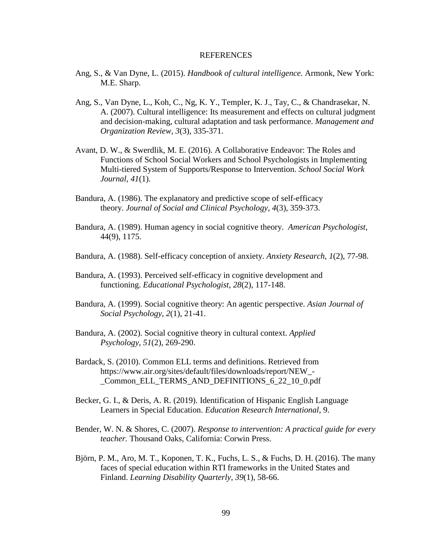#### **REFERENCES**

- Ang, S., & Van Dyne, L. (2015). *Handbook of cultural intelligence*. Armonk, New York: M.E. Sharp.
- Ang, S., Van Dyne, L., Koh, C., Ng, K. Y., Templer, K. J., Tay, C., & Chandrasekar, N. A. (2007). Cultural intelligence: Its measurement and effects on cultural judgment and decision-making, cultural adaptation and task performance. *Management and Organization Review*, *3*(3), 335-371.
- Avant, D. W., & Swerdlik, M. E. (2016). A Collaborative Endeavor: The Roles and Functions of School Social Workers and School Psychologists in Implementing Multi-tiered System of Supports/Response to Intervention. *School Social Work Journal*, *41*(1).
- Bandura, A. (1986). The explanatory and predictive scope of self-efficacy theory. *Journal of Social and Clinical Psychology*, *4*(3), 359-373.
- Bandura, A. (1989). Human agency in social cognitive theory. *American Psychologist*, 44(9), 1175.
- Bandura, A. (1988). Self-efficacy conception of anxiety. *Anxiety Research*, *1*(2), 77-98.
- Bandura, A. (1993). Perceived self-efficacy in cognitive development and functioning. *Educational Psychologist*, *28*(2), 117-148.
- Bandura, A. (1999). Social cognitive theory: An agentic perspective. *Asian Journal of Social Psychology*, *2*(1), 21-41.
- Bandura, A. (2002). Social cognitive theory in cultural context. *Applied Psychology*, *51*(2), 269-290.
- Bardack, S. (2010). Common ELL terms and definitions. Retrieved from https://www.air.org/sites/default/files/downloads/report/NEW\_- \_Common\_ELL\_TERMS\_AND\_DEFINITIONS\_6\_22\_10\_0.pdf
- Becker, G. I., & Deris, A. R. (2019). Identification of Hispanic English Language Learners in Special Education. *Education Research International*, 9.
- Bender, W. N. & Shores, C. (2007). *Response to intervention: A practical guide for every teacher.* Thousand Oaks, California: Corwin Press.
- Björn, P. M., Aro, M. T., Koponen, T. K., Fuchs, L. S., & Fuchs, D. H. (2016). The many faces of special education within RTI frameworks in the United States and Finland. *Learning Disability Quarterly*, *39*(1), 58-66.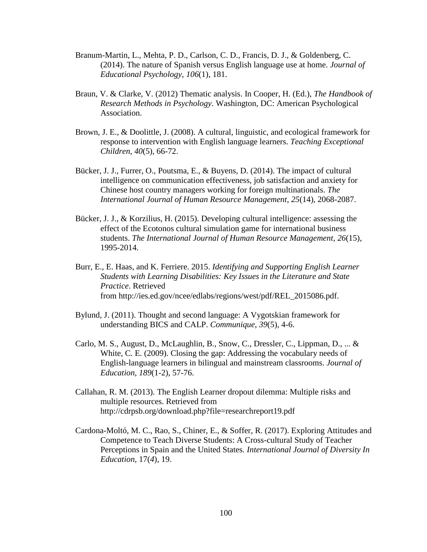- Branum-Martin, L., Mehta, P. D., Carlson, C. D., Francis, D. J., & Goldenberg, C. (2014). The nature of Spanish versus English language use at home. *Journal of Educational Psychology*, *106*(1), 181.
- Braun, V. & Clarke, V. (2012) Thematic analysis. In Cooper, H. (Ed.), *The Handbook of Research Methods in Psychology*. Washington, DC: American Psychological Association.
- Brown, J. E., & Doolittle, J. (2008). A cultural, linguistic, and ecological framework for response to intervention with English language learners. *Teaching Exceptional Children*, *40*(5), 66-72.
- Bücker, J. J., Furrer, O., Poutsma, E., & Buyens, D. (2014). The impact of cultural intelligence on communication effectiveness, job satisfaction and anxiety for Chinese host country managers working for foreign multinationals. *The International Journal of Human Resource Management*, *25*(14), 2068-2087.
- Bücker, J. J., & Korzilius, H. (2015). Developing cultural intelligence: assessing the effect of the Ecotonos cultural simulation game for international business students. *The International Journal of Human Resource Management*, *26*(15), 1995-2014.
- Burr, E., E. Haas, and K. Ferriere. 2015. *Identifying and Supporting English Learner Students with Learning Disabilities: Key Issues in the Literature and State Practice*. Retrieved from [http://ies.ed.gov/ncee/edlabs/regions/west/pdf/REL\\_2015086.pdf.](http://ies.ed.gov/ncee/edlabs/regions/west/pdf/REL_2015086.pdf)
- Bylund, J. (2011). Thought and second language: A Vygotskian framework for understanding BICS and CALP. *Communique*, *39*(5), 4-6.
- Carlo, M. S., August, D., McLaughlin, B., Snow, C., Dressler, C., Lippman, D., ... & White, C. E. (2009). Closing the gap: Addressing the vocabulary needs of English-language learners in bilingual and mainstream classrooms. *Journal of Education*, *189*(1-2), 57-76.
- Callahan, R. M. (2013). The English Learner dropout dilemma: Multiple risks and multiple resources. Retrieved from http://cdrpsb.org/download.php?file=researchreport19.pdf
- Cardona-Moltó, M. C., Rao, S., Chiner, E., & Soffer, R. (2017). Exploring Attitudes and Competence to Teach Diverse Students: A Cross-cultural Study of Teacher Perceptions in Spain and the United States*. International Journal of Diversity In Education*, 17(*4*), 19.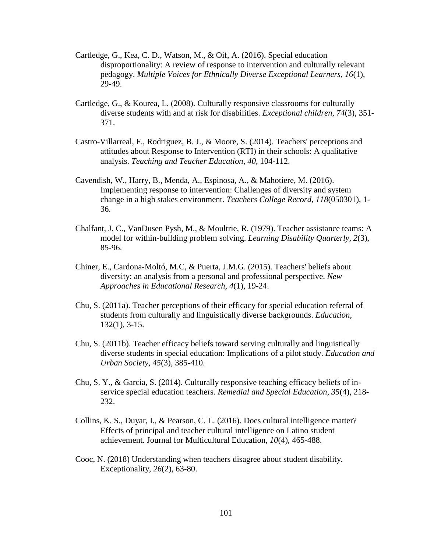- Cartledge, G., Kea, C. D., Watson, M., & Oif, A. (2016). Special education disproportionality: A review of response to intervention and culturally relevant pedagogy. *Multiple Voices for Ethnically Diverse Exceptional Learners*, *16*(1), 29-49.
- Cartledge, G., & Kourea, L. (2008). Culturally responsive classrooms for culturally diverse students with and at risk for disabilities. *Exceptional children*, *74*(3), 351- 371.
- Castro-Villarreal, F., Rodriguez, B. J., & Moore, S. (2014). Teachers' perceptions and attitudes about Response to Intervention (RTI) in their schools: A qualitative analysis. *Teaching and Teacher Education*, *40*, 104-112.
- Cavendish, W., Harry, B., Menda, A., Espinosa, A., & Mahotiere, M. (2016). Implementing response to intervention: Challenges of diversity and system change in a high stakes environment. *Teachers College Record*, *118*(050301), 1- 36.
- Chalfant, J. C., VanDusen Pysh, M., & Moultrie, R. (1979). Teacher assistance teams: A model for within-building problem solving. *Learning Disability Quarterly*, *2*(3), 85-96.
- Chiner, E., Cardona-Moltó, M.C, & Puerta, J.M.G. (2015). Teachers' beliefs about diversity: an analysis from a personal and professional perspective. *New Approaches in Educational Research*, *4*(1), 19-24.
- Chu, S. (2011a). Teacher perceptions of their efficacy for special education referral of students from culturally and linguistically diverse backgrounds. *Education*, 132(1), 3-15.
- Chu, S. (2011b). Teacher efficacy beliefs toward serving culturally and linguistically diverse students in special education: Implications of a pilot study. *Education and Urban Society, 45*(3), 385-410.
- Chu, S. Y., & Garcia, S. (2014). Culturally responsive teaching efficacy beliefs of inservice special education teachers. *Remedial and Special Education*, *35*(4), 218- 232.
- Collins, K. S., Duyar, I., & Pearson, C. L. (2016). Does cultural intelligence matter? Effects of principal and teacher cultural intelligence on Latino student achievement. Journal for Multicultural Education, *10*(4), 465-488.
- Cooc, N. (2018) Understanding when teachers disagree about student disability. Exceptionality, *26*(2), 63-80.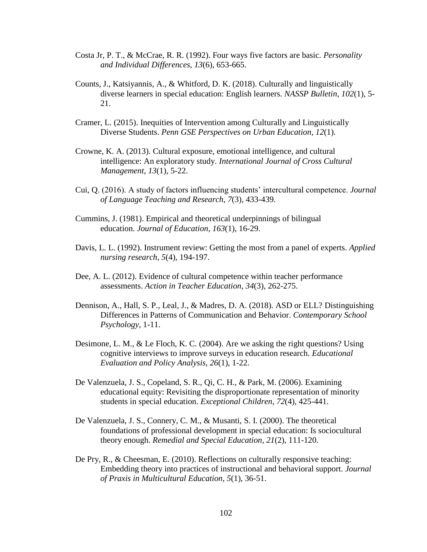- Costa Jr, P. T., & McCrae, R. R. (1992). Four ways five factors are basic. *Personality and Individual Differences*, *13*(6), 653-665.
- Counts, J., Katsiyannis, A., & Whitford, D. K. (2018). Culturally and linguistically diverse learners in special education: English learners. *NASSP Bulletin*, *102*(1), 5- 21.
- Cramer, L. (2015). Inequities of Intervention among Culturally and Linguistically Diverse Students. *Penn GSE Perspectives on Urban Education*, *12*(1).
- Crowne, K. A. (2013). Cultural exposure, emotional intelligence, and cultural intelligence: An exploratory study. *International Journal of Cross Cultural Management*, *13*(1), 5-22.
- Cui, Q. (2016). A study of factors influencing students' intercultural competence. *Journal of Language Teaching and Research*, *7*(3), 433-439.
- Cummins, J. (1981). Empirical and theoretical underpinnings of bilingual education. *Journal of Education*, *163*(1), 16-29.
- Davis, L. L. (1992). Instrument review: Getting the most from a panel of experts. *Applied nursing research*, *5*(4), 194-197.
- Dee, A. L. (2012). Evidence of cultural competence within teacher performance assessments. *Action in Teacher Education*, *34*(3), 262-275.
- Dennison, A., Hall, S. P., Leal, J., & Madres, D. A. (2018). ASD or ELL? Distinguishing Differences in Patterns of Communication and Behavior. *Contemporary School Psychology*, 1-11.
- Desimone, L. M., & Le Floch, K. C. (2004). Are we asking the right questions? Using cognitive interviews to improve surveys in education research. *Educational Evaluation and Policy Analysis*, *26*(1), 1-22.
- De Valenzuela, J. S., Copeland, S. R., Qi, C. H., & Park, M. (2006). Examining educational equity: Revisiting the disproportionate representation of minority students in special education. *Exceptional Children*, *72*(4), 425-441.
- De Valenzuela, J. S., Connery, C. M., & Musanti, S. I. (2000). The theoretical foundations of professional development in special education: Is sociocultural theory enough. *Remedial and Special Education*, *21*(2), 111-120.
- De Pry, R., & Cheesman, E. (2010). Reflections on culturally responsive teaching: Embedding theory into practices of instructional and behavioral support. *Journal of Praxis in Multicultural Education*, *5*(1), 36-51.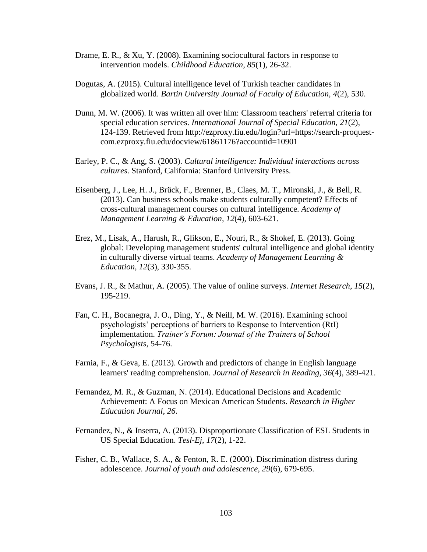- Drame, E. R., & Xu, Y. (2008). Examining sociocultural factors in response to intervention models. *Childhood Education*, *85*(1), 26-32.
- Dogutas, A. (2015). Cultural intelligence level of Turkish teacher candidates in globalized world. *Bartin University Journal of Faculty of Education, 4*(2), 530.
- Dunn, M. W. (2006). It was written all over him: Classroom teachers' referral criteria for special education services. *International Journal of Special Education, 21*(2), 124-139. Retrieved from [http://ezproxy.fiu.edu/login?url=https://search-proquest](http://ezproxy.fiu.edu/login?url=https://search-proquest-com.ezproxy.fiu.edu/docview/61861176?accountid=10901)[com.ezproxy.fiu.edu/docview/61861176?accountid=10901](http://ezproxy.fiu.edu/login?url=https://search-proquest-com.ezproxy.fiu.edu/docview/61861176?accountid=10901)
- Earley, P. C., & Ang, S. (2003). *Cultural intelligence: Individual interactions across cultures*. Stanford, California: Stanford University Press.
- Eisenberg, J., Lee, H. J., Brück, F., Brenner, B., Claes, M. T., Mironski, J., & Bell, R. (2013). Can business schools make students culturally competent? Effects of cross-cultural management courses on cultural intelligence. *Academy of Management Learning & Education*, *12*(4), 603-621.
- Erez, M., Lisak, A., Harush, R., Glikson, E., Nouri, R., & Shokef, E. (2013). Going global: Developing management students' cultural intelligence and global identity in culturally diverse virtual teams. *Academy of Management Learning & Education*, *12*(3), 330-355.
- Evans, J. R., & Mathur, A. (2005). The value of online surveys. *Internet Research*, *15*(2), 195-219.
- Fan, C. H., Bocanegra, J. O., Ding, Y., & Neill, M. W. (2016). Examining school psychologists' perceptions of barriers to Response to Intervention (RtI) implementation. *Trainer's Forum: Journal of the Trainers of School Psychologists*, 54-76.
- Farnia, F., & Geva, E. (2013). Growth and predictors of change in English language learners' reading comprehension. *Journal of Research in Reading*, *36*(4), 389-421.
- Fernandez, M. R., & Guzman, N. (2014). Educational Decisions and Academic Achievement: A Focus on Mexican American Students. *Research in Higher Education Journal*, *26*.
- Fernandez, N., & Inserra, A. (2013). Disproportionate Classification of ESL Students in US Special Education. *Tesl-Ej*, *17*(2), 1-22.
- Fisher, C. B., Wallace, S. A., & Fenton, R. E. (2000). Discrimination distress during adolescence. *Journal of youth and adolescence*, *29*(6), 679-695.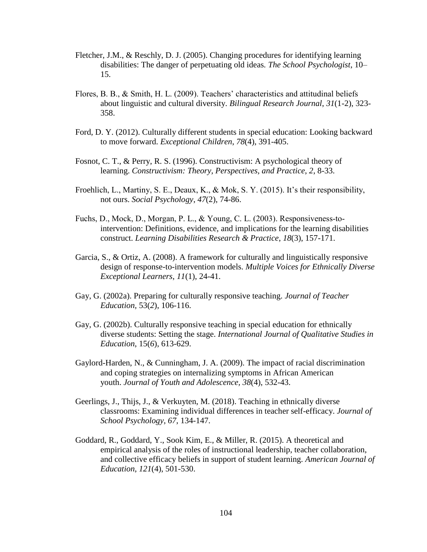- Fletcher, J.M., & Reschly, D. J. (2005). Changing procedures for identifying learning disabilities: The danger of perpetuating old ideas*. The School Psychologist*, 10– 15.
- Flores, B. B., & Smith, H. L. (2009). Teachers' characteristics and attitudinal beliefs about linguistic and cultural diversity. *Bilingual Research Journal*, *31*(1-2), 323- 358.
- Ford, D. Y. (2012). Culturally different students in special education: Looking backward to move forward. *Exceptional Children*, *78*(4), 391-405.
- Fosnot, C. T., & Perry, R. S. (1996). Constructivism: A psychological theory of learning. *Constructivism: Theory, Perspectives, and Practice*, *2*, 8-33.
- Froehlich, L., Martiny, S. E., Deaux, K., & Mok, S. Y. (2015). It's their responsibility, not ours. *Social Psychology*, *47*(2), 74-86.
- Fuchs, D., Mock, D., Morgan, P. L., & Young, C. L.  $(2003)$ . Responsiveness-tointervention: Definitions, evidence, and implications for the learning disabilities construct. *Learning Disabilities Research & Practice*, *18*(3), 157-171.
- Garcia, S., & Ortiz, A. (2008). A framework for culturally and linguistically responsive design of response-to-intervention models. *Multiple Voices for Ethnically Diverse Exceptional Learners*, *11*(1), 24-41.
- Gay, G. (2002a). Preparing for culturally responsive teaching. *Journal of Teacher Education,* 53(*2*), 106-116.
- Gay, G. (2002b). Culturally responsive teaching in special education for ethnically diverse students: Setting the stage. *International Journal of Qualitative Studies in Education*, 15(*6*), 613-629.
- Gaylord-Harden, N., & Cunningham, J. A. (2009). The impact of racial discrimination and coping strategies on internalizing symptoms in African American youth. *Journal of Youth and Adolescence, 38*(4), 532-43.
- Geerlings, J., Thijs, J., & Verkuyten, M. (2018). Teaching in ethnically diverse classrooms: Examining individual differences in teacher self-efficacy. *Journal of School Psychology*, *67*, 134-147.
- Goddard, R., Goddard, Y., Sook Kim, E., & Miller, R. (2015). A theoretical and empirical analysis of the roles of instructional leadership, teacher collaboration, and collective efficacy beliefs in support of student learning. *American Journal of Education*, *121*(4), 501-530.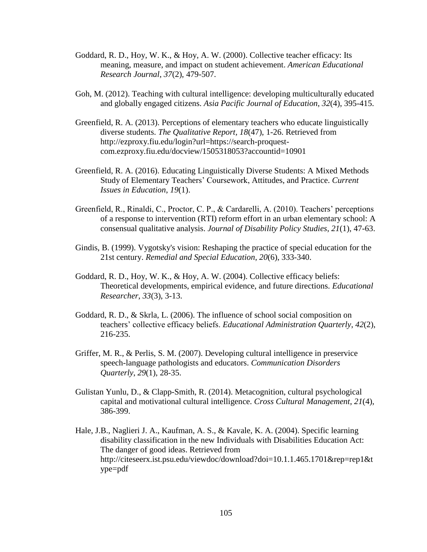- Goddard, R. D., Hoy, W. K., & Hoy, A. W. (2000). Collective teacher efficacy: Its meaning, measure, and impact on student achievement. *American Educational Research Journal*, *37*(2), 479-507.
- Goh, M. (2012). Teaching with cultural intelligence: developing multiculturally educated and globally engaged citizens. *Asia Pacific Journal of Education*, *32*(4), 395-415.
- Greenfield, R. A. (2013). Perceptions of elementary teachers who educate linguistically diverse students. *The Qualitative Report, 18*(47), 1-26. Retrieved from [http://ezproxy.fiu.edu/login?url=https://search-proquest](http://ezproxy.fiu.edu/login?url=https://search-proquest-com.ezproxy.fiu.edu/docview/1505318053?accountid=10901)[com.ezproxy.fiu.edu/docview/1505318053?accountid=10901](http://ezproxy.fiu.edu/login?url=https://search-proquest-com.ezproxy.fiu.edu/docview/1505318053?accountid=10901)
- Greenfield, R. A. (2016). Educating Linguistically Diverse Students: A Mixed Methods Study of Elementary Teachers' Coursework, Attitudes, and Practice. *Current Issues in Education*, *19*(1).
- Greenfield, R., Rinaldi, C., Proctor, C. P., & Cardarelli, A. (2010). Teachers' perceptions of a response to intervention (RTI) reform effort in an urban elementary school: A consensual qualitative analysis. *Journal of Disability Policy Studies*, *21*(1), 47-63.
- Gindis, B. (1999). Vygotsky's vision: Reshaping the practice of special education for the 21st century. *Remedial and Special Education*, *20*(6), 333-340.
- Goddard, R. D., Hoy, W. K., & Hoy, A. W. (2004). Collective efficacy beliefs: Theoretical developments, empirical evidence, and future directions. *Educational Researcher*, *33*(3), 3-13.
- Goddard, R. D., & Skrla, L. (2006). The influence of school social composition on teachers' collective efficacy beliefs. *Educational Administration Quarterly*, *42*(2), 216-235.
- Griffer, M. R., & Perlis, S. M. (2007). Developing cultural intelligence in preservice speech-language pathologists and educators. *Communication Disorders Quarterly*, *29*(1), 28-35.
- Gulistan Yunlu, D., & Clapp-Smith, R. (2014). Metacognition, cultural psychological capital and motivational cultural intelligence. *Cross Cultural Management*, *21*(4), 386-399.
- Hale, J.B., Naglieri J. A., Kaufman, A. S., & Kavale, K. A. (2004). Specific learning disability classification in the new Individuals with Disabilities Education Act: The danger of good ideas. Retrieved from http://citeseerx.ist.psu.edu/viewdoc/download?doi=10.1.1.465.1701&rep=rep1&t ype=pdf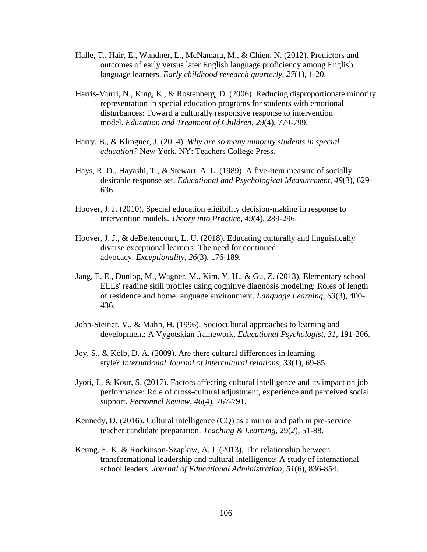- Halle, T., Hair, E., Wandner, L., McNamara, M., & Chien, N. (2012). Predictors and outcomes of early versus later English language proficiency among English language learners. *Early childhood research quarterly*, *27*(1), 1-20.
- Harris-Murri, N., King, K., & Rostenberg, D. (2006). Reducing disproportionate minority representation in special education programs for students with emotional disturbances: Toward a culturally responsive response to intervention model. *Education and Treatment of Children*, *29*(4), 779-799.
- Harry, B., & Klingner, J. (2014). *Why are so many minority students in special education?* New York, NY: Teachers College Press.
- Hays, R. D., Hayashi, T., & Stewart, A. L. (1989). A five-item measure of socially desirable response set. *Educational and Psychological Measurement*, *49*(3), 629- 636.
- Hoover, J. J. (2010). Special education eligibility decision-making in response to intervention models. *Theory into Practice*, *49*(4), 289-296.
- Hoover, J. J., & deBettencourt, L. U. (2018). Educating culturally and linguistically diverse exceptional learners: The need for continued advocacy. *Exceptionality*, *26*(3), 176-189.
- Jang, E. E., Dunlop, M., Wagner, M., Kim, Y. H., & Gu, Z. (2013). Elementary school ELLs' reading skill profiles using cognitive diagnosis modeling: Roles of length of residence and home language environment. *Language Learning*, *63*(3), 400- 436.
- John-Steiner, V., & Mahn, H. (1996). Sociocultural approaches to learning and development: A Vygotskian framework. *Educational Psychologist*, *31,* 191-206.
- Joy, S., & Kolb, D. A. (2009). Are there cultural differences in learning style? *International Journal of intercultural relations*, *33*(1), 69-85.
- Jyoti, J., & Kour, S. (2017). Factors affecting cultural intelligence and its impact on job performance: Role of cross-cultural adjustment, experience and perceived social support. *Personnel Review*, *46*(4), 767-791.
- Kennedy, D. (2016). Cultural intelligence (CQ) as a mirror and path in pre-service teacher candidate preparation. *Teaching & Learning,* 29(*2*), 51-88.
- Keung, E. K. & Rockinson-Szapkiw, A. J. (2013). The relationship between transformational leadership and cultural intelligence: A study of international school leaders. *Journal of Educational Administration*, *51*(6), 836-854.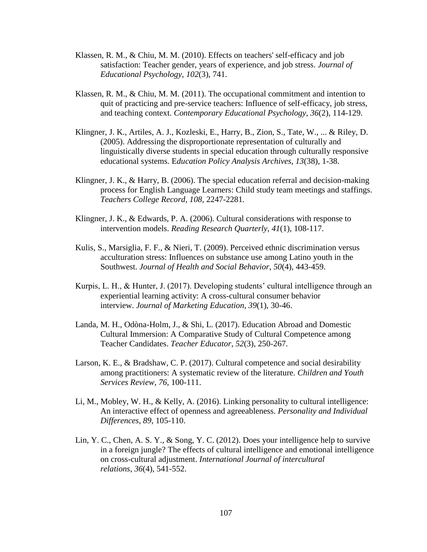- Klassen, R. M., & Chiu, M. M. (2010). Effects on teachers' self-efficacy and job satisfaction: Teacher gender, years of experience, and job stress. *Journal of Educational Psychology*, *102*(3), 741.
- Klassen, R. M., & Chiu, M. M. (2011). The occupational commitment and intention to quit of practicing and pre-service teachers: Influence of self-efficacy, job stress, and teaching context. *Contemporary Educational Psychology*, *36*(2), 114-129.
- Klingner, J. K., Artiles, A. J., Kozleski, E., Harry, B., Zion, S., Tate, W., ... & Riley, D. (2005). Addressing the disproportionate representation of culturally and linguistically diverse students in special education through culturally responsive educational systems. E*ducation Policy Analysis Archives*, *13*(38), 1-38.
- Klingner, J. K., & Harry, B. (2006). The special education referral and decision-making process for English Language Learners: Child study team meetings and staffings. *Teachers College Record, 108,* 2247-2281*.*
- Klingner, J. K., & Edwards, P. A. (2006). Cultural considerations with response to intervention models. *Reading Research Quarterly*, *41*(1), 108-117.
- Kulis, S., Marsiglia, F. F., & Nieri, T. (2009). Perceived ethnic discrimination versus acculturation stress: Influences on substance use among Latino youth in the Southwest. *Journal of Health and Social Behavior*, *50*(4), 443-459.
- Kurpis, L. H., & Hunter, J. (2017). Developing students' cultural intelligence through an experiential learning activity: A cross-cultural consumer behavior interview. *Journal of Marketing Education*, *39*(1), 30-46.
- Landa, M. H., Odòna-Holm, J., & Shi, L. (2017). Education Abroad and Domestic Cultural Immersion: A Comparative Study of Cultural Competence among Teacher Candidates. *Teacher Educator*, *52*(3), 250-267.
- Larson, K. E., & Bradshaw, C. P. (2017). Cultural competence and social desirability among practitioners: A systematic review of the literature. *Children and Youth Services Review*, *76*, 100-111.
- Li, M., Mobley, W. H., & Kelly, A. (2016). Linking personality to cultural intelligence: An interactive effect of openness and agreeableness. *Personality and Individual Differences*, *89*, 105-110.
- Lin, Y. C., Chen, A. S. Y., & Song, Y. C. (2012). Does your intelligence help to survive in a foreign jungle? The effects of cultural intelligence and emotional intelligence on cross-cultural adjustment. *International Journal of intercultural relations*, *36*(4), 541-552.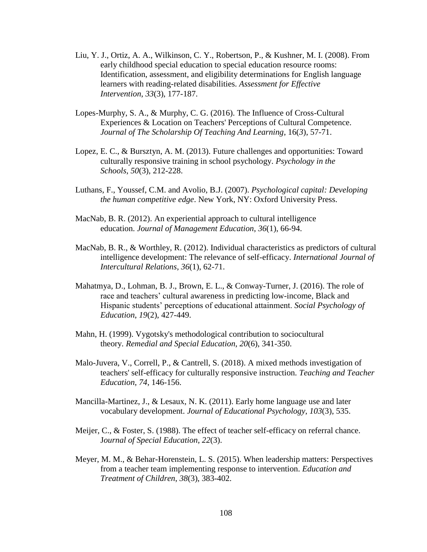- Liu, Y. J., Ortiz, A. A., Wilkinson, C. Y., Robertson, P., & Kushner, M. I. (2008). From early childhood special education to special education resource rooms: Identification, assessment, and eligibility determinations for English language learners with reading-related disabilities. *Assessment for Effective Intervention*, *33*(3), 177-187.
- Lopes-Murphy, S. A., & Murphy, C. G. (2016). The Influence of Cross-Cultural Experiences & Location on Teachers' Perceptions of Cultural Competence. *Journal of The Scholarship Of Teaching And Learning*, 16(*3*), 57-71.
- Lopez, E. C., & Bursztyn, A. M. (2013). Future challenges and opportunities: Toward culturally responsive training in school psychology. *Psychology in the Schools*, *50*(3), 212-228.
- Luthans, F., Youssef, C.M. and Avolio, B.J. (2007). *Psychological capital: Developing the human competitive edge*. New York, NY: Oxford University Press.
- MacNab, B. R. (2012). An experiential approach to cultural intelligence education. *Journal of Management Education*, *36*(1), 66-94.
- MacNab, B. R., & Worthley, R. (2012). Individual characteristics as predictors of cultural intelligence development: The relevance of self-efficacy. *International Journal of Intercultural Relations*, *36*(1), 62-71.
- Mahatmya, D., Lohman, B. J., Brown, E. L., & Conway-Turner, J. (2016). The role of race and teachers' cultural awareness in predicting low-income, Black and Hispanic students' perceptions of educational attainment. *Social Psychology of Education*, *19*(2), 427-449.
- Mahn, H. (1999). Vygotsky's methodological contribution to sociocultural theory. *Remedial and Special Education*, *20*(6), 341-350.
- Malo-Juvera, V., Correll, P., & Cantrell, S. (2018). A mixed methods investigation of teachers' self-efficacy for culturally responsive instruction. *Teaching and Teacher Education*, *74*, 146-156.
- Mancilla-Martinez, J., & Lesaux, N. K. (2011). Early home language use and later vocabulary development. *Journal of Educational Psychology*, *103*(3), 535.
- Meijer, C., & Foster, S. (1988). The effect of teacher self-efficacy on referral chance. J*ournal of Special Education*, *22*(3).
- Meyer, M. M., & Behar-Horenstein, L. S. (2015). When leadership matters: Perspectives from a teacher team implementing response to intervention. *Education and Treatment of Children*, *38*(3), 383-402.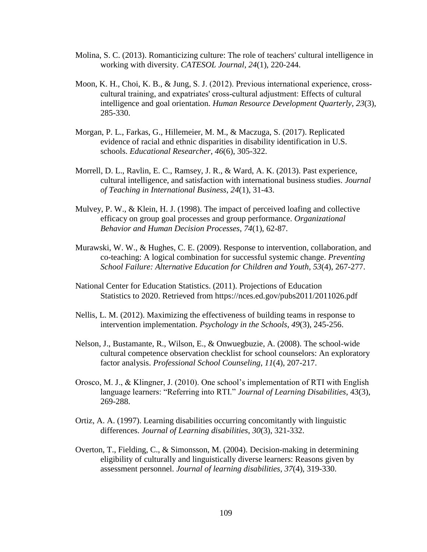- Molina, S. C. (2013). Romanticizing culture: The role of teachers' cultural intelligence in working with diversity. *CATESOL Journal*, *24*(1), 220-244.
- Moon, K. H., Choi, K. B., & Jung, S. J. (2012). Previous international experience, crosscultural training, and expatriates' cross‐cultural adjustment: Effects of cultural intelligence and goal orientation. *Human Resource Development Quarterly*, *23*(3), 285-330.
- Morgan, P. L., Farkas, G., Hillemeier, M. M., & Maczuga, S. (2017). Replicated evidence of racial and ethnic disparities in disability identification in U.S. schools. *Educational Researcher*, *46*(6), 305-322.
- Morrell, D. L., Ravlin, E. C., Ramsey, J. R., & Ward, A. K. (2013). Past experience, cultural intelligence, and satisfaction with international business studies. *Journal of Teaching in International Business*, *24*(1), 31-43.
- Mulvey, P. W., & Klein, H. J. (1998). The impact of perceived loafing and collective efficacy on group goal processes and group performance. *Organizational Behavior and Human Decision Processes*, *74*(1), 62-87.
- Murawski, W. W., & Hughes, C. E. (2009). Response to intervention, collaboration, and co-teaching: A logical combination for successful systemic change. *Preventing School Failure: Alternative Education for Children and Youth*, *53*(4), 267-277.
- National Center for Education Statistics. (2011). Projections of Education Statistics to 2020. Retrieved from https://nces.ed.gov/pubs2011/2011026.pdf
- Nellis, L. M. (2012). Maximizing the effectiveness of building teams in response to intervention implementation. *Psychology in the Schools*, *49*(3), 245-256.
- Nelson, J., Bustamante, R., Wilson, E., & Onwuegbuzie, A. (2008). The school-wide cultural competence observation checklist for school counselors: An exploratory factor analysis. *Professional School Counseling*, *11*(4), 207-217.
- Orosco, M. J., & Klingner, J. (2010). One school's implementation of RTI with English language learners: "Referring into RTI." *Journal of Learning Disabilities*, 43(3), 269-288.
- Ortiz, A. A. (1997). Learning disabilities occurring concomitantly with linguistic differences. *Journal of Learning disabilities*, *30*(3), 321-332.
- Overton, T., Fielding, C., & Simonsson, M. (2004). Decision-making in determining eligibility of culturally and linguistically diverse learners: Reasons given by assessment personnel. *Journal of learning disabilities*, *37*(4), 319-330.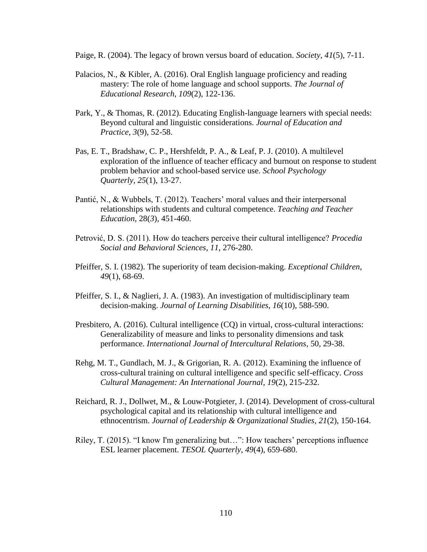Paige, R. (2004). The legacy of brown versus board of education. *Society*, *41*(5), 7-11.

- Palacios, N., & Kibler, A. (2016). Oral English language proficiency and reading mastery: The role of home language and school supports. *The Journal of Educational Research*, *109*(2), 122-136.
- Park, Y., & Thomas, R. (2012). Educating English-language learners with special needs: Beyond cultural and linguistic considerations. *Journal of Education and Practice*, *3*(9), 52-58.
- Pas, E. T., Bradshaw, C. P., Hershfeldt, P. A., & Leaf, P. J. (2010). A multilevel exploration of the influence of teacher efficacy and burnout on response to student problem behavior and school-based service use. *School Psychology Quarterly*, *25*(1), 13-27.
- Pantić, N., & Wubbels, T. (2012). Teachers' moral values and their interpersonal relationships with students and cultural competence. *Teaching and Teacher Education*, 28(*3*), 451-460.
- Petrović, D. S. (2011). How do teachers perceive their cultural intelligence? *Procedia Social and Behavioral Sciences*, *11*, 276-280.
- Pfeiffer, S. I. (1982). The superiority of team decision-making. *Exceptional Children*, *49*(1), 68-69.
- Pfeiffer, S. I., & Naglieri, J. A. (1983). An investigation of multidisciplinary team decision-making. *Journal of Learning Disabilities*, *16*(10), 588-590.
- Presbitero, A. (2016). Cultural intelligence (CQ) in virtual, cross-cultural interactions: Generalizability of measure and links to personality dimensions and task performance. *International Journal of Intercultural Relations*, 50, 29-38.
- Rehg, M. T., Gundlach, M. J., & Grigorian, R. A. (2012). Examining the influence of cross-cultural training on cultural intelligence and specific self-efficacy. *Cross Cultural Management: An International Journal*, *19*(2), 215-232.
- Reichard, R. J., Dollwet, M., & Louw-Potgieter, J. (2014). Development of cross-cultural psychological capital and its relationship with cultural intelligence and ethnocentrism. *Journal of Leadership & Organizational Studies*, *21*(2), 150-164.
- Riley, T. (2015). "I know I'm generalizing but…": How teachers' perceptions influence ESL learner placement. *TESOL Quarterly*, *49*(4), 659-680.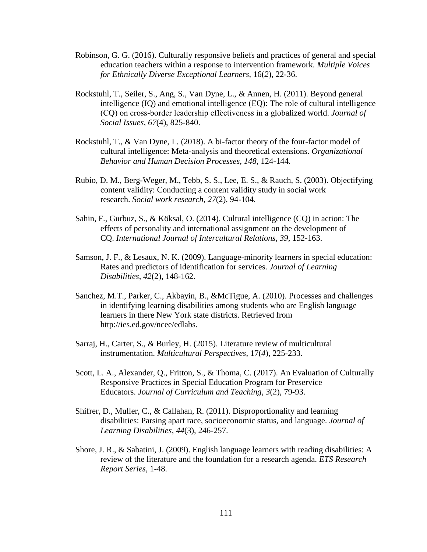- Robinson, G. G. (2016). Culturally responsive beliefs and practices of general and special education teachers within a response to intervention framework*. Multiple Voices for Ethnically Diverse Exceptional Learners*, 16(*2*), 22-36.
- Rockstuhl, T., Seiler, S., Ang, S., Van Dyne, L., & Annen, H. (2011). Beyond general intelligence (IQ) and emotional intelligence (EQ): The role of cultural intelligence (CQ) on cross‐border leadership effectiveness in a globalized world. *Journal of Social Issues*, *67*(4), 825-840.
- Rockstuhl, T., & Van Dyne, L. (2018). A bi-factor theory of the four-factor model of cultural intelligence: Meta-analysis and theoretical extensions. *Organizational Behavior and Human Decision Processes*, *148*, 124-144.
- Rubio, D. M., Berg-Weger, M., Tebb, S. S., Lee, E. S., & Rauch, S. (2003). Objectifying content validity: Conducting a content validity study in social work research. *Social work research*, *27*(2), 94-104.
- Sahin, F., Gurbuz, S., & Köksal, O. (2014). Cultural intelligence (CQ) in action: The effects of personality and international assignment on the development of CQ. *International Journal of Intercultural Relations*, *39*, 152-163.
- Samson, J. F., & Lesaux, N. K. (2009). Language-minority learners in special education: Rates and predictors of identification for services. *Journal of Learning Disabilities*, *42*(2), 148-162.
- Sanchez, M.T., Parker, C., Akbayin, B., &McTigue, A. (2010). Processes and challenges in identifying learning disabilities among students who are English language learners in there New York state districts. Retrieved from [http://ies.ed.gov/ncee/edlabs.](http://ies.ed.gov/ncee/edlabs)
- Sarraj, H., Carter, S., & Burley, H. (2015). Literature review of multicultural instrumentation. *Multicultural Perspectives*, 17(*4*), 225-233.
- Scott, L. A., Alexander, Q., Fritton, S., & Thoma, C. (2017). An Evaluation of Culturally Responsive Practices in Special Education Program for Preservice Educators. *Journal of Curriculum and Teaching*, *3*(2), 79-93.
- Shifrer, D., Muller, C., & Callahan, R. (2011). Disproportionality and learning disabilities: Parsing apart race, socioeconomic status, and language. *Journal of Learning Disabilities*, *44*(3), 246-257.
- Shore, J. R., & Sabatini, J. (2009). English language learners with reading disabilities: A review of the literature and the foundation for a research agenda. *ETS Research Report Series*, 1-48.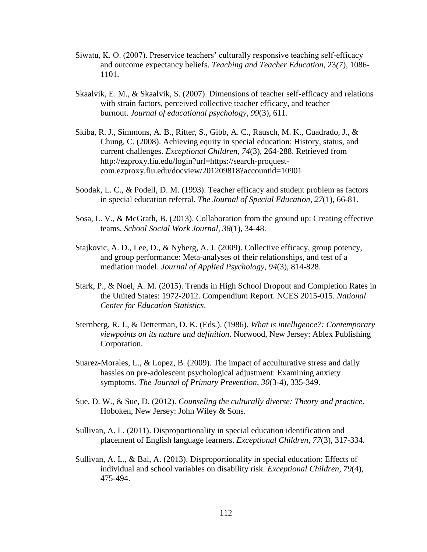- Siwatu, K. O. (2007). Preservice teachers' culturally responsive teaching self-efficacy and outcome expectancy beliefs. *Teaching and Teacher Education*, 23*(7*), 1086- 1101.
- Skaalvik, E. M., & Skaalvik, S. (2007). Dimensions of teacher self-efficacy and relations with strain factors, perceived collective teacher efficacy, and teacher burnout. *Journal of educational psychology*, *99*(3), 611.
- Skiba, R. J., Simmons, A. B., Ritter, S., Gibb, A. C., Rausch, M. K., Cuadrado, J., & Chung, C. (2008). Achieving equity in special education: History, status, and current challenges. *Exceptional Children, 74*(3), 264-288. Retrieved from http://ezproxy.fiu.edu/login?url=https://search-proquestcom.ezproxy.fiu.edu/docview/201209818?accountid=10901
- Soodak, L. C., & Podell, D. M. (1993). Teacher efficacy and student problem as factors in special education referral. *The Journal of Special Education*, *27*(1), 66-81.
- Sosa, L. V., & McGrath, B. (2013). Collaboration from the ground up: Creating effective teams. *School Social Work Journal, 38*(1), 34-48.
- Stajkovic, A. D., Lee, D., & Nyberg, A. J. (2009). Collective efficacy, group potency, and group performance: Meta-analyses of their relationships, and test of a mediation model. *Journal of Applied Psychology*, *94*(3), 814-828.
- Stark, P., & Noel, A. M. (2015). Trends in High School Dropout and Completion Rates in the United States: 1972-2012. Compendium Report. NCES 2015-015. *National Center for Education Statistics*.
- Sternberg, R. J., & Detterman, D. K. (Eds.). (1986). *What is intelligence?: Contemporary viewpoints on its nature and definition*. Norwood, New Jersey: Ablex Publishing Corporation.
- Suarez-Morales, L., & Lopez, B. (2009). The impact of acculturative stress and daily hassles on pre-adolescent psychological adjustment: Examining anxiety symptoms. *The Journal of Primary Prevention*, *30*(3-4), 335-349.
- Sue, D. W., & Sue, D. (2012). *Counseling the culturally diverse: Theory and practice*. Hoboken, New Jersey: John Wiley & Sons.
- Sullivan, A. L. (2011). Disproportionality in special education identification and placement of English language learners. *Exceptional Children*, *77*(3), 317-334.
- Sullivan, A. L., & Bal, A. (2013). Disproportionality in special education: Effects of individual and school variables on disability risk. *Exceptional Children*, *79*(4), 475-494.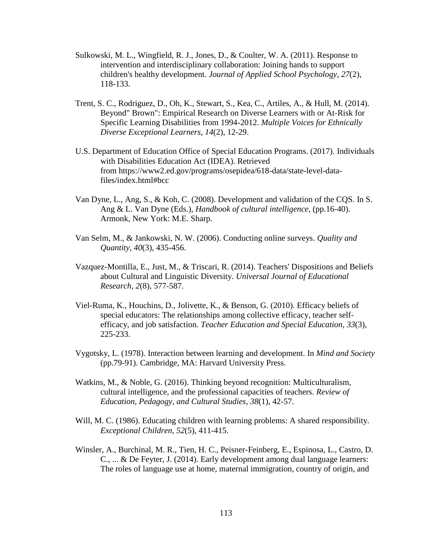- Sulkowski, M. L., Wingfield, R. J., Jones, D., & Coulter, W. A. (2011). Response to intervention and interdisciplinary collaboration: Joining hands to support children's healthy development. *Journal of Applied School Psychology*, *27*(2), 118-133.
- Trent, S. C., Rodriguez, D., Oh, K., Stewart, S., Kea, C., Artiles, A., & Hull, M. (2014). Beyond" Brown": Empirical Research on Diverse Learners with or At-Risk for Specific Learning Disabilities from 1994-2012. *Multiple Voices for Ethnically Diverse Exceptional Learners*, *14*(2), 12-29.
- U.S. Department of Education Office of Special Education Programs. (2017). Individuals with Disabilities Education Act (IDEA). Retrieved from https://www2.ed.gov/programs/osepidea/618-data/state-level-datafiles/index.html#bcc
- Van Dyne, L., Ang, S., & Koh, C. (2008). Development and validation of the CQS. In S. Ang & L. Van Dyne (Eds.), *Handbook of cultural intelligence*, (pp.16-40). Armonk, New York: M.E. Sharp.
- Van Selm, M., & Jankowski, N. W. (2006). Conducting online surveys. *Quality and Quantity*, *40*(3), 435-456.
- Vazquez-Montilla, E., Just, M., & Triscari, R. (2014). Teachers' Dispositions and Beliefs about Cultural and Linguistic Diversity. *Universal Journal of Educational Research*, *2*(8), 577-587.
- Viel-Ruma, K., Houchins, D., Jolivette, K., & Benson, G. (2010). Efficacy beliefs of special educators: The relationships among collective efficacy, teacher selfefficacy, and job satisfaction. *Teacher Education and Special Education*, *33*(3), 225-233.
- Vygotsky, L. (1978). Interaction between learning and development. In *Mind and Society* (pp.79-91). Cambridge, MA: Harvard University Press.
- Watkins, M., & Noble, G. (2016). Thinking beyond recognition: Multiculturalism, cultural intelligence, and the professional capacities of teachers. *Review of Education, Pedagogy, and Cultural Studies*, *38*(1), 42-57.
- Will, M. C. (1986). Educating children with learning problems: A shared responsibility. *Exceptional Children*, *52*(5), 411-415.
- Winsler, A., Burchinal, M. R., Tien, H. C., Peisner-Feinberg, E., Espinosa, L., Castro, D. C., ... & De Feyter, J. (2014). Early development among dual language learners: The roles of language use at home, maternal immigration, country of origin, and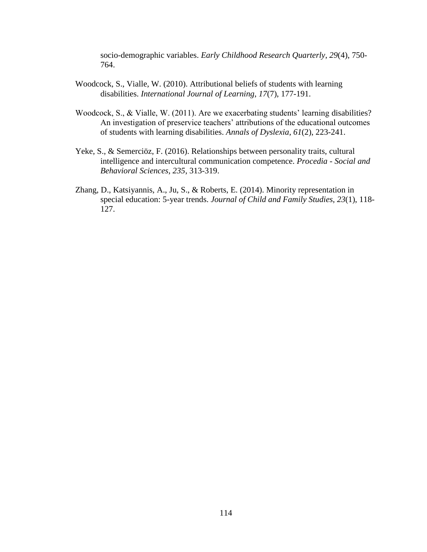socio-demographic variables. *Early Childhood Research Quarterly*, *29*(4), 750- 764.

- Woodcock, S., Vialle, W. (2010). Attributional beliefs of students with learning disabilities. *International Journal of Learning*, *17*(7), 177-191.
- Woodcock, S., & Vialle, W. (2011). Are we exacerbating students' learning disabilities? An investigation of preservice teachers' attributions of the educational outcomes of students with learning disabilities. *Annals of Dyslexia*, *61*(2), 223-241.
- Yeke, S., & Semerciöz, F. (2016). Relationships between personality traits, cultural intelligence and intercultural communication competence. *Procedia - Social and Behavioral Sciences*, *235*, 313-319.
- Zhang, D., Katsiyannis, A., Ju, S., & Roberts, E. (2014). Minority representation in special education: 5-year trends. *Journal of Child and Family Studies*, *23*(1), 118- 127.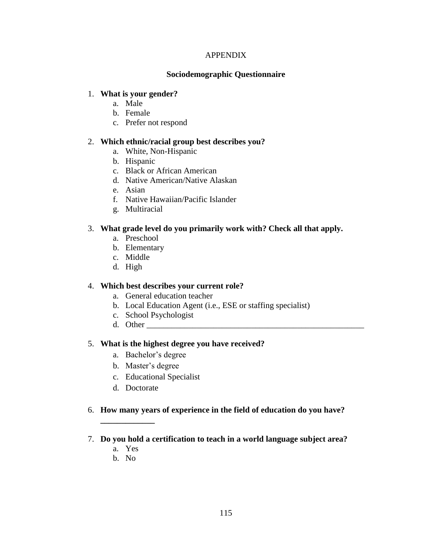### APPENDIX

### **Sociodemographic Questionnaire**

### 1. **What is your gender?**

- a. Male
- b. Female
- c. Prefer not respond

### 2. **Which ethnic/racial group best describes you?**

- a. White, Non-Hispanic
- b. Hispanic
- c. Black or African American
- d. Native American/Native Alaskan
- e. Asian
- f. Native Hawaiian/Pacific Islander
- g. Multiracial

### 3. **What grade level do you primarily work with? Check all that apply.**

- a. Preschool
- b. Elementary
- c. Middle
- d. High

### 4. **Which best describes your current role?**

- a. General education teacher
- b. Local Education Agent (i.e., ESE or staffing specialist)
- c. School Psychologist
- d. Other \_\_\_\_\_\_\_\_\_\_\_\_\_\_\_\_\_\_\_\_\_\_\_\_\_\_\_\_\_\_\_\_\_\_\_\_\_\_\_\_\_\_\_\_\_\_\_\_\_\_\_\_

### 5. **What is the highest degree you have received?**

- a. Bachelor's degree
- b. Master's degree
- c. Educational Specialist
- d. Doctorate

### 6. **How many years of experience in the field of education do you have?**

- 7. **Do you hold a certification to teach in a world language subject area?**
	- a. Yes

**\_\_\_\_\_\_\_\_\_\_\_\_\_**

b. No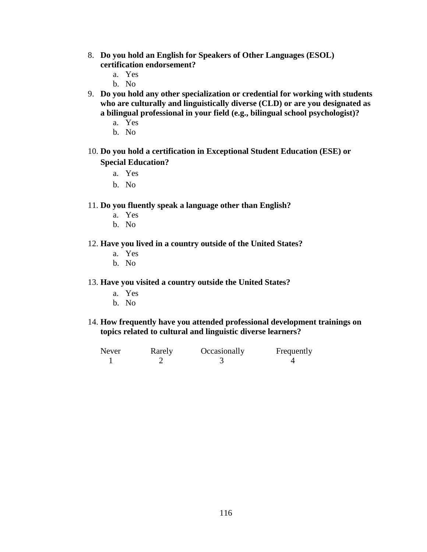- 8. **Do you hold an English for Speakers of Other Languages (ESOL) certification endorsement?**
	- a. Yes
	- b. No
- 9. **Do you hold any other specialization or credential for working with students who are culturally and linguistically diverse (CLD) or are you designated as a bilingual professional in your field (e.g., bilingual school psychologist)?**
	- a. Yes
	- b. No
- 10. **Do you hold a certification in Exceptional Student Education (ESE) or Special Education?** 
	- a. Yes
	- b. No

#### 11. **Do you fluently speak a language other than English?**

- a. Yes
- b. No

#### 12. **Have you lived in a country outside of the United States?**

- a. Yes
- b. No

#### 13. **Have you visited a country outside the United States?**

- a. Yes
- b. No

#### 14. **How frequently have you attended professional development trainings on topics related to cultural and linguistic diverse learners?**

| Never | Rarely | Occasionally | Frequently |
|-------|--------|--------------|------------|
|       |        |              |            |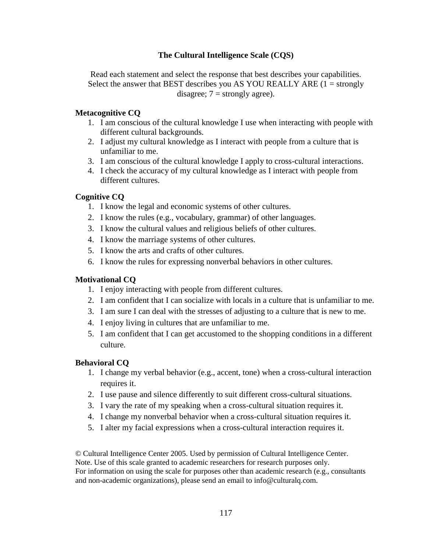## **The Cultural Intelligence Scale (CQS)**

Read each statement and select the response that best describes your capabilities. Select the answer that BEST describes you AS YOU REALLY ARE  $(1 = \text{strongly})$ disagree;  $7 =$  strongly agree).

## **Metacognitive CQ**

- 1. I am conscious of the cultural knowledge I use when interacting with people with different cultural backgrounds.
- 2. I adjust my cultural knowledge as I interact with people from a culture that is unfamiliar to me.
- 3. I am conscious of the cultural knowledge I apply to cross-cultural interactions.
- 4. I check the accuracy of my cultural knowledge as I interact with people from different cultures.

### **Cognitive CQ**

- 1. I know the legal and economic systems of other cultures.
- 2. I know the rules (e.g., vocabulary, grammar) of other languages.
- 3. I know the cultural values and religious beliefs of other cultures.
- 4. I know the marriage systems of other cultures.
- 5. I know the arts and crafts of other cultures.
- 6. I know the rules for expressing nonverbal behaviors in other cultures.

## **Motivational CQ**

- 1. I enjoy interacting with people from different cultures.
- 2. I am confident that I can socialize with locals in a culture that is unfamiliar to me.
- 3. I am sure I can deal with the stresses of adjusting to a culture that is new to me.
- 4. I enjoy living in cultures that are unfamiliar to me.
- 5. I am confident that I can get accustomed to the shopping conditions in a different culture.

## **Behavioral CQ**

- 1. I change my verbal behavior (e.g., accent, tone) when a cross-cultural interaction requires it.
- 2. I use pause and silence differently to suit different cross-cultural situations.
- 3. I vary the rate of my speaking when a cross-cultural situation requires it.
- 4. I change my nonverbal behavior when a cross-cultural situation requires it.
- 5. I alter my facial expressions when a cross-cultural interaction requires it.

© Cultural Intelligence Center 2005. Used by permission of Cultural Intelligence Center. Note. Use of this scale granted to academic researchers for research purposes only. For information on using the scale for purposes other than academic research (e.g., consultants and non-academic organizations), please send an email to [info@culturalq.com](mailto:info@culturalq.com).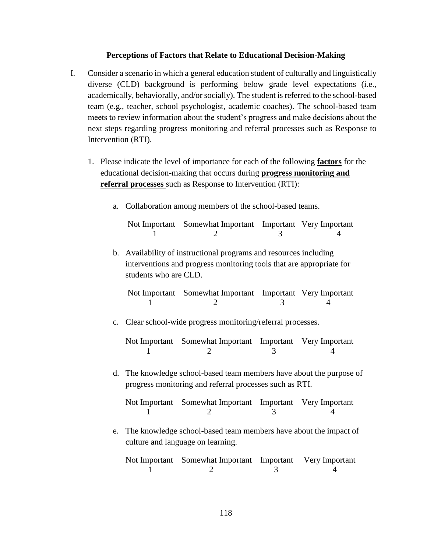#### **Perceptions of Factors that Relate to Educational Decision-Making**

- I. Consider a scenario in which a general education student of culturally and linguistically diverse (CLD) background is performing below grade level expectations (i.e., academically, behaviorally, and/or socially). The student is referred to the school-based team (e.g., teacher, school psychologist, academic coaches). The school-based team meets to review information about the student's progress and make decisions about the next steps regarding progress monitoring and referral processes such as Response to Intervention (RTI).
	- 1. Please indicate the level of importance for each of the following **factors** for the educational decision-making that occurs during **progress monitoring and referral processes** such as Response to Intervention (RTI):
		- a. Collaboration among members of the school-based teams.

| Not Important Somewhat Important Important Very Important |  |
|-----------------------------------------------------------|--|
|                                                           |  |

b. Availability of instructional programs and resources including interventions and progress monitoring tools that are appropriate for students who are CLD.

| Not Important Somewhat Important Important Very Important |  |
|-----------------------------------------------------------|--|
|                                                           |  |

c. Clear school-wide progress monitoring/referral processes.

| Not Important Somewhat Important Important Very Important |  |
|-----------------------------------------------------------|--|
|                                                           |  |

d. The knowledge school-based team members have about the purpose of progress monitoring and referral processes such as RTI.

| Not Important Somewhat Important Important Very Important |  |
|-----------------------------------------------------------|--|
|                                                           |  |

e. The knowledge school-based team members have about the impact of culture and language on learning.

| Not Important Somewhat Important Important Very Important |  |
|-----------------------------------------------------------|--|
|                                                           |  |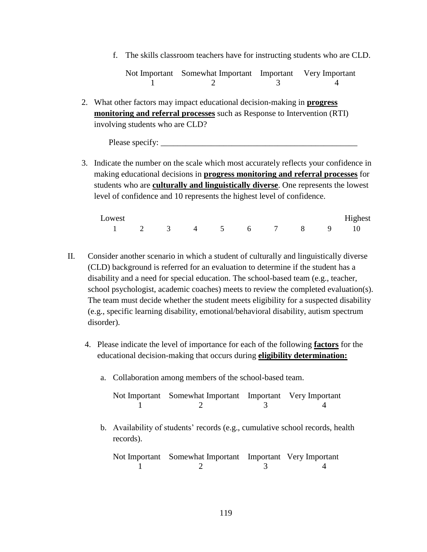f. The skills classroom teachers have for instructing students who are CLD.

Not Important Somewhat Important Important Very Important 1 2 3 4

2. What other factors may impact educational decision-making in **progress monitoring and referral processes** such as Response to Intervention (RTI) involving students who are CLD?

Please specify:

3. Indicate the number on the scale which most accurately reflects your confidence in making educational decisions in **progress monitoring and referral processes** for students who are **culturally and linguistically diverse**. One represents the lowest level of confidence and 10 represents the highest level of confidence.

| Lowest               |  |  |  |  | Highest |
|----------------------|--|--|--|--|---------|
| 1 2 3 4 5 6 7 8 9 10 |  |  |  |  |         |

- II. Consider another scenario in which a student of culturally and linguistically diverse (CLD) background is referred for an evaluation to determine if the student has a disability and a need for special education. The school-based team (e.g., teacher, school psychologist, academic coaches) meets to review the completed evaluation(s). The team must decide whether the student meets eligibility for a suspected disability (e.g., specific learning disability, emotional/behavioral disability, autism spectrum disorder).
	- 4. Please indicate the level of importance for each of the following **factors** for the educational decision-making that occurs during **eligibility determination:**
		- a. Collaboration among members of the school-based team.

| Not Important Somewhat Important Important Very Important |  |
|-----------------------------------------------------------|--|
|                                                           |  |

b. Availability of students' records (e.g., cumulative school records, health records).

| Not Important Somewhat Important Important Very Important |  |
|-----------------------------------------------------------|--|
|                                                           |  |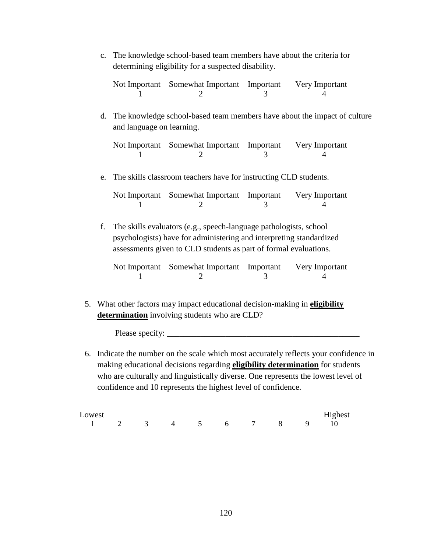c. The knowledge school-based team members have about the criteria for determining eligibility for a suspected disability.

| Not Important Somewhat Important Important | Very Important |
|--------------------------------------------|----------------|
|                                            |                |

d. The knowledge school-based team members have about the impact of culture and language on learning.

| Not Important Somewhat Important Important | Very Important |
|--------------------------------------------|----------------|
|                                            |                |

e. The skills classroom teachers have for instructing CLD students.

| Not Important Somewhat Important Important | Very Important |
|--------------------------------------------|----------------|
|                                            |                |

f. The skills evaluators (e.g., speech-language pathologists, school psychologists) have for administering and interpreting standardized assessments given to CLD students as part of formal evaluations.

| Not Important Somewhat Important Important | Very Important |
|--------------------------------------------|----------------|
|                                            |                |

5. What other factors may impact educational decision-making in **eligibility determination** involving students who are CLD?

Please specify: \_\_\_\_\_\_\_\_\_\_\_\_\_\_\_\_\_\_\_\_\_\_\_\_\_\_\_\_\_\_\_\_\_\_\_\_\_\_\_\_\_\_\_\_\_\_

6. Indicate the number on the scale which most accurately reflects your confidence in making educational decisions regarding **eligibility determination** for students who are culturally and linguistically diverse. One represents the lowest level of confidence and 10 represents the highest level of confidence.

| Lowest               |  |  |  |  | Highest |
|----------------------|--|--|--|--|---------|
| 1 2 3 4 5 6 7 8 9 10 |  |  |  |  |         |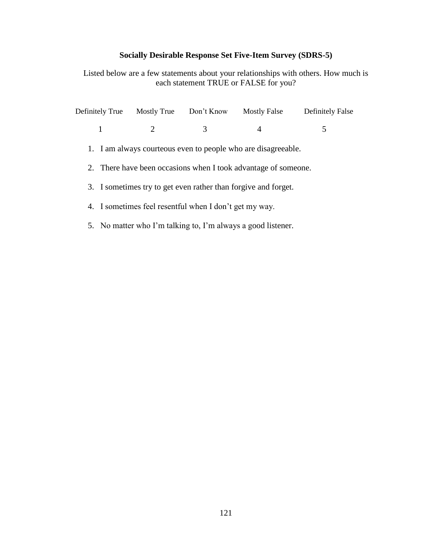# **Socially Desirable Response Set Five-Item Survey (SDRS-5)**

Listed below are a few statements about your relationships with others. How much is each statement TRUE or FALSE for you?

| Definitely True                                         | <b>Mostly True</b>          | Don't Know | <b>Mostly False</b>                                            | <b>Definitely False</b> |
|---------------------------------------------------------|-----------------------------|------------|----------------------------------------------------------------|-------------------------|
| 1                                                       | $\mathcal{D}_{\mathcal{L}}$ | 3          | 4                                                              | 5                       |
|                                                         |                             |            | 1. I am always courteous even to people who are disagreeable.  |                         |
|                                                         |                             |            | 2. There have been occasions when I took advantage of someone. |                         |
|                                                         |                             |            | 3. I sometimes try to get even rather than forgive and forget. |                         |
| 4. I sometimes feel resent ful when I don't get my way. |                             |            |                                                                |                         |
|                                                         |                             |            |                                                                |                         |

5. No matter who I'm talking to, I'm always a good listener.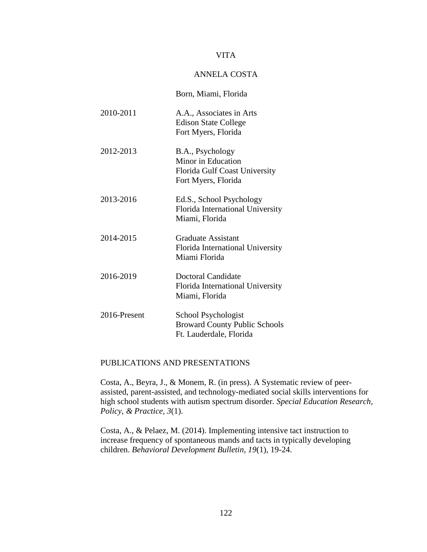#### VITA

### ANNELA COSTA

|              | Born, Miami, Florida                                                                           |
|--------------|------------------------------------------------------------------------------------------------|
| 2010-2011    | A.A., Associates in Arts<br><b>Edison State College</b><br>Fort Myers, Florida                 |
| 2012-2013    | B.A., Psychology<br>Minor in Education<br>Florida Gulf Coast University<br>Fort Myers, Florida |
| 2013-2016    | Ed.S., School Psychology<br>Florida International University<br>Miami, Florida                 |
| 2014-2015    | Graduate Assistant<br>Florida International University<br>Miami Florida                        |
| 2016-2019    | Doctoral Candidate<br>Florida International University<br>Miami, Florida                       |
| 2016-Present | School Psychologist<br><b>Broward County Public Schools</b><br>Ft. Lauderdale, Florida         |

#### PUBLICATIONS AND PRESENTATIONS

Costa, A., Beyra, J., & Monem, R. (in press). A Systematic review of peerassisted, parent-assisted, and technology-mediated social skills interventions for high school students with autism spectrum disorder*. Special Education Research, Policy, & Practice, 3*(1).

Costa, A., & Pelaez, M. (2014). Implementing intensive tact instruction to increase frequency of spontaneous mands and tacts in typically developing children. *Behavioral Development Bulletin, 19*(1), 19-24.